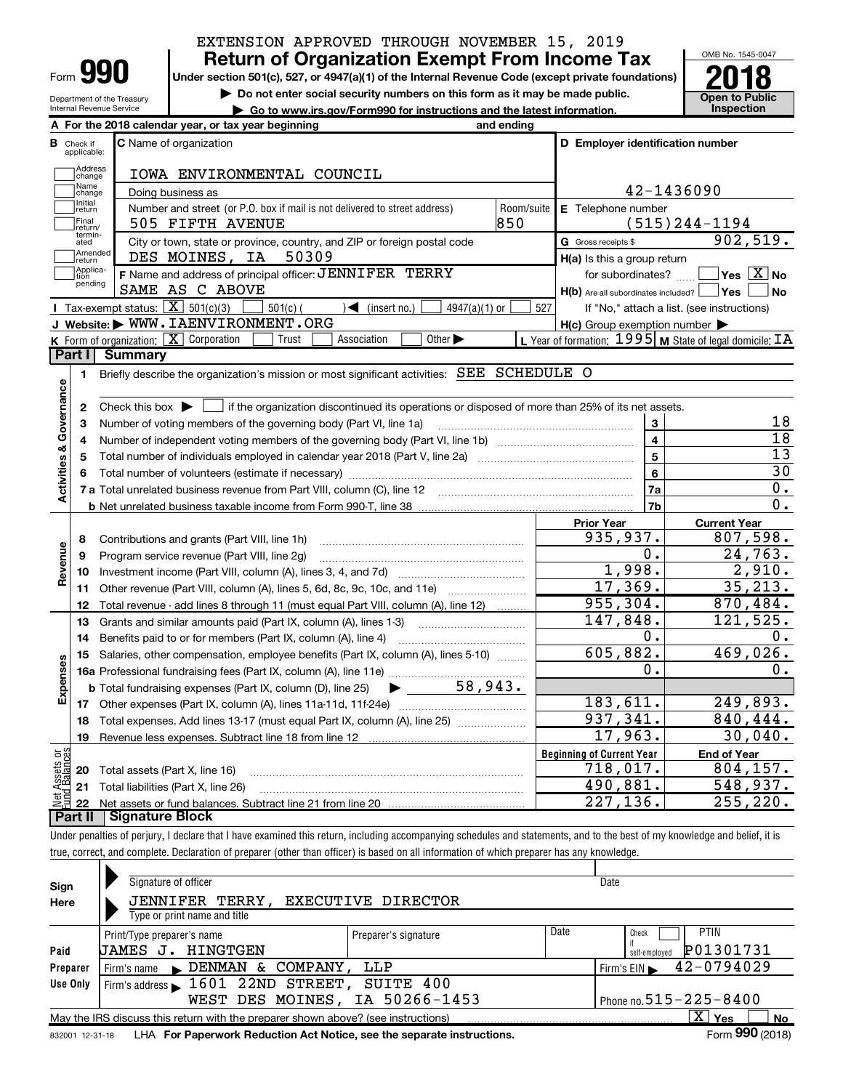| ИI.<br>Form |
|-------------|
|-------------|

Department of the Treasury Internal Revenue Service

# EXTENSION APPROVED THROUGH NOVEMBER 15, 2019

**Under section 501(c), 527, or 4947(a)(1) of the Internal Revenue Code (except private foundations)** Return of Organization Exempt From Income Tax  $\frac{\text{OMB No. 1545-004}}{2018}$ 

**but the Do not enter social security numbers on this form as it may be made public. Open to Public**<br> **a** Go to www.irs.gov/Form990 for instructions and the latest information. Inspection

**| Go to www.irs.gov/Form990 for instructions and the latest information. Inspection**



|                         |                         | A For the 2018 calendar year, or tax year beginning                                                                                    | and ending |                                                     |                                                         |  |  |  |  |  |  |  |  |  |
|-------------------------|-------------------------|----------------------------------------------------------------------------------------------------------------------------------------|------------|-----------------------------------------------------|---------------------------------------------------------|--|--|--|--|--|--|--|--|--|
| в                       | Check if<br>applicable: | C Name of organization                                                                                                                 |            | D Employer identification number                    |                                                         |  |  |  |  |  |  |  |  |  |
|                         | Address<br>change       | IOWA ENVIRONMENTAL COUNCIL                                                                                                             |            |                                                     |                                                         |  |  |  |  |  |  |  |  |  |
|                         | Name<br>change          | Doing business as                                                                                                                      |            |                                                     | 42-1436090                                              |  |  |  |  |  |  |  |  |  |
|                         | Initial<br>return       | Number and street (or P.O. box if mail is not delivered to street address)                                                             | Room/suite | E Telephone number                                  |                                                         |  |  |  |  |  |  |  |  |  |
|                         | Final<br>return/        | 505 FIFTH AVENUE                                                                                                                       | 850        |                                                     | $(515)$ 244-1194                                        |  |  |  |  |  |  |  |  |  |
|                         | termin-<br>ated         | City or town, state or province, country, and ZIP or foreign postal code                                                               |            | G Gross receipts \$                                 | 902,519.                                                |  |  |  |  |  |  |  |  |  |
|                         | Amended<br>return       | DES MOINES, IA<br>50309                                                                                                                |            | H(a) Is this a group return                         |                                                         |  |  |  |  |  |  |  |  |  |
|                         | Applica-<br>tion        | F Name and address of principal officer: JENNIFER TERRY                                                                                |            | for subordinates?                                   | $Yes \mid X \mid$ No                                    |  |  |  |  |  |  |  |  |  |
|                         | pending                 | SAME AS C ABOVE                                                                                                                        |            | $H(b)$ Are all subordinates included? $\Box$ Yes    | No                                                      |  |  |  |  |  |  |  |  |  |
|                         |                         | <b>I</b> Tax-exempt status: $\overline{X}$ 501(c)(3)<br>$501(c)$ (<br>$\sqrt{\bullet}$ (insert no.)<br>$4947(a)(1)$ or                 | 527        |                                                     | If "No," attach a list. (see instructions)              |  |  |  |  |  |  |  |  |  |
|                         |                         | J Website: WWW. IAENVIRONMENT. ORG                                                                                                     |            | $H(c)$ Group exemption number $\blacktriangleright$ |                                                         |  |  |  |  |  |  |  |  |  |
|                         |                         | <b>K</b> Form of organization: $\boxed{\mathbf{X}}$ Corporation<br>Other $\blacktriangleright$<br>Association<br>Trust                 |            |                                                     | L Year of formation: 1995 M State of legal domicile: IA |  |  |  |  |  |  |  |  |  |
|                         | Part I                  | <b>Summary</b>                                                                                                                         |            |                                                     |                                                         |  |  |  |  |  |  |  |  |  |
|                         | 1                       | Briefly describe the organization's mission or most significant activities: SEE SCHEDULE O                                             |            |                                                     |                                                         |  |  |  |  |  |  |  |  |  |
|                         |                         |                                                                                                                                        |            |                                                     |                                                         |  |  |  |  |  |  |  |  |  |
| Activities & Governance | $\mathbf{2}$            | Check this box $\blacktriangleright$   if the organization discontinued its operations or disposed of more than 25% of its net assets. |            |                                                     | 18                                                      |  |  |  |  |  |  |  |  |  |
|                         | 3<br>4                  | Number of voting members of the governing body (Part VI, line 1a)                                                                      |            | 3<br>$\overline{\mathbf{4}}$                        | $\overline{18}$                                         |  |  |  |  |  |  |  |  |  |
|                         | 5                       |                                                                                                                                        |            | 5                                                   | 13                                                      |  |  |  |  |  |  |  |  |  |
|                         | 6                       |                                                                                                                                        |            | 6                                                   | 30                                                      |  |  |  |  |  |  |  |  |  |
|                         |                         |                                                                                                                                        |            | 7a                                                  | 0.                                                      |  |  |  |  |  |  |  |  |  |
|                         |                         |                                                                                                                                        |            | 7b                                                  | 0.                                                      |  |  |  |  |  |  |  |  |  |
|                         |                         |                                                                                                                                        |            | <b>Prior Year</b>                                   | <b>Current Year</b>                                     |  |  |  |  |  |  |  |  |  |
|                         | 8                       | Contributions and grants (Part VIII, line 1h)                                                                                          |            | 935,937.                                            | 807,598.                                                |  |  |  |  |  |  |  |  |  |
| Revenue                 | 9                       | Program service revenue (Part VIII, line 2g)                                                                                           |            | $\overline{0}$ .                                    | 24,763.                                                 |  |  |  |  |  |  |  |  |  |
|                         | 10                      |                                                                                                                                        |            | 1,998.                                              | 2,910.                                                  |  |  |  |  |  |  |  |  |  |
|                         | 11                      | Other revenue (Part VIII, column (A), lines 5, 6d, 8c, 9c, 10c, and 11e)                                                               |            | 17,369.                                             | 35, 213.                                                |  |  |  |  |  |  |  |  |  |
|                         | 12                      | Total revenue - add lines 8 through 11 (must equal Part VIII, column (A), line 12)                                                     |            | 955, 304.                                           | 870, 484.                                               |  |  |  |  |  |  |  |  |  |
|                         | 13                      | Grants and similar amounts paid (Part IX, column (A), lines 1-3)                                                                       |            | 147,848.                                            | 121,525.                                                |  |  |  |  |  |  |  |  |  |
|                         | 14                      | Benefits paid to or for members (Part IX, column (A), line 4)                                                                          |            | Ο.                                                  | 0.                                                      |  |  |  |  |  |  |  |  |  |
|                         | 15                      | Salaries, other compensation, employee benefits (Part IX, column (A), lines 5-10)                                                      |            | 605,882.                                            | 469,026.                                                |  |  |  |  |  |  |  |  |  |
| Expenses                |                         |                                                                                                                                        |            | 0.                                                  | О.                                                      |  |  |  |  |  |  |  |  |  |
|                         |                         | <b>b</b> Total fundraising expenses (Part IX, column (D), line 25)<br>$\blacktriangleright$ and $\blacktriangleright$                  | 58,943.    |                                                     |                                                         |  |  |  |  |  |  |  |  |  |
|                         | 17                      |                                                                                                                                        |            | 183,611.                                            | 249,893.                                                |  |  |  |  |  |  |  |  |  |
|                         | 18                      | Total expenses. Add lines 13-17 (must equal Part IX, column (A), line 25)                                                              |            | 937,341.                                            | 840,444.<br>30,040.                                     |  |  |  |  |  |  |  |  |  |
|                         | 19                      |                                                                                                                                        |            | 17,963.                                             |                                                         |  |  |  |  |  |  |  |  |  |
| គង្គ                    |                         |                                                                                                                                        |            | <b>Beginning of Current Year</b><br>718,017.        | <b>End of Year</b><br>804, 157.                         |  |  |  |  |  |  |  |  |  |
| Assets<br>1 Balanc      | 20                      | Total assets (Part X, line 16)                                                                                                         |            | 490,881.                                            | 548,937.                                                |  |  |  |  |  |  |  |  |  |
| <b>BE</b>               | 21<br>22                | Total liabilities (Part X, line 26)                                                                                                    |            | 227,136.                                            | 255, 220.                                               |  |  |  |  |  |  |  |  |  |
|                         | Part II                 | <b>Signature Block</b>                                                                                                                 |            |                                                     |                                                         |  |  |  |  |  |  |  |  |  |
|                         |                         |                                                                                                                                        |            |                                                     |                                                         |  |  |  |  |  |  |  |  |  |

Under penalties of perjury, I declare that I have examined this return, including accompanying schedules and statements, and to the best of my knowledge and belief, it is true, correct, and complete. Declaration of preparer (other than officer) is based on all information of which preparer has any knowledge.

| Sign     | Signature of officer                                                                                         |                      |      | Date                         |  |  |  |  |  |  |  |  |
|----------|--------------------------------------------------------------------------------------------------------------|----------------------|------|------------------------------|--|--|--|--|--|--|--|--|
| Here     | <b>JENNIFER TERRY,</b>                                                                                       | EXECUTIVE DIRECTOR   |      |                              |  |  |  |  |  |  |  |  |
|          |                                                                                                              |                      |      |                              |  |  |  |  |  |  |  |  |
|          | Print/Type preparer's name                                                                                   | Preparer's signature | Date | <b>PTIN</b><br>Check         |  |  |  |  |  |  |  |  |
| Paid     | HINGTGEN<br>JAMES J.                                                                                         |                      |      | P01301731<br>self-emploved   |  |  |  |  |  |  |  |  |
| Preparer | DENMAN<br>COMPANY,<br>&<br>Firm's name                                                                       | LLP                  |      | 42-0794029<br>Firm's EIN     |  |  |  |  |  |  |  |  |
| Use Only | Firm's address $\blacktriangleright$ 1601 22ND STREET,                                                       | SUITE 400            |      |                              |  |  |  |  |  |  |  |  |
|          | WEST DES MOINES, IA 50266-1453                                                                               |                      |      | Phone no. $515 - 225 - 8400$ |  |  |  |  |  |  |  |  |
|          | May the IRS discuss this return with the preparer shown above? (see instructions)                            |                      |      | $X \mid Y$ es<br><b>No</b>   |  |  |  |  |  |  |  |  |
|          | Form 990 (2018)<br>LHA For Paperwork Reduction Act Notice, see the separate instructions.<br>832001 12-31-18 |                      |      |                              |  |  |  |  |  |  |  |  |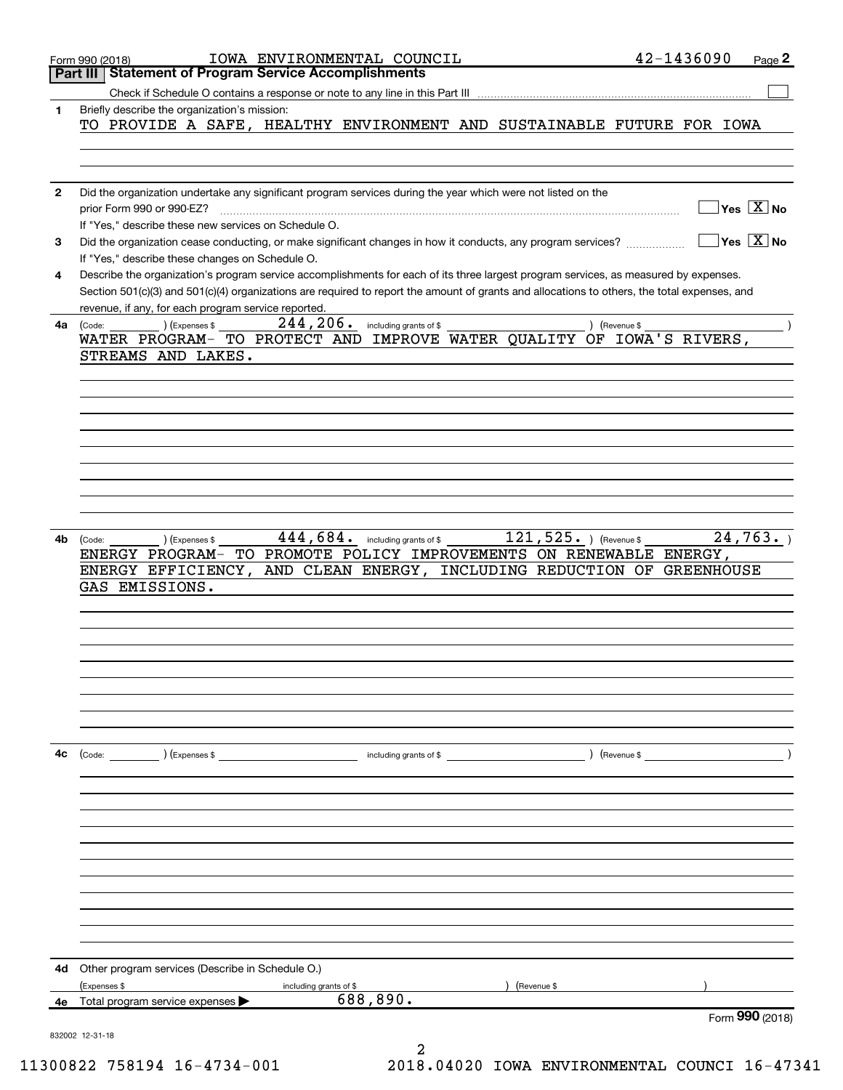|    | IOWA ENVIRONMENTAL COUNCIL<br>Form 990 (2018)                                                                                                                                                                                                                                        | 42-1436090<br>Page <sub>2</sub>        |
|----|--------------------------------------------------------------------------------------------------------------------------------------------------------------------------------------------------------------------------------------------------------------------------------------|----------------------------------------|
|    | <b>Statement of Program Service Accomplishments</b><br>Part III                                                                                                                                                                                                                      |                                        |
|    |                                                                                                                                                                                                                                                                                      |                                        |
| 1  | Briefly describe the organization's mission:<br>TO PROVIDE A SAFE, HEALTHY ENVIRONMENT AND SUSTAINABLE FUTURE FOR IOWA                                                                                                                                                               |                                        |
|    |                                                                                                                                                                                                                                                                                      |                                        |
| 2  | Did the organization undertake any significant program services during the year which were not listed on the                                                                                                                                                                         |                                        |
|    | prior Form 990 or 990-EZ?<br>If "Yes," describe these new services on Schedule O.                                                                                                                                                                                                    | $Yes \quad X$ No                       |
| 3  | Did the organization cease conducting, or make significant changes in how it conducts, any program services?<br>If "Yes," describe these changes on Schedule O.                                                                                                                      | $\sqrt{}$ Yes $\sqrt{}$ X $\sqrt{}$ No |
| 4  | Describe the organization's program service accomplishments for each of its three largest program services, as measured by expenses.<br>Section 501(c)(3) and 501(c)(4) organizations are required to report the amount of grants and allocations to others, the total expenses, and |                                        |
| 4a | revenue, if any, for each program service reported.<br>$244, 206$ . including grants of \$<br>(Expenses \$<br>(Code:                                                                                                                                                                 | ) (Revenue \$                          |
|    | WATER PROGRAM- TO PROTECT AND IMPROVE WATER QUALITY OF IOWA'S RIVERS,<br>STREAMS AND LAKES.                                                                                                                                                                                          |                                        |
|    |                                                                                                                                                                                                                                                                                      |                                        |
|    |                                                                                                                                                                                                                                                                                      |                                        |
|    |                                                                                                                                                                                                                                                                                      |                                        |
|    |                                                                                                                                                                                                                                                                                      |                                        |
|    |                                                                                                                                                                                                                                                                                      |                                        |
|    |                                                                                                                                                                                                                                                                                      |                                        |
|    |                                                                                                                                                                                                                                                                                      |                                        |
| 4b | $121, 525$ . (Revenue \$<br>444, 684. including grants of \$<br>) (Expenses \$<br>(Code:                                                                                                                                                                                             | 24,763.                                |
|    | TO PROMOTE POLICY IMPROVEMENTS ON RENEWABLE ENERGY,<br><b>ENERGY PROGRAM-</b>                                                                                                                                                                                                        |                                        |
|    | ENERGY EFFICIENCY, AND CLEAN ENERGY, INCLUDING REDUCTION OF GREENHOUSE<br>GAS EMISSIONS.                                                                                                                                                                                             |                                        |
|    |                                                                                                                                                                                                                                                                                      |                                        |
|    |                                                                                                                                                                                                                                                                                      |                                        |
|    |                                                                                                                                                                                                                                                                                      |                                        |
|    |                                                                                                                                                                                                                                                                                      |                                        |
|    |                                                                                                                                                                                                                                                                                      |                                        |
|    |                                                                                                                                                                                                                                                                                      |                                        |
|    |                                                                                                                                                                                                                                                                                      |                                        |
| 4с | (Code: ) (Expenses \$<br>including grants of \$                                                                                                                                                                                                                                      | ) (Revenue \$                          |
|    |                                                                                                                                                                                                                                                                                      |                                        |
|    |                                                                                                                                                                                                                                                                                      |                                        |
|    |                                                                                                                                                                                                                                                                                      |                                        |
|    |                                                                                                                                                                                                                                                                                      |                                        |
|    |                                                                                                                                                                                                                                                                                      |                                        |
|    |                                                                                                                                                                                                                                                                                      |                                        |
|    |                                                                                                                                                                                                                                                                                      |                                        |
|    |                                                                                                                                                                                                                                                                                      |                                        |
| 4d | Other program services (Describe in Schedule O.)                                                                                                                                                                                                                                     |                                        |
|    | (Expenses \$<br>(Revenue \$<br>including grants of \$<br>688,890.<br>4e Total program service expenses                                                                                                                                                                               |                                        |
|    |                                                                                                                                                                                                                                                                                      | Form 990 (2018)                        |
|    | 832002 12-31-18                                                                                                                                                                                                                                                                      |                                        |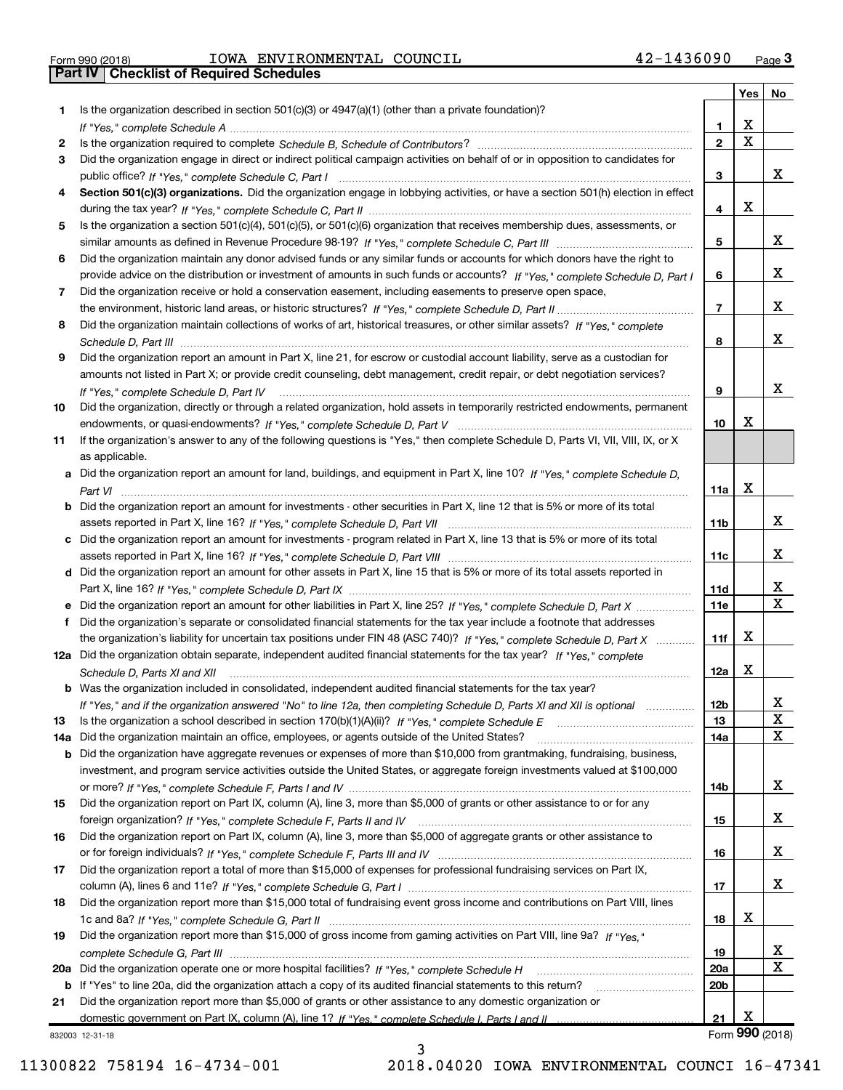$_{\rm Form}$   $_{990}$  (2018)  $_{\rm PQe}$   $_{\rm TOW}$   $_{\rm H20}$   $_{\rm N20}$   $_{\rm N20}$   $_{\rm H20}$   $_{\rm H20}$   $_{\rm H20}$   $_{\rm H20}$   $_{\rm H20}$ **Porm 990 (2018)**<br>**Part IV | Checklist of Required Schedules** 

|     |                                                                                                                                                 |                 | Yes         | No                      |
|-----|-------------------------------------------------------------------------------------------------------------------------------------------------|-----------------|-------------|-------------------------|
|     | Is the organization described in section $501(c)(3)$ or $4947(a)(1)$ (other than a private foundation)?                                         |                 |             |                         |
|     |                                                                                                                                                 | 1               | х           |                         |
| 2   |                                                                                                                                                 | $\mathbf{2}$    | $\mathbf X$ |                         |
| 3   | Did the organization engage in direct or indirect political campaign activities on behalf of or in opposition to candidates for                 |                 |             |                         |
|     |                                                                                                                                                 | 3               |             | x                       |
| 4   | Section 501(c)(3) organizations. Did the organization engage in lobbying activities, or have a section 501(h) election in effect                |                 |             |                         |
|     |                                                                                                                                                 | 4               | X           |                         |
| 5   | Is the organization a section 501(c)(4), 501(c)(5), or 501(c)(6) organization that receives membership dues, assessments, or                    |                 |             |                         |
|     |                                                                                                                                                 | 5               |             | x                       |
| 6   | Did the organization maintain any donor advised funds or any similar funds or accounts for which donors have the right to                       |                 |             |                         |
|     | provide advice on the distribution or investment of amounts in such funds or accounts? If "Yes," complete Schedule D, Part I                    | 6               |             | x                       |
| 7   | Did the organization receive or hold a conservation easement, including easements to preserve open space,                                       |                 |             |                         |
|     |                                                                                                                                                 | $\overline{7}$  |             | x                       |
| 8   | Did the organization maintain collections of works of art, historical treasures, or other similar assets? If "Yes," complete                    |                 |             |                         |
|     |                                                                                                                                                 | 8               |             | x                       |
| 9   | Did the organization report an amount in Part X, line 21, for escrow or custodial account liability, serve as a custodian for                   |                 |             |                         |
|     | amounts not listed in Part X; or provide credit counseling, debt management, credit repair, or debt negotiation services?                       |                 |             | x                       |
|     | If "Yes," complete Schedule D, Part IV                                                                                                          | 9               |             |                         |
| 10  | Did the organization, directly or through a related organization, hold assets in temporarily restricted endowments, permanent                   |                 | x           |                         |
|     |                                                                                                                                                 | 10              |             |                         |
| 11  | If the organization's answer to any of the following questions is "Yes," then complete Schedule D, Parts VI, VII, VIII, IX, or X                |                 |             |                         |
|     | as applicable.<br>a Did the organization report an amount for land, buildings, and equipment in Part X, line 10? If "Yes," complete Schedule D, |                 |             |                         |
|     |                                                                                                                                                 | 11a             | x           |                         |
|     | <b>b</b> Did the organization report an amount for investments - other securities in Part X, line 12 that is 5% or more of its total            |                 |             |                         |
|     |                                                                                                                                                 | 11 <sub>b</sub> |             | x                       |
|     | c Did the organization report an amount for investments - program related in Part X, line 13 that is 5% or more of its total                    |                 |             |                         |
|     |                                                                                                                                                 | 11c             |             | x                       |
|     | d Did the organization report an amount for other assets in Part X, line 15 that is 5% or more of its total assets reported in                  |                 |             |                         |
|     |                                                                                                                                                 | 11d             |             | X                       |
|     | e Did the organization report an amount for other liabilities in Part X, line 25? If "Yes," complete Schedule D, Part X                         | 11e             |             | $\overline{\mathbf{x}}$ |
|     | f Did the organization's separate or consolidated financial statements for the tax year include a footnote that addresses                       |                 |             |                         |
|     | the organization's liability for uncertain tax positions under FIN 48 (ASC 740)? If "Yes," complete Schedule D, Part X                          | 11f             | x           |                         |
|     | 12a Did the organization obtain separate, independent audited financial statements for the tax year? If "Yes," complete                         |                 |             |                         |
|     | Schedule D, Parts XI and XII                                                                                                                    | 12a             | X           |                         |
|     | <b>b</b> Was the organization included in consolidated, independent audited financial statements for the tax year?                              |                 |             |                         |
|     | If "Yes," and if the organization answered "No" to line 12a, then completing Schedule D, Parts XI and XII is optional                           | 12 <sub>b</sub> |             | X,                      |
| 13  |                                                                                                                                                 | 13              |             | X                       |
| 14a | Did the organization maintain an office, employees, or agents outside of the United States?                                                     | 14a             |             | X                       |
|     | b Did the organization have aggregate revenues or expenses of more than \$10,000 from grantmaking, fundraising, business,                       |                 |             |                         |
|     | investment, and program service activities outside the United States, or aggregate foreign investments valued at \$100,000                      |                 |             |                         |
|     |                                                                                                                                                 | 14b             |             | x                       |
| 15  | Did the organization report on Part IX, column (A), line 3, more than \$5,000 of grants or other assistance to or for any                       |                 |             |                         |
|     |                                                                                                                                                 | 15              |             | X                       |
| 16  | Did the organization report on Part IX, column (A), line 3, more than \$5,000 of aggregate grants or other assistance to                        |                 |             |                         |
|     |                                                                                                                                                 | 16              |             | X                       |
| 17  | Did the organization report a total of more than \$15,000 of expenses for professional fundraising services on Part IX,                         |                 |             |                         |
|     |                                                                                                                                                 | 17              |             | x                       |
| 18  | Did the organization report more than \$15,000 total of fundraising event gross income and contributions on Part VIII, lines                    |                 |             |                         |
|     |                                                                                                                                                 | 18              | x           |                         |
| 19  | Did the organization report more than \$15,000 of gross income from gaming activities on Part VIII, line 9a? If "Yes."                          |                 |             |                         |
|     |                                                                                                                                                 | 19              |             | X                       |
| 20a |                                                                                                                                                 | <b>20a</b>      |             | х                       |
|     | b If "Yes" to line 20a, did the organization attach a copy of its audited financial statements to this return?                                  | 20 <sub>b</sub> |             |                         |
| 21  | Did the organization report more than \$5,000 of grants or other assistance to any domestic organization or                                     |                 | х           |                         |
|     |                                                                                                                                                 | 21              |             | Form 990 (2018)         |
|     | 832003 12-31-18                                                                                                                                 |                 |             |                         |

3

832003 12-31-18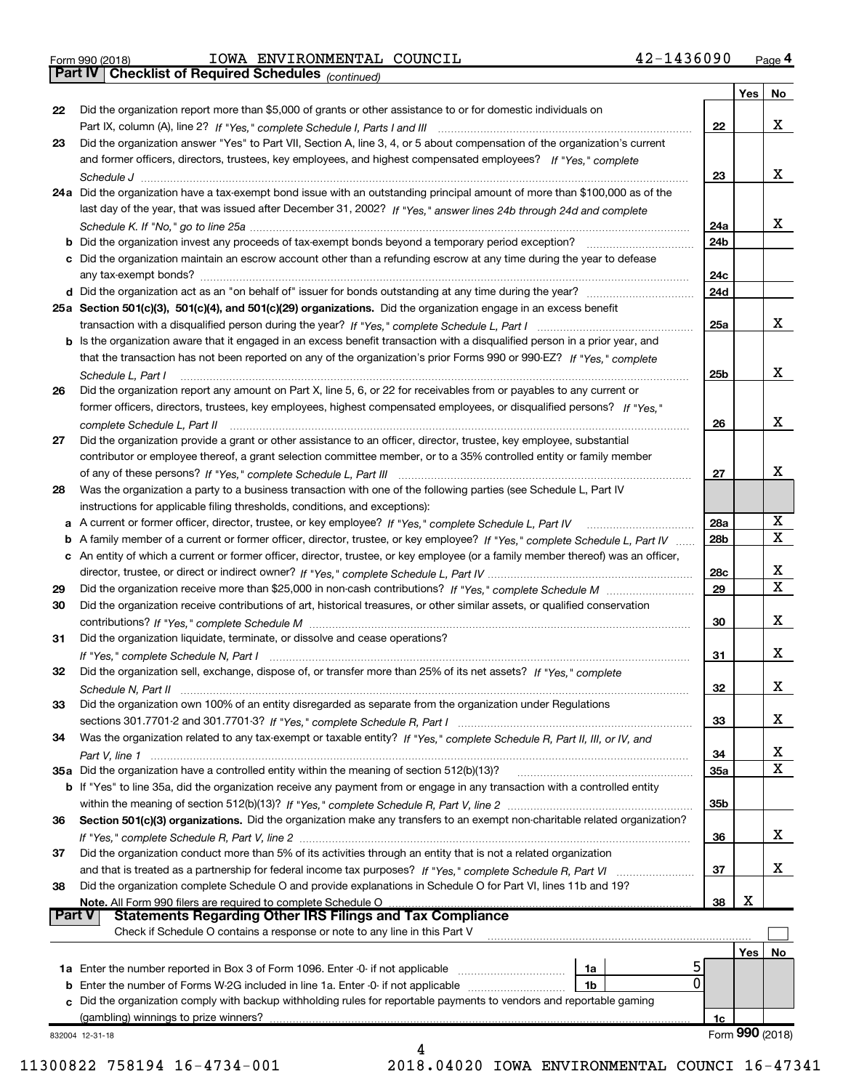|  | Form 990 (2018) |  |
|--|-----------------|--|

**Part IV Checklist of Required Schedules**

#### Form 990 (2018) Page IOWA ENVIRONMENTAL COUNCIL 42-1436090

*(continued)*

|        |                                                                                                                                                                                                                                |                 | Yes | No              |
|--------|--------------------------------------------------------------------------------------------------------------------------------------------------------------------------------------------------------------------------------|-----------------|-----|-----------------|
| 22     | Did the organization report more than \$5,000 of grants or other assistance to or for domestic individuals on                                                                                                                  |                 |     |                 |
|        |                                                                                                                                                                                                                                | 22              |     | x               |
| 23     | Did the organization answer "Yes" to Part VII, Section A, line 3, 4, or 5 about compensation of the organization's current                                                                                                     |                 |     |                 |
|        | and former officers, directors, trustees, key employees, and highest compensated employees? If "Yes," complete                                                                                                                 |                 |     |                 |
|        |                                                                                                                                                                                                                                | 23              |     | x               |
|        | 24a Did the organization have a tax-exempt bond issue with an outstanding principal amount of more than \$100,000 as of the                                                                                                    |                 |     |                 |
|        | last day of the year, that was issued after December 31, 2002? If "Yes," answer lines 24b through 24d and complete                                                                                                             |                 |     |                 |
|        |                                                                                                                                                                                                                                | 24a             |     | х               |
|        |                                                                                                                                                                                                                                | 24 <sub>b</sub> |     |                 |
|        | c Did the organization maintain an escrow account other than a refunding escrow at any time during the year to defease                                                                                                         |                 |     |                 |
|        |                                                                                                                                                                                                                                | 24c             |     |                 |
|        |                                                                                                                                                                                                                                | 24d             |     |                 |
|        |                                                                                                                                                                                                                                |                 |     |                 |
|        | 25a Section 501(c)(3), 501(c)(4), and 501(c)(29) organizations. Did the organization engage in an excess benefit                                                                                                               |                 |     | x               |
|        |                                                                                                                                                                                                                                | 25a             |     |                 |
|        | b Is the organization aware that it engaged in an excess benefit transaction with a disqualified person in a prior year, and                                                                                                   |                 |     |                 |
|        | that the transaction has not been reported on any of the organization's prior Forms 990 or 990-EZ? If "Yes," complete                                                                                                          |                 |     |                 |
|        | Schedule L, Part I                                                                                                                                                                                                             | 25b             |     | x               |
| 26     | Did the organization report any amount on Part X, line 5, 6, or 22 for receivables from or payables to any current or                                                                                                          |                 |     |                 |
|        | former officers, directors, trustees, key employees, highest compensated employees, or disqualified persons? If "Yes."                                                                                                         |                 |     |                 |
|        | complete Schedule L, Part II (et al., complete schedule L, Part II (et al., complete Schedule L, Part II) (et al., complete Schedule L, Part II) (et al., complete Schedule L, Part III) (et al., complete Schedule L, Part II | 26              |     | х               |
| 27     | Did the organization provide a grant or other assistance to an officer, director, trustee, key employee, substantial                                                                                                           |                 |     |                 |
|        | contributor or employee thereof, a grant selection committee member, or to a 35% controlled entity or family member                                                                                                            |                 |     |                 |
|        |                                                                                                                                                                                                                                | 27              |     | Χ               |
| 28     | Was the organization a party to a business transaction with one of the following parties (see Schedule L, Part IV                                                                                                              |                 |     |                 |
|        | instructions for applicable filing thresholds, conditions, and exceptions):                                                                                                                                                    |                 |     |                 |
|        | a A current or former officer, director, trustee, or key employee? If "Yes," complete Schedule L, Part IV                                                                                                                      | 28a             |     | х               |
|        | b A family member of a current or former officer, director, trustee, or key employee? If "Yes," complete Schedule L, Part IV                                                                                                   | 28 <sub>b</sub> |     | $\mathbf X$     |
|        | c An entity of which a current or former officer, director, trustee, or key employee (or a family member thereof) was an officer,                                                                                              |                 |     |                 |
|        |                                                                                                                                                                                                                                | 28c             |     | х               |
| 29     |                                                                                                                                                                                                                                | 29              |     | $\mathbf X$     |
| 30     | Did the organization receive contributions of art, historical treasures, or other similar assets, or qualified conservation                                                                                                    |                 |     |                 |
|        |                                                                                                                                                                                                                                | 30              |     | х               |
| 31     | Did the organization liquidate, terminate, or dissolve and cease operations?                                                                                                                                                   |                 |     |                 |
|        |                                                                                                                                                                                                                                | 31              |     | х               |
| 32     | Did the organization sell, exchange, dispose of, or transfer more than 25% of its net assets? If "Yes," complete                                                                                                               |                 |     |                 |
|        |                                                                                                                                                                                                                                | 32              |     | х               |
| 33     | Did the organization own 100% of an entity disregarded as separate from the organization under Regulations                                                                                                                     |                 |     |                 |
|        |                                                                                                                                                                                                                                | 33              |     | х               |
| 34     | Was the organization related to any tax-exempt or taxable entity? If "Yes," complete Schedule R, Part II, III, or IV, and                                                                                                      |                 |     |                 |
|        |                                                                                                                                                                                                                                | 34              |     | x               |
|        | 35a Did the organization have a controlled entity within the meaning of section 512(b)(13)?                                                                                                                                    | 35a             |     | X               |
|        | <b>b</b> If "Yes" to line 35a, did the organization receive any payment from or engage in any transaction with a controlled entity                                                                                             |                 |     |                 |
|        |                                                                                                                                                                                                                                | 35b             |     |                 |
|        |                                                                                                                                                                                                                                |                 |     |                 |
| 36     | Section 501(c)(3) organizations. Did the organization make any transfers to an exempt non-charitable related organization?                                                                                                     |                 |     |                 |
|        |                                                                                                                                                                                                                                | 36              |     | X               |
| 37     | Did the organization conduct more than 5% of its activities through an entity that is not a related organization                                                                                                               |                 |     |                 |
|        | and that is treated as a partnership for federal income tax purposes? If "Yes," complete Schedule R, Part VI                                                                                                                   | 37              |     | х               |
| 38     | Did the organization complete Schedule O and provide explanations in Schedule O for Part VI, lines 11b and 19?                                                                                                                 |                 | х   |                 |
| Part V | Note. All Form 990 filers are required to complete Schedule O<br><b>Statements Regarding Other IRS Filings and Tax Compliance</b>                                                                                              | 38              |     |                 |
|        | Check if Schedule O contains a response or note to any line in this Part V                                                                                                                                                     |                 |     |                 |
|        |                                                                                                                                                                                                                                |                 |     |                 |
|        |                                                                                                                                                                                                                                |                 | Yes | No              |
|        | 1a<br>0                                                                                                                                                                                                                        |                 |     |                 |
|        | <b>b</b> Enter the number of Forms W-2G included in line 1a. Enter -0- if not applicable<br>1b                                                                                                                                 |                 |     |                 |
|        | c Did the organization comply with backup withholding rules for reportable payments to vendors and reportable gaming                                                                                                           |                 |     |                 |
|        | (gambling) winnings to prize winners?                                                                                                                                                                                          | 1c              |     | Form 990 (2018) |
|        | 832004 12-31-18<br>4                                                                                                                                                                                                           |                 |     |                 |
|        |                                                                                                                                                                                                                                |                 |     |                 |

 <sup>11300822 758194 16-4734-001 2018.04020</sup> IOWA ENVIRONMENTAL COUNCI 16-47341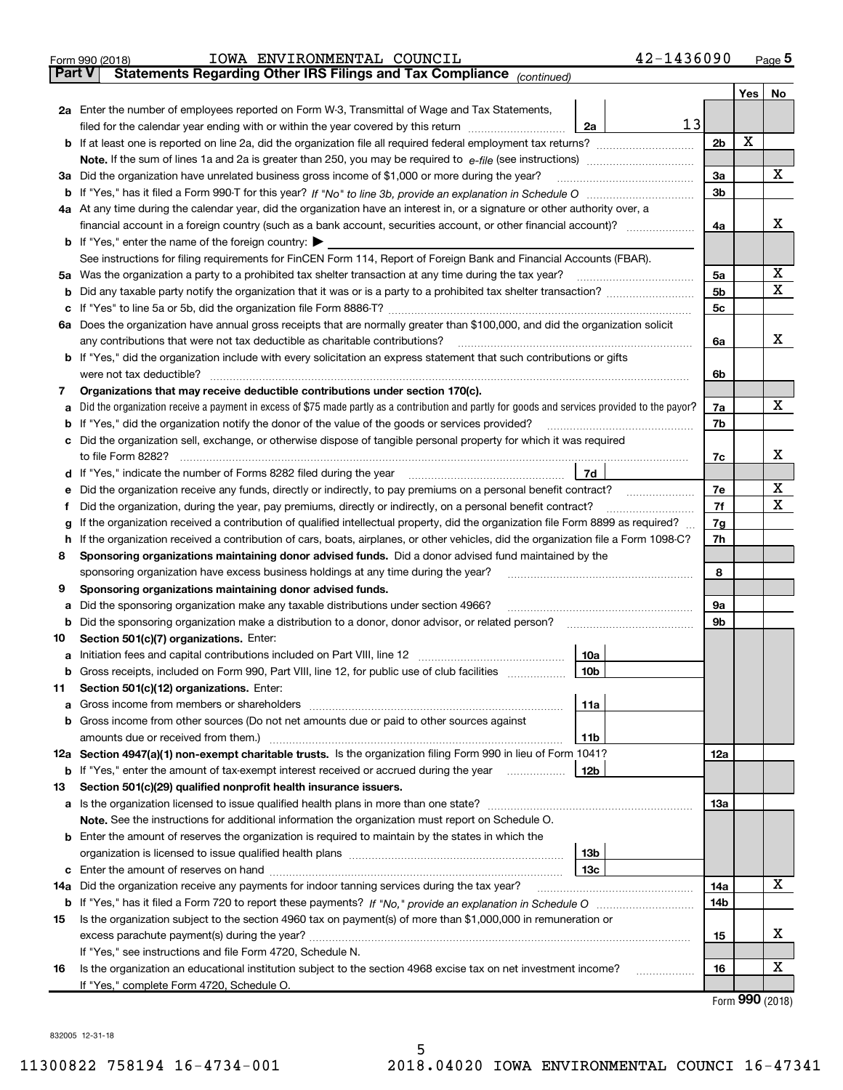|        | 42-1436090<br>IOWA ENVIRONMENTAL COUNCIL<br>Form 990 (2018)                                                                                       |                |     | $Page$ <sup>5</sup>         |  |  |  |  |  |  |  |
|--------|---------------------------------------------------------------------------------------------------------------------------------------------------|----------------|-----|-----------------------------|--|--|--|--|--|--|--|
| Part V | Statements Regarding Other IRS Filings and Tax Compliance (continued)                                                                             |                |     |                             |  |  |  |  |  |  |  |
|        |                                                                                                                                                   |                | Yes | No                          |  |  |  |  |  |  |  |
|        | 2a Enter the number of employees reported on Form W-3, Transmittal of Wage and Tax Statements,                                                    |                |     |                             |  |  |  |  |  |  |  |
|        | 13<br>filed for the calendar year ending with or within the year covered by this return<br>2a                                                     |                |     |                             |  |  |  |  |  |  |  |
|        | <b>b</b> If at least one is reported on line 2a, did the organization file all required federal employment tax returns?                           | 2 <sub>b</sub> | X   |                             |  |  |  |  |  |  |  |
|        |                                                                                                                                                   |                |     |                             |  |  |  |  |  |  |  |
|        | 3a Did the organization have unrelated business gross income of \$1,000 or more during the year?                                                  |                |     |                             |  |  |  |  |  |  |  |
|        |                                                                                                                                                   | 3b             |     |                             |  |  |  |  |  |  |  |
|        | 4a At any time during the calendar year, did the organization have an interest in, or a signature or other authority over, a                      |                |     |                             |  |  |  |  |  |  |  |
|        |                                                                                                                                                   | 4a             |     | х                           |  |  |  |  |  |  |  |
|        | <b>b</b> If "Yes," enter the name of the foreign country: $\blacktriangleright$                                                                   |                |     |                             |  |  |  |  |  |  |  |
|        | See instructions for filing requirements for FinCEN Form 114, Report of Foreign Bank and Financial Accounts (FBAR).                               |                |     |                             |  |  |  |  |  |  |  |
|        | 5a Was the organization a party to a prohibited tax shelter transaction at any time during the tax year?                                          | 5a             |     | х                           |  |  |  |  |  |  |  |
|        |                                                                                                                                                   | 5b             |     | X                           |  |  |  |  |  |  |  |
|        |                                                                                                                                                   | 5c             |     |                             |  |  |  |  |  |  |  |
|        | 6a Does the organization have annual gross receipts that are normally greater than \$100,000, and did the organization solicit                    |                |     |                             |  |  |  |  |  |  |  |
|        | any contributions that were not tax deductible as charitable contributions?                                                                       | 6a             |     | X                           |  |  |  |  |  |  |  |
|        | <b>b</b> If "Yes," did the organization include with every solicitation an express statement that such contributions or gifts                     |                |     |                             |  |  |  |  |  |  |  |
|        | were not tax deductible?                                                                                                                          | 6b             |     |                             |  |  |  |  |  |  |  |
| 7      | Organizations that may receive deductible contributions under section 170(c).                                                                     |                |     |                             |  |  |  |  |  |  |  |
|        | a Did the organization receive a payment in excess of \$75 made partly as a contribution and partly for goods and services provided to the payor? | 7a             |     | X                           |  |  |  |  |  |  |  |
|        | <b>b</b> If "Yes," did the organization notify the donor of the value of the goods or services provided?                                          | 7b             |     |                             |  |  |  |  |  |  |  |
|        | c Did the organization sell, exchange, or otherwise dispose of tangible personal property for which it was required                               |                |     |                             |  |  |  |  |  |  |  |
|        | to file Form 8282?                                                                                                                                | 7c             |     | х                           |  |  |  |  |  |  |  |
|        | 7d                                                                                                                                                |                |     |                             |  |  |  |  |  |  |  |
|        | e Did the organization receive any funds, directly or indirectly, to pay premiums on a personal benefit contract?                                 | 7e             |     | х                           |  |  |  |  |  |  |  |
|        | Did the organization, during the year, pay premiums, directly or indirectly, on a personal benefit contract?                                      | 7f             |     | X                           |  |  |  |  |  |  |  |
| g      | If the organization received a contribution of qualified intellectual property, did the organization file Form 8899 as required?                  | 7g<br>7h       |     |                             |  |  |  |  |  |  |  |
|        | h If the organization received a contribution of cars, boats, airplanes, or other vehicles, did the organization file a Form 1098-C?              |                |     |                             |  |  |  |  |  |  |  |
| 8      | Sponsoring organizations maintaining donor advised funds. Did a donor advised fund maintained by the                                              |                |     |                             |  |  |  |  |  |  |  |
|        | sponsoring organization have excess business holdings at any time during the year?                                                                | 8              |     |                             |  |  |  |  |  |  |  |
| 9      | Sponsoring organizations maintaining donor advised funds.                                                                                         |                |     |                             |  |  |  |  |  |  |  |
| а      | Did the sponsoring organization make any taxable distributions under section 4966?                                                                | <b>9a</b>      |     |                             |  |  |  |  |  |  |  |
|        | <b>b</b> Did the sponsoring organization make a distribution to a donor, donor advisor, or related person?                                        | 9 <sub>b</sub> |     |                             |  |  |  |  |  |  |  |
| 10     | Section 501(c)(7) organizations. Enter:                                                                                                           |                |     |                             |  |  |  |  |  |  |  |
|        | 10a                                                                                                                                               |                |     |                             |  |  |  |  |  |  |  |
|        | <b>b</b> Gross receipts, included on Form 990, Part VIII, line 12, for public use of club facilities <i>manument</i><br>10b                       |                |     |                             |  |  |  |  |  |  |  |
| 11     | Section 501(c)(12) organizations. Enter:                                                                                                          |                |     |                             |  |  |  |  |  |  |  |
| а      | 11a                                                                                                                                               |                |     |                             |  |  |  |  |  |  |  |
|        | b Gross income from other sources (Do not net amounts due or paid to other sources against                                                        |                |     |                             |  |  |  |  |  |  |  |
|        | amounts due or received from them.)<br>11b                                                                                                        |                |     |                             |  |  |  |  |  |  |  |
|        | 12a Section 4947(a)(1) non-exempt charitable trusts. Is the organization filing Form 990 in lieu of Form 1041?                                    | 12a            |     |                             |  |  |  |  |  |  |  |
|        | <b>b</b> If "Yes," enter the amount of tax-exempt interest received or accrued during the year<br>12b                                             |                |     |                             |  |  |  |  |  |  |  |
| 13     | Section 501(c)(29) qualified nonprofit health insurance issuers.                                                                                  |                |     |                             |  |  |  |  |  |  |  |
|        | a Is the organization licensed to issue qualified health plans in more than one state?                                                            | 1За            |     |                             |  |  |  |  |  |  |  |
|        | <b>Note.</b> See the instructions for additional information the organization must report on Schedule O.                                          |                |     |                             |  |  |  |  |  |  |  |
|        | <b>b</b> Enter the amount of reserves the organization is required to maintain by the states in which the                                         |                |     |                             |  |  |  |  |  |  |  |
|        | 13b                                                                                                                                               |                |     |                             |  |  |  |  |  |  |  |
|        | 13с                                                                                                                                               | 14a            |     | x                           |  |  |  |  |  |  |  |
|        | 14a Did the organization receive any payments for indoor tanning services during the tax year?                                                    | 14b            |     |                             |  |  |  |  |  |  |  |
| 15     | Is the organization subject to the section 4960 tax on payment(s) of more than \$1,000,000 in remuneration or                                     |                |     |                             |  |  |  |  |  |  |  |
|        |                                                                                                                                                   | 15             |     | х                           |  |  |  |  |  |  |  |
|        | If "Yes," see instructions and file Form 4720, Schedule N.                                                                                        |                |     |                             |  |  |  |  |  |  |  |
| 16     | Is the organization an educational institution subject to the section 4968 excise tax on net investment income?                                   | 16             |     | X                           |  |  |  |  |  |  |  |
|        | .<br>If "Yes," complete Form 4720, Schedule O.                                                                                                    |                |     |                             |  |  |  |  |  |  |  |
|        |                                                                                                                                                   |                |     | $F_{\text{arm}}$ 990 (2019) |  |  |  |  |  |  |  |

Form (2018) **990**

832005 12-31-18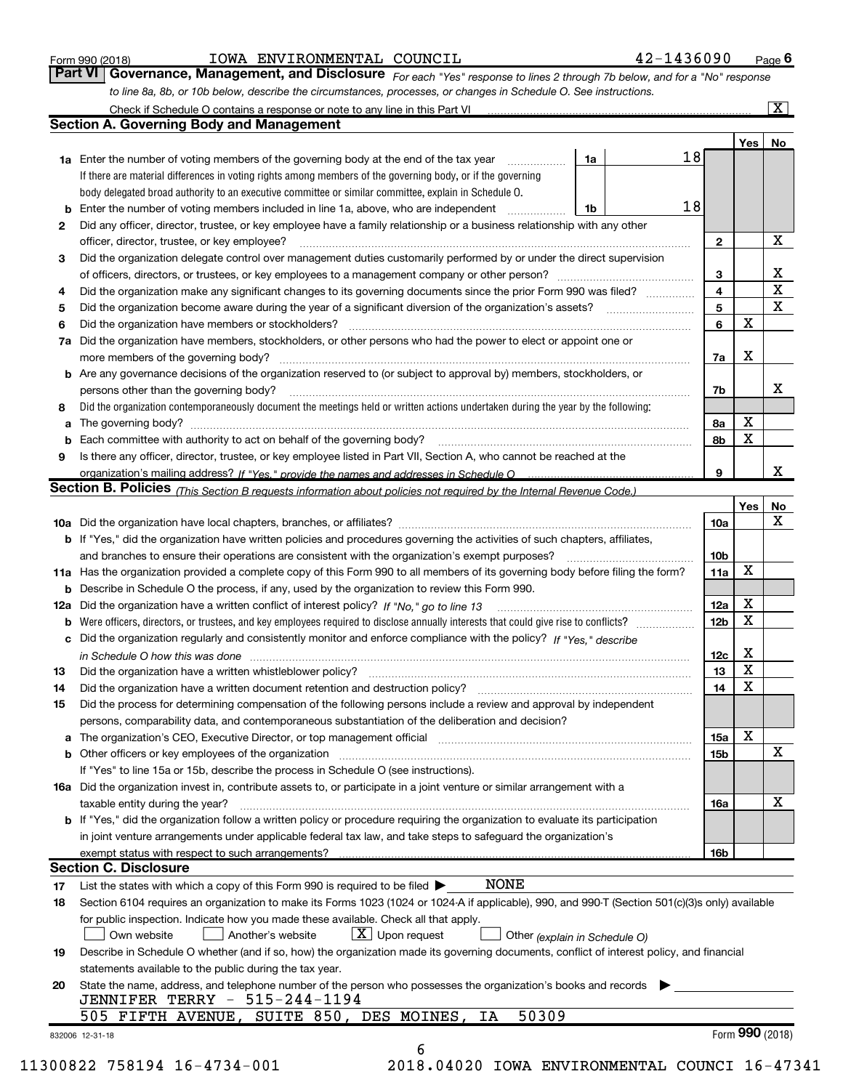| Form 990 (2018) |  |  |
|-----------------|--|--|
|                 |  |  |

#### $_{\rm Form}$   $_{990}$  (2018)  $_{\rm PQe}$   $_{\rm TOW}$   $_{\rm H20}$   $_{\rm N20}$   $_{\rm N20}$   $_{\rm H20}$   $_{\rm H20}$   $_{\rm H20}$   $_{\rm H20}$   $_{\rm H20}$

**6**

**Part VI** | Governance, Management, and Disclosure <sub>For each "Yes" response to lines 2 through 7b below, and for a "No" response</sub> *to line 8a, 8b, or 10b below, describe the circumstances, processes, or changes in Schedule O. See instructions.*

|    |                                                                                                                                                                             |    |                         | Yes             | No          |
|----|-----------------------------------------------------------------------------------------------------------------------------------------------------------------------------|----|-------------------------|-----------------|-------------|
|    | 1a<br><b>1a</b> Enter the number of voting members of the governing body at the end of the tax year <i>manumum</i>                                                          | 18 |                         |                 |             |
|    | If there are material differences in voting rights among members of the governing body, or if the governing                                                                 |    |                         |                 |             |
|    | body delegated broad authority to an executive committee or similar committee, explain in Schedule O.                                                                       |    |                         |                 |             |
|    | Enter the number of voting members included in line 1a, above, who are independent<br>1b                                                                                    | 18 |                         |                 |             |
| 2  | Did any officer, director, trustee, or key employee have a family relationship or a business relationship with any other                                                    |    |                         |                 |             |
|    |                                                                                                                                                                             |    | $\overline{2}$          |                 | X           |
| 3  | Did the organization delegate control over management duties customarily performed by or under the direct supervision                                                       |    |                         |                 |             |
|    |                                                                                                                                                                             |    | 3                       |                 | х           |
| 4  | Did the organization make any significant changes to its governing documents since the prior Form 990 was filed?                                                            |    | $\overline{\mathbf{4}}$ |                 | $\mathbf X$ |
| 5  |                                                                                                                                                                             |    | 5                       |                 | X           |
| 6  | Did the organization have members or stockholders?                                                                                                                          |    | 6                       | X               |             |
| 7a | Did the organization have members, stockholders, or other persons who had the power to elect or appoint one or                                                              |    |                         |                 |             |
|    |                                                                                                                                                                             |    | 7a                      | х               |             |
|    | <b>b</b> Are any governance decisions of the organization reserved to (or subject to approval by) members, stockholders, or                                                 |    |                         |                 |             |
|    | persons other than the governing body?                                                                                                                                      |    | 7b                      |                 | х           |
| 8  | Did the organization contemporaneously document the meetings held or written actions undertaken during the year by the following:                                           |    |                         |                 |             |
| a  |                                                                                                                                                                             |    | 8а                      | X               |             |
|    |                                                                                                                                                                             |    | 8b                      | X               |             |
| 9  | Is there any officer, director, trustee, or key employee listed in Part VII, Section A, who cannot be reached at the                                                        |    |                         |                 |             |
|    |                                                                                                                                                                             |    | 9                       |                 | х           |
|    | Section B. Policies (This Section B requests information about policies not required by the Internal Revenue Code.)                                                         |    |                         |                 |             |
|    |                                                                                                                                                                             |    |                         | Yes             | No          |
|    |                                                                                                                                                                             |    | 10a                     |                 | X           |
|    | <b>b</b> If "Yes," did the organization have written policies and procedures governing the activities of such chapters, affiliates,                                         |    |                         |                 |             |
|    |                                                                                                                                                                             |    | 10 <sub>b</sub>         |                 |             |
|    | 11a Has the organization provided a complete copy of this Form 990 to all members of its governing body before filing the form?                                             |    | 11a                     | X               |             |
|    | <b>b</b> Describe in Schedule O the process, if any, used by the organization to review this Form 990.                                                                      |    |                         |                 |             |
|    |                                                                                                                                                                             |    | 12a                     | х               |             |
| b  |                                                                                                                                                                             |    | 12 <sub>b</sub>         | X               |             |
|    | c Did the organization regularly and consistently monitor and enforce compliance with the policy? If "Yes," describe                                                        |    |                         |                 |             |
|    | in Schedule O how this was done continuous control to the control of the state of the control of the control o                                                              |    | 12c                     | х               |             |
| 13 | Did the organization have a written whistleblower policy?<br>The content of the content of the content of the content of the content of the content of the content of the c |    | 13                      | X               |             |
| 14 | Did the organization have a written document retention and destruction policy? manufactured and the organization have a written document retention and destruction policy?  |    | 14                      | X               |             |
| 15 | Did the process for determining compensation of the following persons include a review and approval by independent                                                          |    |                         |                 |             |
|    | persons, comparability data, and contemporaneous substantiation of the deliberation and decision?                                                                           |    |                         |                 |             |
|    |                                                                                                                                                                             |    |                         | X               |             |
|    | a The organization's CEO, Executive Director, or top management official manufactured content of the organization's CEO, Executive Director, or top management official     |    | 15a                     |                 | х           |
|    | <b>b</b> Other officers or key employees of the organization                                                                                                                |    | 15 <sub>b</sub>         |                 |             |
|    | If "Yes" to line 15a or 15b, describe the process in Schedule O (see instructions).                                                                                         |    |                         |                 |             |
|    | 16a Did the organization invest in, contribute assets to, or participate in a joint venture or similar arrangement with a                                                   |    |                         |                 |             |
|    | taxable entity during the year?                                                                                                                                             |    | <b>16a</b>              |                 | X           |
|    | b If "Yes," did the organization follow a written policy or procedure requiring the organization to evaluate its participation                                              |    |                         |                 |             |
|    | in joint venture arrangements under applicable federal tax law, and take steps to safeguard the organization's                                                              |    |                         |                 |             |
|    | exempt status with respect to such arrangements?                                                                                                                            |    | 16b                     |                 |             |
|    | <b>Section C. Disclosure</b>                                                                                                                                                |    |                         |                 |             |
| 17 | <b>NONE</b><br>List the states with which a copy of this Form 990 is required to be filed $\blacktriangleright$                                                             |    |                         |                 |             |
| 18 | Section 6104 requires an organization to make its Forms 1023 (1024 or 1024-A if applicable), 990, and 990-T (Section 501(c)(3)s only) available                             |    |                         |                 |             |
|    | for public inspection. Indicate how you made these available. Check all that apply.                                                                                         |    |                         |                 |             |
|    | $\boxed{\text{X}}$ Upon request<br>Own website<br>Another's website<br>Other (explain in Schedule O)                                                                        |    |                         |                 |             |
| 19 | Describe in Schedule O whether (and if so, how) the organization made its governing documents, conflict of interest policy, and financial                                   |    |                         |                 |             |
|    | statements available to the public during the tax year.                                                                                                                     |    |                         |                 |             |
| 20 | State the name, address, and telephone number of the person who possesses the organization's books and records                                                              |    |                         |                 |             |
|    | <b>JENNIFER TERRY - 515-244-1194</b>                                                                                                                                        |    |                         |                 |             |
|    | 50309<br>505 FIFTH AVENUE, SUITE 850, DES MOINES,<br>ΙA                                                                                                                     |    |                         |                 |             |
|    | 832006 12-31-18                                                                                                                                                             |    |                         | Form 990 (2018) |             |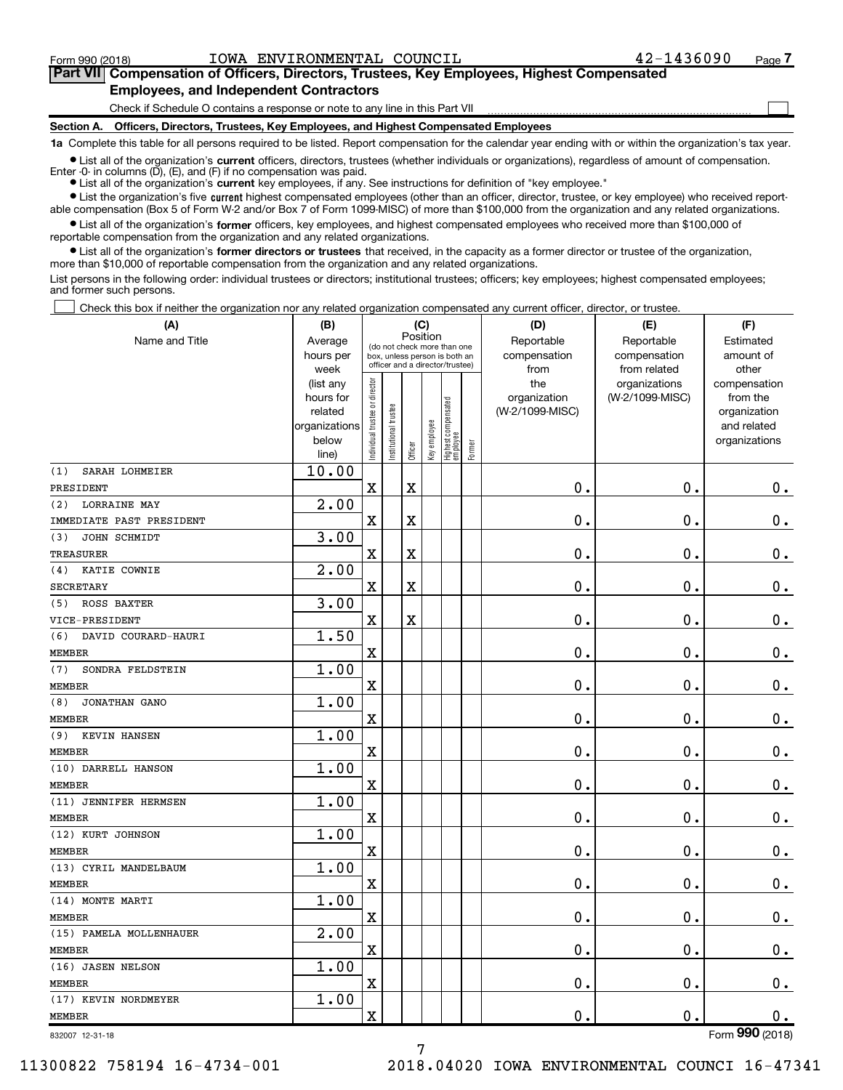$\Box$ 

#### **Part VII Compensation of Officers, Directors, Trustees, Key Employees, Highest Compensated Employees, and Independent Contractors**

Check if Schedule O contains a response or note to any line in this Part VII

**Section A. Officers, Directors, Trustees, Key Employees, and Highest Compensated Employees**

**1a**  Complete this table for all persons required to be listed. Report compensation for the calendar year ending with or within the organization's tax year.

 $\bullet$  List all of the organization's current officers, directors, trustees (whether individuals or organizations), regardless of amount of compensation.

**•** List all of the organization's **current** key employees, if any. See instructions for definition of "key employee." Enter -0- in columns  $(D)$ ,  $(E)$ , and  $(F)$  if no compensation was paid.

**•** List the organization's five current highest compensated employees (other than an officer, director, trustee, or key employee) who received report-

 $\bullet$  List all of the organization's former officers, key employees, and highest compensated employees who received more than \$100,000 of able compensation (Box 5 of Form W-2 and/or Box 7 of Form 1099-MISC) of more than \$100,000 from the organization and any related organizations. reportable compensation from the organization and any related organizations.

**•** List all of the organization's former directors or trustees that received, in the capacity as a former director or trustee of the organization, more than \$10,000 of reportable compensation from the organization and any related organizations.

List persons in the following order: individual trustees or directors; institutional trustees; officers; key employees; highest compensated employees; and former such persons.

Check this box if neither the organization nor any related organization compensated any current officer, director, or trustee.  $\Box$ 

| (A)                        | (B)               | (C)                                     |                                                                  |                         |              |                                   |        | (D)             | (E)                           | (F)                   |
|----------------------------|-------------------|-----------------------------------------|------------------------------------------------------------------|-------------------------|--------------|-----------------------------------|--------|-----------------|-------------------------------|-----------------------|
| Name and Title             | Average           | Position<br>(do not check more than one |                                                                  |                         |              |                                   |        | Reportable      | Reportable                    | Estimated             |
|                            | hours per         |                                         | box, unless person is both an<br>officer and a director/trustee) |                         |              |                                   |        | compensation    | compensation                  | amount of             |
|                            | week<br>(list any |                                         |                                                                  |                         |              |                                   |        | from<br>the     | from related<br>organizations | other<br>compensation |
|                            | hours for         | Individual trustee or director          |                                                                  |                         |              |                                   |        | organization    | (W-2/1099-MISC)               | from the              |
|                            | related           |                                         |                                                                  |                         |              |                                   |        | (W-2/1099-MISC) |                               | organization          |
|                            | organizations     |                                         |                                                                  |                         |              |                                   |        |                 |                               | and related           |
|                            | below             |                                         | Institutional trustee                                            |                         | Key employee |                                   |        |                 |                               | organizations         |
|                            | line)             |                                         |                                                                  | Officer                 |              | Highest compensated<br>  employee | Former |                 |                               |                       |
| SARAH LOHMEIER<br>(1)      | 10.00             |                                         |                                                                  |                         |              |                                   |        |                 |                               |                       |
| PRESIDENT                  |                   | $\mathbf x$                             |                                                                  | $\mathbf X$             |              |                                   |        | 0.              | 0.                            | $0_{.}$               |
| <b>LORRAINE MAY</b><br>(2) | 2.00              |                                         |                                                                  |                         |              |                                   |        |                 |                               |                       |
| IMMEDIATE PAST PRESIDENT   |                   | $\rm X$                                 |                                                                  | $\mathbf X$             |              |                                   |        | 0.              | $\mathbf 0$ .                 | 0.                    |
| JOHN SCHMIDT<br>(3)        | 3.00              |                                         |                                                                  |                         |              |                                   |        |                 |                               |                       |
| TREASURER                  |                   | $\overline{\mathbf{X}}$                 |                                                                  | $\overline{\textbf{X}}$ |              |                                   |        | 0.              | 0.                            | $0_{.}$               |
| KATIE COWNIE<br>(4)        | 2.00              |                                         |                                                                  |                         |              |                                   |        |                 |                               |                       |
| <b>SECRETARY</b>           |                   | $\overline{\mathbf{X}}$                 |                                                                  | $\mathbf X$             |              |                                   |        | 0.              | $\mathbf 0$ .                 | $\mathbf 0$ .         |
| (5)<br>ROSS BAXTER         | 3.00              |                                         |                                                                  |                         |              |                                   |        |                 |                               |                       |
| VICE-PRESIDENT             |                   | X                                       |                                                                  | $\mathbf X$             |              |                                   |        | 0.              | $\mathbf 0$ .                 | $0_{.}$               |
| DAVID COURARD-HAURI<br>(6) | 1.50              |                                         |                                                                  |                         |              |                                   |        |                 |                               |                       |
| <b>MEMBER</b>              |                   | $\overline{\mathbf{X}}$                 |                                                                  |                         |              |                                   |        | 0.              | $\mathbf 0$ .                 | 0.                    |
| SONDRA FELDSTEIN<br>(7)    | 1.00              |                                         |                                                                  |                         |              |                                   |        |                 |                               |                       |
| <b>MEMBER</b>              |                   | $\overline{\text{X}}$                   |                                                                  |                         |              |                                   |        | 0.              | 0.                            | $0_{.}$               |
| JONATHAN GANO<br>(8)       | 1.00              |                                         |                                                                  |                         |              |                                   |        |                 |                               |                       |
| <b>MEMBER</b>              |                   | $\overline{\mathbf{X}}$                 |                                                                  |                         |              |                                   |        | $\mathbf 0$ .   | 0.                            | $\mathbf 0$ .         |
| (9)<br>KEVIN HANSEN        | 1.00              |                                         |                                                                  |                         |              |                                   |        |                 |                               |                       |
| <b>MEMBER</b>              |                   | X                                       |                                                                  |                         |              |                                   |        | 0.              | 0.                            | 0.                    |
| (10) DARRELL HANSON        | 1.00              |                                         |                                                                  |                         |              |                                   |        |                 |                               |                       |
| <b>MEMBER</b>              |                   | $\overline{\mathbf{X}}$                 |                                                                  |                         |              |                                   |        | 0.              | 0.                            | 0.                    |
| (11) JENNIFER HERMSEN      | 1.00              |                                         |                                                                  |                         |              |                                   |        |                 |                               |                       |
| <b>MEMBER</b>              |                   | $\overline{\mathbf{X}}$                 |                                                                  |                         |              |                                   |        | 0.              | 0.                            | $\mathbf 0$ .         |
| (12) KURT JOHNSON          | 1.00              |                                         |                                                                  |                         |              |                                   |        |                 |                               |                       |
| <b>MEMBER</b>              |                   | $\overline{\mathbf{X}}$                 |                                                                  |                         |              |                                   |        | 0.              | $\mathbf 0$ .                 | $0_{.}$               |
| (13) CYRIL MANDELBAUM      | 1.00              |                                         |                                                                  |                         |              |                                   |        |                 |                               |                       |
| <b>MEMBER</b>              |                   | X                                       |                                                                  |                         |              |                                   |        | 0.              | $\mathbf 0$ .                 | 0.                    |
| (14) MONTE MARTI           | 1.00              |                                         |                                                                  |                         |              |                                   |        |                 |                               |                       |
| <b>MEMBER</b>              |                   | $\overline{\text{X}}$                   |                                                                  |                         |              |                                   |        | 0.              | 0.                            | $\mathbf 0$ .         |
| (15) PAMELA MOLLENHAUER    | $\overline{2.00}$ |                                         |                                                                  |                         |              |                                   |        |                 |                               |                       |
| <b>MEMBER</b>              |                   | $\overline{\mathbf{X}}$                 |                                                                  |                         |              |                                   |        | 0.              | $\mathbf 0$ .                 | $\mathbf 0$ .         |
| (16) JASEN NELSON          | 1.00              |                                         |                                                                  |                         |              |                                   |        |                 |                               |                       |
| <b>MEMBER</b>              |                   | $\overline{\text{X}}$                   |                                                                  |                         |              |                                   |        | 0.              | $\mathbf 0$ .                 | 0.                    |
| (17) KEVIN NORDMEYER       | 1.00              |                                         |                                                                  |                         |              |                                   |        |                 |                               |                       |
| <b>MEMBER</b>              |                   | X                                       |                                                                  |                         |              |                                   |        | 0.              | 0.                            | $0$ .                 |
| 832007 12-31-18            |                   |                                         |                                                                  |                         |              |                                   |        |                 |                               | Form 990 (2018)       |

832007 12-31-18

11300822 758194 16-4734-001 2018.04020 IOWA ENVIRONMENTAL COUNCI 16-47341

7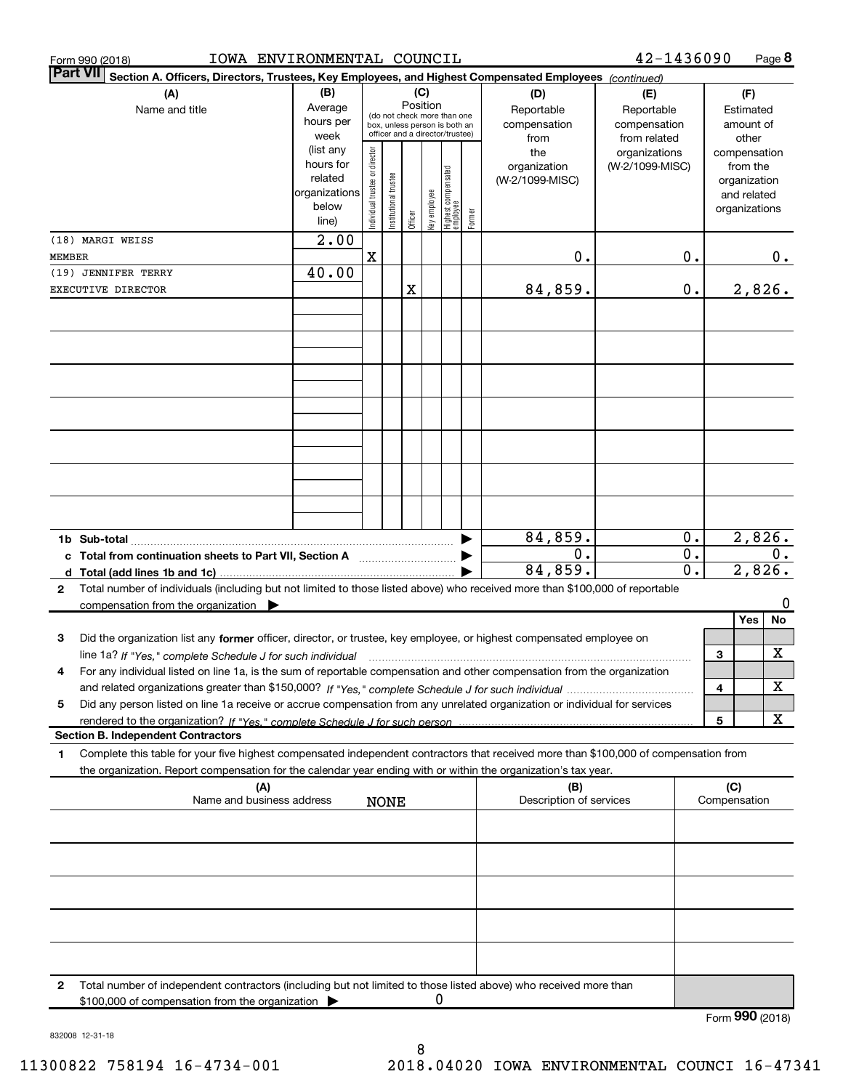| Form 990 (2018)                                                                                                                  | IOWA ENVIRONMENTAL COUNCIL                                                                                                                                                               |                                                         |                                                                  |                       |         |              |                                         |        |                                                  | 42-1436090                                                         |                                 |                        |                                                          | Page $8$ |
|----------------------------------------------------------------------------------------------------------------------------------|------------------------------------------------------------------------------------------------------------------------------------------------------------------------------------------|---------------------------------------------------------|------------------------------------------------------------------|-----------------------|---------|--------------|-----------------------------------------|--------|--------------------------------------------------|--------------------------------------------------------------------|---------------------------------|------------------------|----------------------------------------------------------|----------|
| <b>Part VII</b><br>Section A. Officers, Directors, Trustees, Key Employees, and Highest Compensated Employees (continued)<br>(C) |                                                                                                                                                                                          |                                                         |                                                                  |                       |         |              |                                         |        |                                                  |                                                                    |                                 |                        |                                                          |          |
| (A)<br>Name and title                                                                                                            |                                                                                                                                                                                          | (B)<br>Average<br>hours per<br>week<br>(list any        | box, unless person is both an<br>officer and a director/trustee) |                       |         |              | Position<br>(do not check more than one |        | (D)<br>Reportable<br>compensation<br>from<br>the | (E)<br>Reportable<br>compensation<br>from related<br>organizations |                                 |                        | (F)<br>Estimated<br>amount of<br>other<br>compensation   |          |
|                                                                                                                                  |                                                                                                                                                                                          | hours for<br>related<br>organizations<br>below<br>line) | Individual trustee or director                                   | Institutional trustee | Officer | Key employee | Highest compensated<br>  employee       | Former | organization<br>(W-2/1099-MISC)                  | (W-2/1099-MISC)                                                    |                                 |                        | from the<br>organization<br>and related<br>organizations |          |
|                                                                                                                                  | (18) MARGI WEISS                                                                                                                                                                         | $\overline{2.00}$                                       |                                                                  |                       |         |              |                                         |        |                                                  |                                                                    |                                 |                        |                                                          |          |
| <b>MEMBER</b>                                                                                                                    | (19) JENNIFER TERRY                                                                                                                                                                      | 40.00                                                   | X                                                                |                       |         |              |                                         |        | 0.                                               |                                                                    | 0.                              |                        |                                                          | 0.       |
|                                                                                                                                  | EXECUTIVE DIRECTOR                                                                                                                                                                       |                                                         |                                                                  |                       | X       |              |                                         |        | 84,859.                                          |                                                                    | 0.                              |                        | 2,826.                                                   |          |
|                                                                                                                                  |                                                                                                                                                                                          |                                                         |                                                                  |                       |         |              |                                         |        |                                                  |                                                                    |                                 |                        |                                                          |          |
|                                                                                                                                  |                                                                                                                                                                                          |                                                         |                                                                  |                       |         |              |                                         |        |                                                  |                                                                    |                                 |                        |                                                          |          |
|                                                                                                                                  |                                                                                                                                                                                          |                                                         |                                                                  |                       |         |              |                                         |        |                                                  |                                                                    |                                 |                        |                                                          |          |
|                                                                                                                                  |                                                                                                                                                                                          |                                                         |                                                                  |                       |         |              |                                         |        |                                                  |                                                                    |                                 |                        |                                                          |          |
|                                                                                                                                  | 1b Sub-total<br>c Total from continuation sheets to Part VII, Section A                                                                                                                  |                                                         |                                                                  |                       |         |              |                                         |        | 84,859.<br>0.<br>84,859.                         |                                                                    | 0.<br>$0$ .<br>$\overline{0}$ . | 2,826.<br>0.<br>2,826. |                                                          |          |
| $\mathbf{2}$                                                                                                                     | Total number of individuals (including but not limited to those listed above) who received more than \$100,000 of reportable<br>compensation from the organization $\blacktriangleright$ |                                                         |                                                                  |                       |         |              |                                         |        |                                                  |                                                                    |                                 |                        |                                                          |          |
|                                                                                                                                  |                                                                                                                                                                                          |                                                         |                                                                  |                       |         |              |                                         |        |                                                  |                                                                    |                                 |                        | Yes                                                      | No       |
| 3                                                                                                                                | Did the organization list any former officer, director, or trustee, key employee, or highest compensated employee on                                                                     |                                                         |                                                                  |                       |         |              |                                         |        |                                                  |                                                                    |                                 |                        |                                                          |          |
| 4                                                                                                                                | line 1a? If "Yes," complete Schedule J for such individual<br>For any individual listed on line 1a, is the sum of reportable compensation and other compensation from the organization   |                                                         |                                                                  |                       |         |              |                                         |        |                                                  |                                                                    |                                 | 3                      |                                                          | Χ        |
|                                                                                                                                  |                                                                                                                                                                                          |                                                         |                                                                  |                       |         |              |                                         |        |                                                  |                                                                    |                                 | 4                      |                                                          | X        |
| 5                                                                                                                                | Did any person listed on line 1a receive or accrue compensation from any unrelated organization or individual for services                                                               |                                                         |                                                                  |                       |         |              |                                         |        |                                                  |                                                                    |                                 |                        |                                                          |          |
|                                                                                                                                  |                                                                                                                                                                                          |                                                         |                                                                  |                       |         |              |                                         |        |                                                  |                                                                    |                                 | 5                      |                                                          | X        |
| 1                                                                                                                                | <b>Section B. Independent Contractors</b><br>Complete this table for your five highest compensated independent contractors that received more than \$100,000 of compensation from        |                                                         |                                                                  |                       |         |              |                                         |        |                                                  |                                                                    |                                 |                        |                                                          |          |
|                                                                                                                                  | the organization. Report compensation for the calendar year ending with or within the organization's tax year.<br>(A)<br>Name and business address                                       |                                                         |                                                                  |                       |         |              |                                         |        | (B)                                              |                                                                    |                                 | (C)                    |                                                          |          |
|                                                                                                                                  |                                                                                                                                                                                          |                                                         |                                                                  | <b>NONE</b>           |         |              |                                         |        | Description of services                          |                                                                    |                                 |                        | Compensation                                             |          |
|                                                                                                                                  |                                                                                                                                                                                          |                                                         |                                                                  |                       |         |              |                                         |        |                                                  |                                                                    |                                 |                        |                                                          |          |
|                                                                                                                                  |                                                                                                                                                                                          |                                                         |                                                                  |                       |         |              |                                         |        |                                                  |                                                                    |                                 |                        |                                                          |          |
|                                                                                                                                  |                                                                                                                                                                                          |                                                         |                                                                  |                       |         |              |                                         |        |                                                  |                                                                    |                                 |                        |                                                          |          |
| 2                                                                                                                                | Total number of independent contractors (including but not limited to those listed above) who received more than<br>\$100,000 of compensation from the organization                      |                                                         |                                                                  |                       |         | O            |                                         |        |                                                  |                                                                    |                                 |                        |                                                          |          |
|                                                                                                                                  |                                                                                                                                                                                          |                                                         |                                                                  |                       |         |              |                                         |        |                                                  |                                                                    |                                 |                        | Form 990 (2018)                                          |          |

832008 12-31-18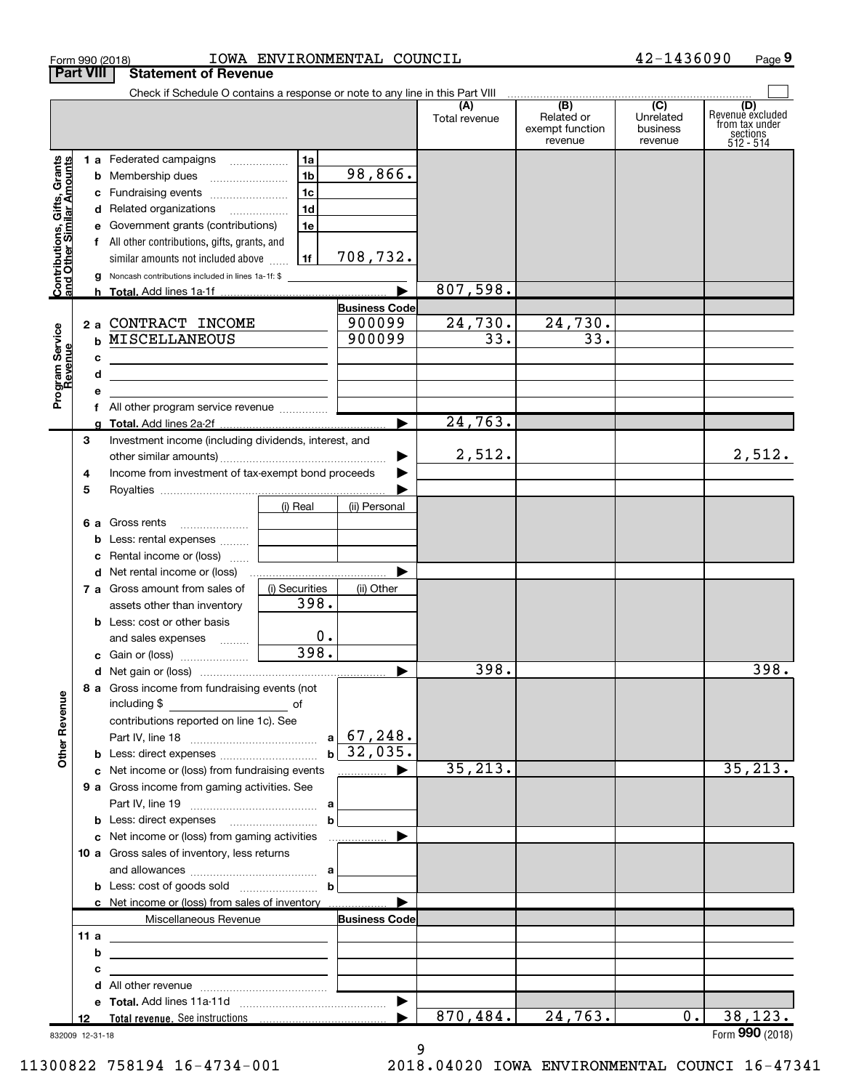|                                                           | 42-1436090<br>IOWA ENVIRONMENTAL COUNCIL<br>Form 990 (2018) |                                                                                                                                                                                                                                                                                                                                                                                                                                                  |                                                |                                                                 |                            |                                      | Page 9                                  |                                           |
|-----------------------------------------------------------|-------------------------------------------------------------|--------------------------------------------------------------------------------------------------------------------------------------------------------------------------------------------------------------------------------------------------------------------------------------------------------------------------------------------------------------------------------------------------------------------------------------------------|------------------------------------------------|-----------------------------------------------------------------|----------------------------|--------------------------------------|-----------------------------------------|-------------------------------------------|
|                                                           | <b>Part VIII</b>                                            | <b>Statement of Revenue</b>                                                                                                                                                                                                                                                                                                                                                                                                                      |                                                |                                                                 |                            |                                      |                                         |                                           |
|                                                           |                                                             | Check if Schedule O contains a response or note to any line in this Part VIII                                                                                                                                                                                                                                                                                                                                                                    |                                                |                                                                 | (A)<br>Total revenue       | (B)<br>Related or<br>exempt function | $\overline{C}$<br>Unrelated<br>business | (D)<br>Revenue excluded<br>from tax under |
| Contributions, Gifts, Grants<br>and Other Similar Amounts | c                                                           | 1 a Federated campaigns<br>c Fundraising events<br>d Related organizations<br>e Government grants (contributions)<br>f All other contributions, gifts, grants, and<br>similar amounts not included above<br><b>g</b> Noncash contributions included in lines 1a-1f: \$<br>2 a CONTRACT INCOME<br><b>b MISCELLANEOUS</b><br><u> 1989 - Johann Stein, mars and de Branch and de Branch and de Branch and de Branch and de Branch and de Branch</u> | 1a<br>1 <sub>b</sub><br>1c<br>1d<br>1e<br>  1f | 98,866.<br>708,732.<br><b>Business Code</b><br>900099<br>900099 | 807,598.<br>24,730.<br>33. | revenue<br>24,730.<br>33.            | revenue                                 | sections<br>512 - 514                     |
| Program Service<br>Revenue                                | d<br>е<br>З                                                 | <u> 1989 - Johann Stein, mars an deutscher Stein († 1989)</u><br>f All other program service revenue<br>Investment income (including dividends, interest, and                                                                                                                                                                                                                                                                                    |                                                | ▶                                                               | 24,763.                    |                                      |                                         |                                           |
|                                                           | 4<br>5                                                      | Income from investment of tax-exempt bond proceeds                                                                                                                                                                                                                                                                                                                                                                                               | (i) Real                                       | ▶<br>▶<br>(ii) Personal                                         | 2,512.                     |                                      |                                         | 2,512.                                    |
|                                                           |                                                             | <b>6 a</b> Gross rents<br><b>b</b> Less: rental expenses<br>c Rental income or (loss)<br>d Net rental income or (loss)                                                                                                                                                                                                                                                                                                                           |                                                |                                                                 |                            |                                      |                                         |                                           |
|                                                           |                                                             | 7 a Gross amount from sales of<br>assets other than inventory<br><b>b</b> Less: cost or other basis<br>and sales expenses<br>c Gain or (loss)                                                                                                                                                                                                                                                                                                    | (i) Securities<br>398.<br>0.<br>398.           | (ii) Other                                                      |                            |                                      |                                         |                                           |
| <b>Other Revenue</b>                                      |                                                             | 8 a Gross income from fundraising events (not<br>contributions reported on line 1c). See                                                                                                                                                                                                                                                                                                                                                         |                                                | $a \mid 67, 248.$<br> 32,035.                                   | 398.                       |                                      |                                         | 398.                                      |
|                                                           |                                                             | c Net income or (loss) from fundraising events<br>9 a Gross income from gaming activities. See                                                                                                                                                                                                                                                                                                                                                   | $\mathbf b$                                    | ▶<br>.                                                          | 35, 213.                   |                                      |                                         | 35, 213.                                  |
|                                                           |                                                             | c Net income or (loss) from gaming activities<br>10 a Gross sales of inventory, less returns<br>c Net income or (loss) from sales of inventory                                                                                                                                                                                                                                                                                                   | $\mathbf b$                                    | ▶                                                               |                            |                                      |                                         |                                           |
|                                                           | 11 a<br>b<br>с                                              | Miscellaneous Revenue<br><u> 1989 - Johann Harry Harry Harry Harry Harry Harry Harry Harry Harry Harry Harry Harry Harry Harry Harry Harry</u><br>d                                                                                                                                                                                                                                                                                              |                                                | <b>Business Code</b><br>▶                                       |                            |                                      |                                         |                                           |
|                                                           | 12<br>832009 12-31-18                                       |                                                                                                                                                                                                                                                                                                                                                                                                                                                  |                                                |                                                                 | 870,484.                   | 24,763.                              | 0.1                                     | 38, 123.<br>Form 990 (2018)               |

9

832009 12-31-18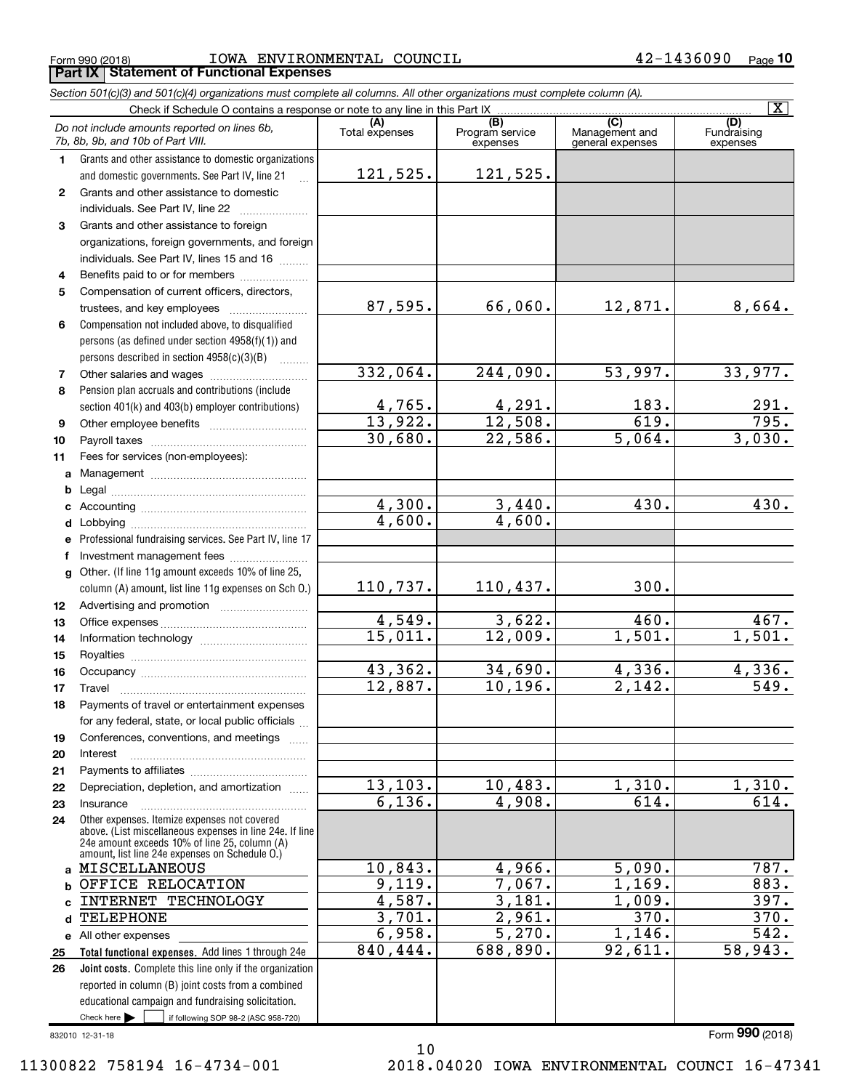$_{\rm Form}$   $_{990}$  (2018)  $_{\rm PQe}$   $_{\rm TOWA}$   $_{\rm ENVIRONMENTAL}$   $_{\rm COUNC1L}$   $_{\rm 42-1436090}$   $_{\rm Page}$ **Part IX Statement of Functional Expenses**

*Section 501(c)(3) and 501(c)(4) organizations must complete all columns. All other organizations must complete column (A).*

|          |                                                                                                 |                          |                                                 |                                                      | $\mathbf{X}$                   |
|----------|-------------------------------------------------------------------------------------------------|--------------------------|-------------------------------------------------|------------------------------------------------------|--------------------------------|
|          | Do not include amounts reported on lines 6b,<br>7b, 8b, 9b, and 10b of Part VIII.               | (A)<br>Total expenses    | $\overline{(B)}$<br>Program service<br>expenses | $\overline{C}$<br>Management and<br>general expenses | (D)<br>Fundraising<br>expenses |
| 1        | Grants and other assistance to domestic organizations                                           |                          |                                                 |                                                      |                                |
|          | and domestic governments. See Part IV, line 21                                                  | 121,525.                 | 121,525.                                        |                                                      |                                |
| 2        | Grants and other assistance to domestic                                                         |                          |                                                 |                                                      |                                |
|          | individuals. See Part IV, line 22                                                               |                          |                                                 |                                                      |                                |
| 3        | Grants and other assistance to foreign                                                          |                          |                                                 |                                                      |                                |
|          | organizations, foreign governments, and foreign                                                 |                          |                                                 |                                                      |                                |
|          | individuals. See Part IV, lines 15 and 16                                                       |                          |                                                 |                                                      |                                |
| 4        | Benefits paid to or for members                                                                 |                          |                                                 |                                                      |                                |
| 5        | Compensation of current officers, directors,                                                    |                          |                                                 |                                                      |                                |
|          | trustees, and key employees                                                                     | 87,595.                  | 66,060.                                         | 12,871.                                              | 8,664.                         |
| 6        | Compensation not included above, to disqualified                                                |                          |                                                 |                                                      |                                |
|          | persons (as defined under section 4958(f)(1)) and                                               |                          |                                                 |                                                      |                                |
|          | persons described in section 4958(c)(3)(B)                                                      |                          |                                                 |                                                      |                                |
| 7        |                                                                                                 | 332,064.                 | 244,090.                                        | 53,997.                                              | 33,977.                        |
| 8        | Pension plan accruals and contributions (include                                                |                          |                                                 |                                                      |                                |
|          | section 401(k) and 403(b) employer contributions)                                               | $\frac{4,765}{13,922}$ . | $\frac{4,291}{12,508}$                          | 183.                                                 | $\frac{291}{795}$ .            |
| 9        |                                                                                                 |                          |                                                 | 619.                                                 |                                |
| 10       |                                                                                                 | 30,680.                  | 22,586.                                         | 5,064.                                               | 3,030.                         |
| 11       | Fees for services (non-employees):                                                              |                          |                                                 |                                                      |                                |
| a        |                                                                                                 |                          |                                                 |                                                      |                                |
| b        |                                                                                                 |                          |                                                 |                                                      |                                |
|          |                                                                                                 | 4,300.                   | 3,440.                                          | 430.                                                 | 430.                           |
|          |                                                                                                 | 4,600.                   | 4,600.                                          |                                                      |                                |
|          | e Professional fundraising services. See Part IV, line 17                                       |                          |                                                 |                                                      |                                |
| f        | Investment management fees                                                                      |                          |                                                 |                                                      |                                |
| g        | Other. (If line 11g amount exceeds 10% of line 25,                                              |                          |                                                 |                                                      |                                |
|          | column (A) amount, list line 11g expenses on Sch O.)                                            | 110,737.                 | 110,437.                                        | 300.                                                 |                                |
| 12       |                                                                                                 |                          |                                                 |                                                      |                                |
| 13       |                                                                                                 | 4,549.                   | 3,622.                                          | 460.                                                 | 467.                           |
| 14       |                                                                                                 | 15,011.                  | 12,009.                                         | $\overline{1,501}$ .                                 | 1,501.                         |
| 15       |                                                                                                 |                          |                                                 |                                                      |                                |
| 16       |                                                                                                 | 43,362.                  | 34,690.                                         | 4,336.                                               | 4,336.<br>$\overline{549}$ .   |
| 17       | Travel                                                                                          | 12,887.                  | 10, 196.                                        | 2,142.                                               |                                |
| 18       | Payments of travel or entertainment expenses                                                    |                          |                                                 |                                                      |                                |
|          | for any federal, state, or local public officials                                               |                          |                                                 |                                                      |                                |
| 19       | Conferences, conventions, and meetings                                                          |                          |                                                 |                                                      |                                |
| 20       | Interest                                                                                        |                          |                                                 |                                                      |                                |
| 21<br>22 | Depreciation, depletion, and amortization                                                       | 13, 103.                 | 10,483.                                         | 1,310.                                               | 1,310.                         |
| 23       | Insurance                                                                                       | 6,136.                   | 4,908.                                          | 614.                                                 | 614.                           |
| 24       | Other expenses. Itemize expenses not covered                                                    |                          |                                                 |                                                      |                                |
|          | above. (List miscellaneous expenses in line 24e. If line                                        |                          |                                                 |                                                      |                                |
|          | 24e amount exceeds 10% of line 25, column (A)<br>amount, list line 24e expenses on Schedule 0.) |                          |                                                 |                                                      |                                |
| a        | MISCELLANEOUS                                                                                   | 10,843.                  | 4,966.                                          | 5,090.                                               | 787.                           |
| b        | OFFICE RELOCATION                                                                               | 9,119.                   | 7,067.                                          | 1,169.                                               | 883.                           |
| c        | <b>INTERNET TECHNOLOGY</b>                                                                      | 4,587.                   | 3,181.                                          | 1,009.                                               | 397.                           |
| d        | TELEPHONE                                                                                       | 3,701.                   | $\overline{2,961}$ .                            | $\overline{370}$ .                                   | 370.                           |
|          | e All other expenses                                                                            | 6,958.                   | 5,270.                                          | 1,146.                                               | 542.                           |
| 25       | Total functional expenses. Add lines 1 through 24e                                              | 840,444.                 | 688,890.                                        | 92,611.                                              | 58,943.                        |
| 26       | <b>Joint costs.</b> Complete this line only if the organization                                 |                          |                                                 |                                                      |                                |
|          | reported in column (B) joint costs from a combined                                              |                          |                                                 |                                                      |                                |
|          | educational campaign and fundraising solicitation.                                              |                          |                                                 |                                                      |                                |
|          | Check here $\blacktriangleright$<br>if following SOP 98-2 (ASC 958-720)                         |                          |                                                 |                                                      |                                |

10

832010 12-31-18

Form (2018) **990**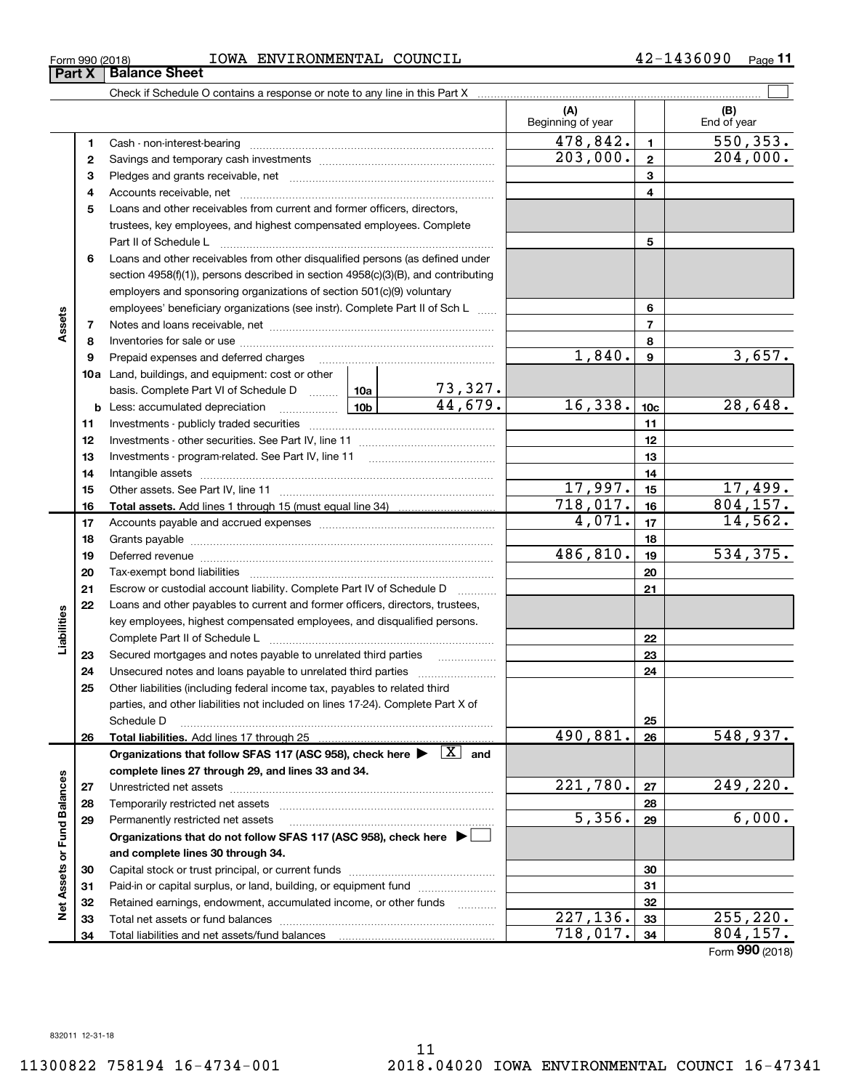| IOWA<br>Form 990 (2018) | ENVIRONMENTAL | COUNCIL | ገ9 በ<br>л<br>. .<br>າ ບ ບ | -<br>Page |
|-------------------------|---------------|---------|---------------------------|-----------|
|                         |               |         |                           |           |

|                             |          | Check if Schedule O contains a response or note to any line in this Part X [11] manusum manusum manusum manusu                                                                                                                 |         |                          |                  |                    |
|-----------------------------|----------|--------------------------------------------------------------------------------------------------------------------------------------------------------------------------------------------------------------------------------|---------|--------------------------|------------------|--------------------|
|                             |          |                                                                                                                                                                                                                                |         | (A)<br>Beginning of year |                  | (B)<br>End of year |
|                             | 1        |                                                                                                                                                                                                                                |         | 478,842.                 | $\mathbf{1}$     | 550, 353.          |
|                             | 2        |                                                                                                                                                                                                                                |         | 203,000.                 | $\mathbf{2}$     | 204,000.           |
|                             | з        |                                                                                                                                                                                                                                |         | 3                        |                  |                    |
|                             | 4        |                                                                                                                                                                                                                                |         | 4                        |                  |                    |
|                             | 5        | Loans and other receivables from current and former officers, directors,                                                                                                                                                       |         |                          |                  |                    |
|                             |          | trustees, key employees, and highest compensated employees. Complete                                                                                                                                                           |         |                          |                  |                    |
|                             |          |                                                                                                                                                                                                                                |         |                          | 5                |                    |
|                             | 6        | Loans and other receivables from other disqualified persons (as defined under                                                                                                                                                  |         |                          |                  |                    |
|                             |          | section $4958(f)(1)$ , persons described in section $4958(c)(3)(B)$ , and contributing                                                                                                                                         |         |                          |                  |                    |
|                             |          | employers and sponsoring organizations of section 501(c)(9) voluntary                                                                                                                                                          |         |                          |                  |                    |
|                             |          | employees' beneficiary organizations (see instr). Complete Part II of Sch L                                                                                                                                                    |         |                          | 6                |                    |
| Assets                      | 7        |                                                                                                                                                                                                                                |         |                          | $\overline{7}$   |                    |
|                             | 8        |                                                                                                                                                                                                                                |         |                          | 8                |                    |
|                             | 9        | Prepaid expenses and deferred charges                                                                                                                                                                                          |         | 1,840.                   | $\boldsymbol{9}$ | 3,657.             |
|                             |          | 10a Land, buildings, and equipment: cost or other                                                                                                                                                                              |         |                          |                  |                    |
|                             |          | basis. Complete Part VI of Schedule D  10a                                                                                                                                                                                     | 73,327. |                          |                  |                    |
|                             |          | <u>  10b</u>  <br><b>b</b> Less: accumulated depreciation                                                                                                                                                                      | 44,679. | 16,338.                  | 10 <sub>c</sub>  | 28,648.            |
|                             | 11       |                                                                                                                                                                                                                                |         |                          | 11               |                    |
|                             | 12       |                                                                                                                                                                                                                                |         |                          | 12               |                    |
|                             | 13       |                                                                                                                                                                                                                                |         |                          | 13               |                    |
|                             | 14       |                                                                                                                                                                                                                                |         |                          | 14               |                    |
|                             | 15       |                                                                                                                                                                                                                                |         | 17,997.                  | 15               | <u>17,499.</u>     |
|                             | 16       |                                                                                                                                                                                                                                |         | 718,017.                 | 16               | 804, 157.          |
|                             | 17       |                                                                                                                                                                                                                                |         | 4,071.                   | 17               | 14,562.            |
|                             | 18       |                                                                                                                                                                                                                                |         |                          | 18               |                    |
|                             | 19       | Deferred revenue material contracts and a contract of the contract of the contract of the contract of the contract of the contract of the contract of the contract of the contract of the contract of the contract of the cont |         | 486,810.                 | 19               | 534,375.           |
|                             | 20       |                                                                                                                                                                                                                                |         |                          | 20               |                    |
|                             | 21       | Escrow or custodial account liability. Complete Part IV of Schedule D                                                                                                                                                          |         |                          | 21               |                    |
|                             | 22       | Loans and other payables to current and former officers, directors, trustees,                                                                                                                                                  |         |                          |                  |                    |
| Liabilities                 |          | key employees, highest compensated employees, and disqualified persons.                                                                                                                                                        |         |                          |                  |                    |
|                             |          |                                                                                                                                                                                                                                |         |                          | 22               |                    |
|                             | 23       | Secured mortgages and notes payable to unrelated third parties                                                                                                                                                                 |         |                          | 23               |                    |
|                             | 24<br>25 |                                                                                                                                                                                                                                |         |                          | 24               |                    |
|                             |          | Other liabilities (including federal income tax, payables to related third<br>parties, and other liabilities not included on lines 17-24). Complete Part X of                                                                  |         |                          |                  |                    |
|                             |          | Schedule D                                                                                                                                                                                                                     |         |                          | 25               |                    |
|                             | 26       | Total liabilities. Add lines 17 through 25                                                                                                                                                                                     |         | 490,881.                 | 26               | 548,937.           |
|                             |          | Organizations that follow SFAS 117 (ASC 958), check here $\blacktriangleright \begin{array}{ l } \hline X & \text{and} \end{array}$                                                                                            |         |                          |                  |                    |
|                             |          | complete lines 27 through 29, and lines 33 and 34.                                                                                                                                                                             |         |                          |                  |                    |
|                             | 27       |                                                                                                                                                                                                                                |         | 221,780.                 | 27               | 249,220.           |
|                             | 28       |                                                                                                                                                                                                                                |         |                          | 28               |                    |
|                             | 29       | Permanently restricted net assets                                                                                                                                                                                              |         | 5,356.                   | 29               | 6,000.             |
|                             |          | Organizations that do not follow SFAS 117 (ASC 958), check here $\blacktriangleright$                                                                                                                                          |         |                          |                  |                    |
| Net Assets or Fund Balances |          | and complete lines 30 through 34.                                                                                                                                                                                              |         |                          |                  |                    |
|                             | 30       |                                                                                                                                                                                                                                |         |                          | 30               |                    |
|                             | 31       | Paid-in or capital surplus, or land, building, or equipment fund                                                                                                                                                               |         |                          | 31               |                    |
|                             | 32       | Retained earnings, endowment, accumulated income, or other funds                                                                                                                                                               |         |                          | 32               |                    |
|                             | 33       |                                                                                                                                                                                                                                |         | 227,136.                 | 33               | 255, 220.          |
|                             | 34       | Total liabilities and net assets/fund balances                                                                                                                                                                                 |         | 718,017.                 | 34               | 804,157.           |

Form (2018) **990**

# **Part X Balance Sheet**<br>**Part X Bala**

| 1201 O               |  |  |  | ᅩ◡₩చ |  |  |
|----------------------|--|--|--|------|--|--|
| <b>Balance Sheet</b> |  |  |  |      |  |  |
|                      |  |  |  |      |  |  |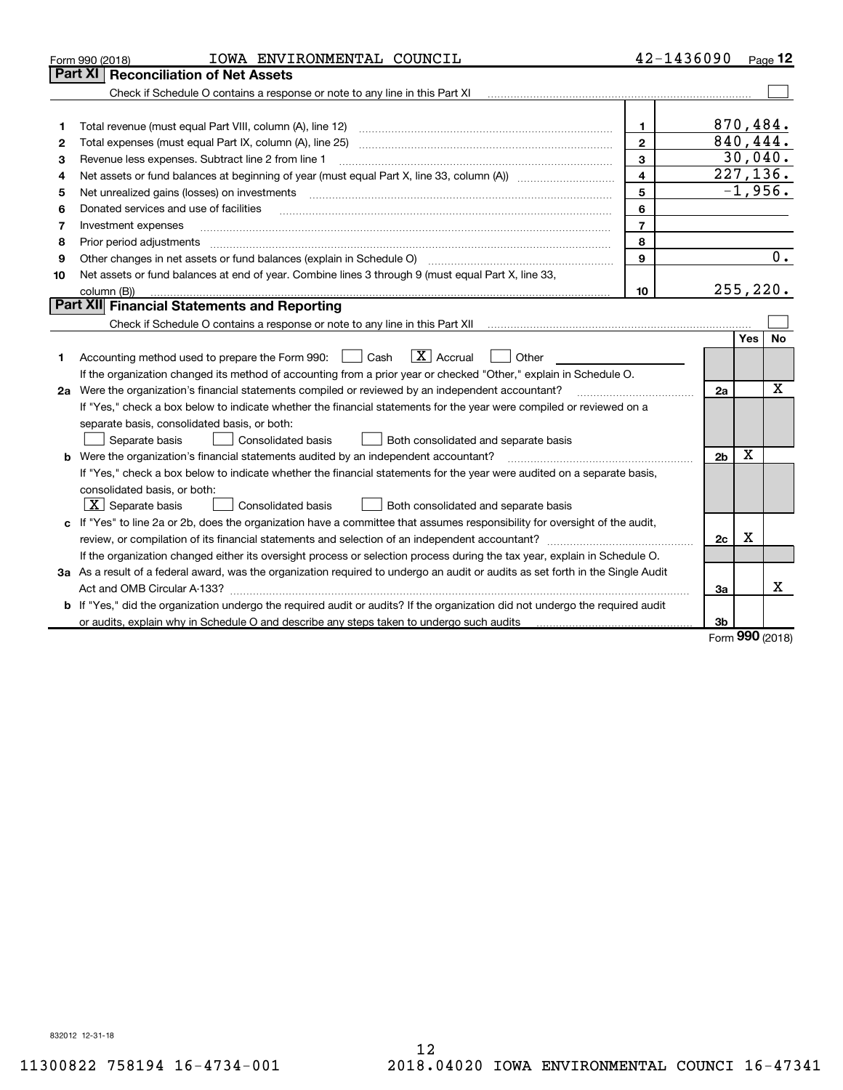|    | IOWA ENVIRONMENTAL COUNCIL<br>Form 990 (2018)                                                                                   | 42-1436090     |                |          | Page 12   |
|----|---------------------------------------------------------------------------------------------------------------------------------|----------------|----------------|----------|-----------|
|    | <b>Part XI</b><br><b>Reconciliation of Net Assets</b>                                                                           |                |                |          |           |
|    |                                                                                                                                 |                |                |          |           |
|    |                                                                                                                                 |                |                |          |           |
| 1  |                                                                                                                                 | $\mathbf{1}$   | 870,484.       |          |           |
| 2  | Total expenses (must equal Part IX, column (A), line 25)                                                                        | $\overline{2}$ | 840, 444.      |          |           |
| 3  | Revenue less expenses. Subtract line 2 from line 1                                                                              | 3              |                |          | 30,040.   |
| 4  |                                                                                                                                 | 4              |                |          | 227, 136. |
| 5  | Net unrealized gains (losses) on investments                                                                                    | 5              |                |          | $-1,956.$ |
| 6  | Donated services and use of facilities                                                                                          | 6              |                |          |           |
| 7  | Investment expenses                                                                                                             | $\overline{7}$ |                |          |           |
| 8  | Prior period adjustments                                                                                                        | 8              |                |          |           |
| 9  | Other changes in net assets or fund balances (explain in Schedule O)                                                            | 9              |                |          | 0.        |
| 10 | Net assets or fund balances at end of year. Combine lines 3 through 9 (must equal Part X, line 33,                              |                |                |          |           |
|    | column (B))                                                                                                                     | 10             |                |          | 255, 220. |
|    | <b>Part XII</b> Financial Statements and Reporting                                                                              |                |                |          |           |
|    | Check if Schedule O contains a response or note to any line in this Part XII                                                    |                |                |          |           |
|    |                                                                                                                                 |                |                | Yes      | No        |
| 1  | $\boxed{\mathbf{X}}$ Accrual<br>Accounting method used to prepare the Form 990: <u>I</u> Cash<br>Other                          |                |                |          |           |
|    | If the organization changed its method of accounting from a prior year or checked "Other," explain in Schedule O.               |                |                |          |           |
|    | 2a Were the organization's financial statements compiled or reviewed by an independent accountant?                              |                | 2a             |          | X         |
|    | If "Yes," check a box below to indicate whether the financial statements for the year were compiled or reviewed on a            |                |                |          |           |
|    | separate basis, consolidated basis, or both:                                                                                    |                |                |          |           |
|    | Separate basis<br><b>Consolidated basis</b><br>Both consolidated and separate basis                                             |                |                |          |           |
|    | <b>b</b> Were the organization's financial statements audited by an independent accountant?                                     |                | 2 <sub>b</sub> | X        |           |
|    | If "Yes," check a box below to indicate whether the financial statements for the year were audited on a separate basis,         |                |                |          |           |
|    | consolidated basis, or both:                                                                                                    |                |                |          |           |
|    | $X$ Separate basis<br>Consolidated basis<br>Both consolidated and separate basis                                                |                |                |          |           |
|    | c If "Yes" to line 2a or 2b, does the organization have a committee that assumes responsibility for oversight of the audit,     |                |                |          |           |
|    |                                                                                                                                 |                | 2c             | х        |           |
|    | If the organization changed either its oversight process or selection process during the tax year, explain in Schedule O.       |                |                |          |           |
|    | 3a As a result of a federal award, was the organization required to undergo an audit or audits as set forth in the Single Audit |                |                |          |           |
|    |                                                                                                                                 |                | За             |          | x         |
|    | b If "Yes," did the organization undergo the required audit or audits? If the organization did not undergo the required audit   |                |                |          |           |
|    | or audits, explain why in Schedule O and describe any steps taken to undergo such audits                                        |                | 3b             | $\Omega$ |           |

Form (2018) **990**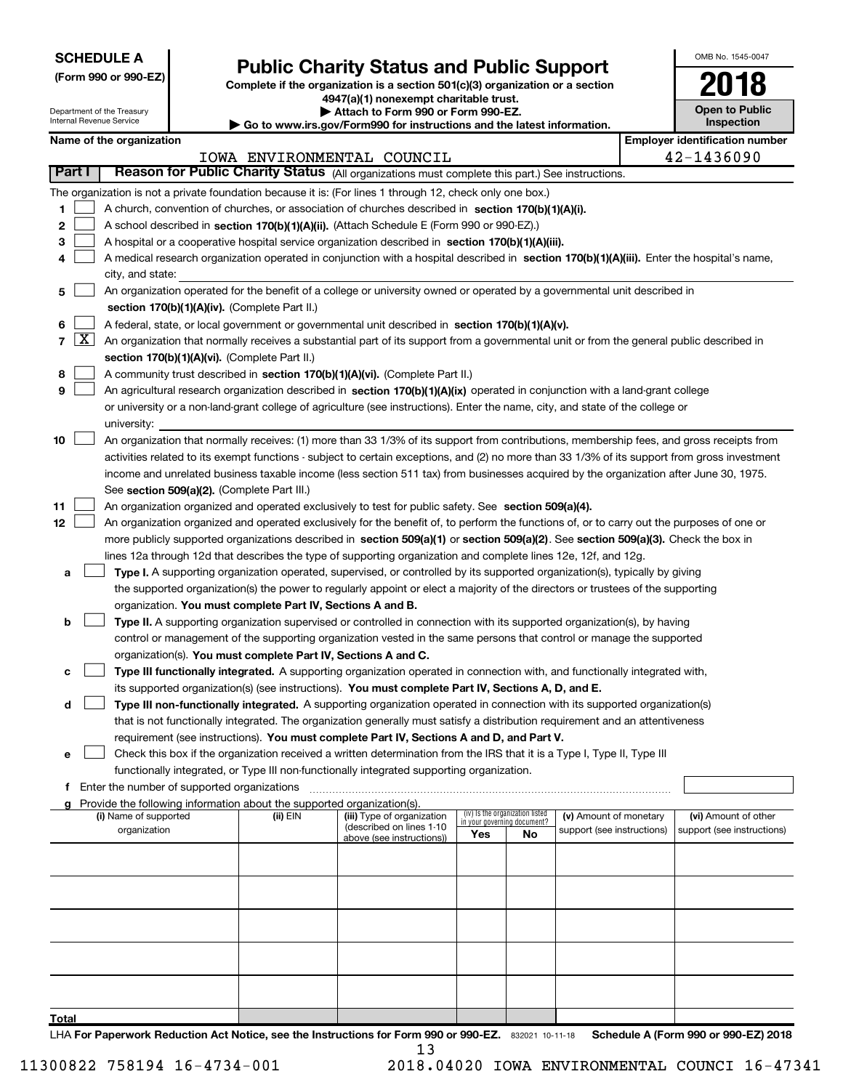| <b>SCHEDULE A</b> |
|-------------------|
|-------------------|

Department of the Treasury Internal Revenue Service

| (Form 990 or 990-EZ) |  |  |  |  |
|----------------------|--|--|--|--|
|----------------------|--|--|--|--|

# **Public Charity Status and Public Support 2018**

Complete if the organization is a section 501(c)(3) organization or a section **4947(a)(1) nonexempt charitable trust.**

|  | Attach to Form 990 or Form 990-EZ. |  |  |
|--|------------------------------------|--|--|
|  |                                    |  |  |

| Go to www.irs.gov/Form990 for instructions and the latest information. |  |  |
|------------------------------------------------------------------------|--|--|
|                                                                        |  |  |

| OMB No. 1545-0047                   |
|-------------------------------------|
|                                     |
| <b>Open to Public</b><br>Inspection |

|  | Name of the organization |
|--|--------------------------|
|--|--------------------------|

|                       | Name of the organization                                                                                                                      | <b>Employer identification number</b> |
|-----------------------|-----------------------------------------------------------------------------------------------------------------------------------------------|---------------------------------------|
|                       | IOWA ENVIRONMENTAL COUNCIL                                                                                                                    | 42-1436090                            |
| <b>Part I</b>         | Reason for Public Charity Status (All organizations must complete this part.) See instructions.                                               |                                       |
|                       | The organization is not a private foundation because it is: (For lines 1 through 12, check only one box.)                                     |                                       |
| 1                     | A church, convention of churches, or association of churches described in section $170(b)(1)(A)(i)$ .                                         |                                       |
| 2                     | A school described in section 170(b)(1)(A)(ii). (Attach Schedule E (Form 990 or 990-EZ).)                                                     |                                       |
| з                     | A hospital or a cooperative hospital service organization described in section 170(b)(1)(A)(iii).                                             |                                       |
|                       | A medical research organization operated in conjunction with a hospital described in section 170(b)(1)(A)(iii). Enter the hospital's name,    |                                       |
|                       | city, and state:                                                                                                                              |                                       |
| 5                     | An organization operated for the benefit of a college or university owned or operated by a governmental unit described in                     |                                       |
|                       | section 170(b)(1)(A)(iv). (Complete Part II.)                                                                                                 |                                       |
| 6                     | A federal, state, or local government or governmental unit described in section 170(b)(1)(A)(v).                                              |                                       |
| 7 $\lfloor x \rfloor$ | An organization that normally receives a substantial part of its support from a governmental unit or from the general public described in     |                                       |
|                       | section 170(b)(1)(A)(vi). (Complete Part II.)                                                                                                 |                                       |
| 8                     | A community trust described in section 170(b)(1)(A)(vi). (Complete Part II.)                                                                  |                                       |
| 9                     | An agricultural research organization described in section $170(b)(1)(A)(ix)$ operated in conjunction with a land-grant college               |                                       |
|                       | or university or a non-land-grant college of agriculture (see instructions). Enter the name, city, and state of the college or                |                                       |
|                       | university:                                                                                                                                   |                                       |
| 10                    | An organization that normally receives: (1) more than 33 1/3% of its support from contributions, membership fees, and gross receipts from     |                                       |
|                       | activities related to its exempt functions - subject to certain exceptions, and (2) no more than 33 1/3% of its support from gross investment |                                       |
|                       | income and unrelated business taxable income (less section 511 tax) from businesses acquired by the organization after June 30, 1975.         |                                       |
|                       | See section 509(a)(2). (Complete Part III.)                                                                                                   |                                       |
| 11                    | An organization organized and operated exclusively to test for public safety. See section 509(a)(4).                                          |                                       |
| 12                    | An organization organized and operated exclusively for the benefit of, to perform the functions of, or to carry out the purposes of one or    |                                       |
|                       | more publicly supported organizations described in section 509(a)(1) or section 509(a)(2). See section 509(a)(3). Check the box in            |                                       |
|                       | lines 12a through 12d that describes the type of supporting organization and complete lines 12e, 12f, and 12g.                                |                                       |
| a                     | Type I. A supporting organization operated, supervised, or controlled by its supported organization(s), typically by giving                   |                                       |
|                       | the supported organization(s) the power to regularly appoint or elect a majority of the directors or trustees of the supporting               |                                       |
|                       | organization. You must complete Part IV, Sections A and B.                                                                                    |                                       |
| b                     | Type II. A supporting organization supervised or controlled in connection with its supported organization(s), by having                       |                                       |
|                       | control or management of the supporting organization vested in the same persons that control or manage the supported                          |                                       |
|                       | organization(s). You must complete Part IV, Sections A and C.                                                                                 |                                       |
| c                     | Type III functionally integrated. A supporting organization operated in connection with, and functionally integrated with,                    |                                       |
|                       | its supported organization(s) (see instructions). You must complete Part IV, Sections A, D, and E.                                            |                                       |
| d                     | Type III non-functionally integrated. A supporting organization operated in connection with its supported organization(s)                     |                                       |
|                       | that is not functionally integrated. The organization generally must satisfy a distribution requirement and an attentiveness                  |                                       |
|                       | requirement (see instructions). You must complete Part IV, Sections A and D, and Part V.                                                      |                                       |
| е                     | Check this box if the organization received a written determination from the IRS that it is a Type I, Type II, Type III                       |                                       |
|                       | functionally integrated, or Type III non-functionally integrated supporting organization.                                                     |                                       |

**f** Enter the number of supported organizations ~~~~~~~~~~~~~~~~~~~~~~~~~~~~~~~~~~~~~

| Provide the following information about the supported organization(s).<br>a |          |                            |                                                                |     |                            |                            |
|-----------------------------------------------------------------------------|----------|----------------------------|----------------------------------------------------------------|-----|----------------------------|----------------------------|
| (i) Name of supported                                                       | (ii) EIN | (iii) Type of organization | (iv) Is the organization listed<br>in your governing document? |     | (v) Amount of monetary     | (vi) Amount of other       |
| organization                                                                |          | (described on lines 1-10   | Yes                                                            | No. | support (see instructions) | support (see instructions) |
|                                                                             |          | above (see instructions))  |                                                                |     |                            |                            |
|                                                                             |          |                            |                                                                |     |                            |                            |
|                                                                             |          |                            |                                                                |     |                            |                            |
|                                                                             |          |                            |                                                                |     |                            |                            |
|                                                                             |          |                            |                                                                |     |                            |                            |
|                                                                             |          |                            |                                                                |     |                            |                            |
|                                                                             |          |                            |                                                                |     |                            |                            |
|                                                                             |          |                            |                                                                |     |                            |                            |
|                                                                             |          |                            |                                                                |     |                            |                            |
|                                                                             |          |                            |                                                                |     |                            |                            |
|                                                                             |          |                            |                                                                |     |                            |                            |
| Total                                                                       |          |                            |                                                                |     |                            |                            |

LHA For Paperwork Reduction Act Notice, see the Instructions for Form 990 or 990-EZ. 832021 10-11-18 Schedule A (Form 990 or 990-EZ) 2018 13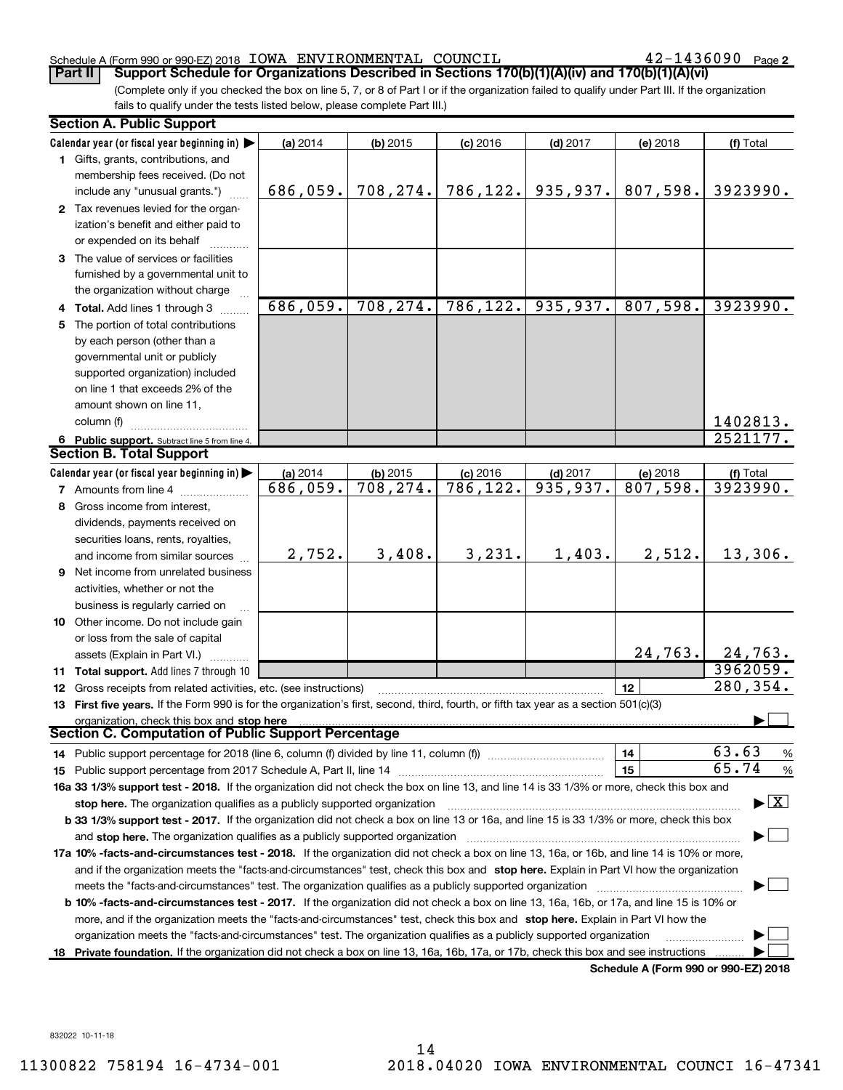#### Schedule A (Form 990 or 990-EZ) 2018 Page IOWA ENVIRONMENTAL COUNCIL 42-1436090

42-1436090 Page 2

(Complete only if you checked the box on line 5, 7, or 8 of Part I or if the organization failed to qualify under Part III. If the organization fails to qualify under the tests listed below, please complete Part III.) **Part II** Support Schedule for Organizations Described in Sections 170(b)(1)(A)(iv) and 170(b)(1)(A)(vi)

| <b>Section A. Public Support</b>                                                                                                           |          |                         |                         |                        |                                      |                                |
|--------------------------------------------------------------------------------------------------------------------------------------------|----------|-------------------------|-------------------------|------------------------|--------------------------------------|--------------------------------|
| Calendar year (or fiscal year beginning in)                                                                                                | (a) 2014 | $(b)$ 2015              | $(c)$ 2016              | $(d)$ 2017             | (e) 2018                             | (f) Total                      |
| 1 Gifts, grants, contributions, and                                                                                                        |          |                         |                         |                        |                                      |                                |
| membership fees received. (Do not                                                                                                          |          |                         |                         |                        |                                      |                                |
| include any "unusual grants.")                                                                                                             | 686,059. | 708,274.                | 786, 122.               | 935,937.               | 807,598.                             | 3923990.                       |
| 2 Tax revenues levied for the organ-                                                                                                       |          |                         |                         |                        |                                      |                                |
| ization's benefit and either paid to                                                                                                       |          |                         |                         |                        |                                      |                                |
| or expended on its behalf                                                                                                                  |          |                         |                         |                        |                                      |                                |
| 3 The value of services or facilities                                                                                                      |          |                         |                         |                        |                                      |                                |
| furnished by a governmental unit to                                                                                                        |          |                         |                         |                        |                                      |                                |
| the organization without charge                                                                                                            |          |                         |                         |                        |                                      |                                |
| 4 Total. Add lines 1 through 3                                                                                                             | 686,059. | 708, 274.               | 786, 122.               | 935,937.               | 807,598.                             | 3923990.                       |
| 5 The portion of total contributions                                                                                                       |          |                         |                         |                        |                                      |                                |
| by each person (other than a                                                                                                               |          |                         |                         |                        |                                      |                                |
| governmental unit or publicly                                                                                                              |          |                         |                         |                        |                                      |                                |
| supported organization) included                                                                                                           |          |                         |                         |                        |                                      |                                |
| on line 1 that exceeds 2% of the                                                                                                           |          |                         |                         |                        |                                      |                                |
| amount shown on line 11,                                                                                                                   |          |                         |                         |                        |                                      |                                |
| column (f)                                                                                                                                 |          |                         |                         |                        |                                      | 1402813.                       |
|                                                                                                                                            |          |                         |                         |                        |                                      | 2521177.                       |
| 6 Public support. Subtract line 5 from line 4.<br><b>Section B. Total Support</b>                                                          |          |                         |                         |                        |                                      |                                |
|                                                                                                                                            |          |                         |                         |                        |                                      |                                |
| Calendar year (or fiscal year beginning in)                                                                                                | (a) 2014 | $(b)$ 2015<br>708, 274. | $(c)$ 2016<br>786, 122. | $(d)$ 2017<br>935,937. | (e) 2018<br>807,598.                 | (f) Total<br>3923990.          |
| <b>7</b> Amounts from line 4                                                                                                               | 686,059. |                         |                         |                        |                                      |                                |
| 8 Gross income from interest,                                                                                                              |          |                         |                         |                        |                                      |                                |
| dividends, payments received on                                                                                                            |          |                         |                         |                        |                                      |                                |
| securities loans, rents, royalties,                                                                                                        |          |                         |                         |                        |                                      |                                |
| and income from similar sources                                                                                                            | 2,752.   | 3,408.                  | 3,231.                  | 1,403.                 | 2,512.                               | 13,306.                        |
| <b>9</b> Net income from unrelated business                                                                                                |          |                         |                         |                        |                                      |                                |
| activities, whether or not the                                                                                                             |          |                         |                         |                        |                                      |                                |
| business is regularly carried on                                                                                                           |          |                         |                         |                        |                                      |                                |
| 10 Other income. Do not include gain                                                                                                       |          |                         |                         |                        |                                      |                                |
| or loss from the sale of capital                                                                                                           |          |                         |                         |                        |                                      |                                |
| assets (Explain in Part VI.)                                                                                                               |          |                         |                         |                        | 24, 763.                             | 24,763.                        |
| <b>11 Total support.</b> Add lines 7 through 10                                                                                            |          |                         |                         |                        |                                      | 3962059.                       |
| <b>12</b> Gross receipts from related activities, etc. (see instructions)                                                                  |          |                         |                         |                        | 12                                   | 280,354.                       |
| 13 First five years. If the Form 990 is for the organization's first, second, third, fourth, or fifth tax year as a section 501(c)(3)      |          |                         |                         |                        |                                      |                                |
| organization, check this box and stop here                                                                                                 |          |                         |                         |                        |                                      |                                |
| <b>Section C. Computation of Public Support Percentage</b>                                                                                 |          |                         |                         |                        |                                      |                                |
| 14 Public support percentage for 2018 (line 6, column (f) divided by line 11, column (f) <i></i>                                           |          |                         |                         |                        | 14                                   | 63.63<br>%                     |
|                                                                                                                                            |          |                         |                         |                        | 15                                   | 65.74<br>%                     |
| 16a 33 1/3% support test - 2018. If the organization did not check the box on line 13, and line 14 is 33 1/3% or more, check this box and  |          |                         |                         |                        |                                      |                                |
| stop here. The organization qualifies as a publicly supported organization                                                                 |          |                         |                         |                        |                                      | $\blacktriangleright$ $\mid$ X |
| b 33 1/3% support test - 2017. If the organization did not check a box on line 13 or 16a, and line 15 is 33 1/3% or more, check this box   |          |                         |                         |                        |                                      |                                |
| and stop here. The organization qualifies as a publicly supported organization                                                             |          |                         |                         |                        |                                      |                                |
| 17a 10% -facts-and-circumstances test - 2018. If the organization did not check a box on line 13, 16a, or 16b, and line 14 is 10% or more, |          |                         |                         |                        |                                      |                                |
| and if the organization meets the "facts-and-circumstances" test, check this box and stop here. Explain in Part VI how the organization    |          |                         |                         |                        |                                      |                                |
| meets the "facts-and-circumstances" test. The organization qualifies as a publicly supported organization                                  |          |                         |                         |                        |                                      |                                |
| b 10% -facts-and-circumstances test - 2017. If the organization did not check a box on line 13, 16a, 16b, or 17a, and line 15 is 10% or    |          |                         |                         |                        |                                      |                                |
| more, and if the organization meets the "facts-and-circumstances" test, check this box and stop here. Explain in Part VI how the           |          |                         |                         |                        |                                      |                                |
|                                                                                                                                            |          |                         |                         |                        |                                      |                                |
| organization meets the "facts-and-circumstances" test. The organization qualifies as a publicly supported organization                     |          |                         |                         |                        |                                      |                                |
| 18 Private foundation. If the organization did not check a box on line 13, 16a, 16b, 17a, or 17b, check this box and see instructions      |          |                         |                         |                        | Schodule A (Form 000 or 000 F7) 2018 |                                |

**Schedule A (Form 990 or 990-EZ) 2018**

832022 10-11-18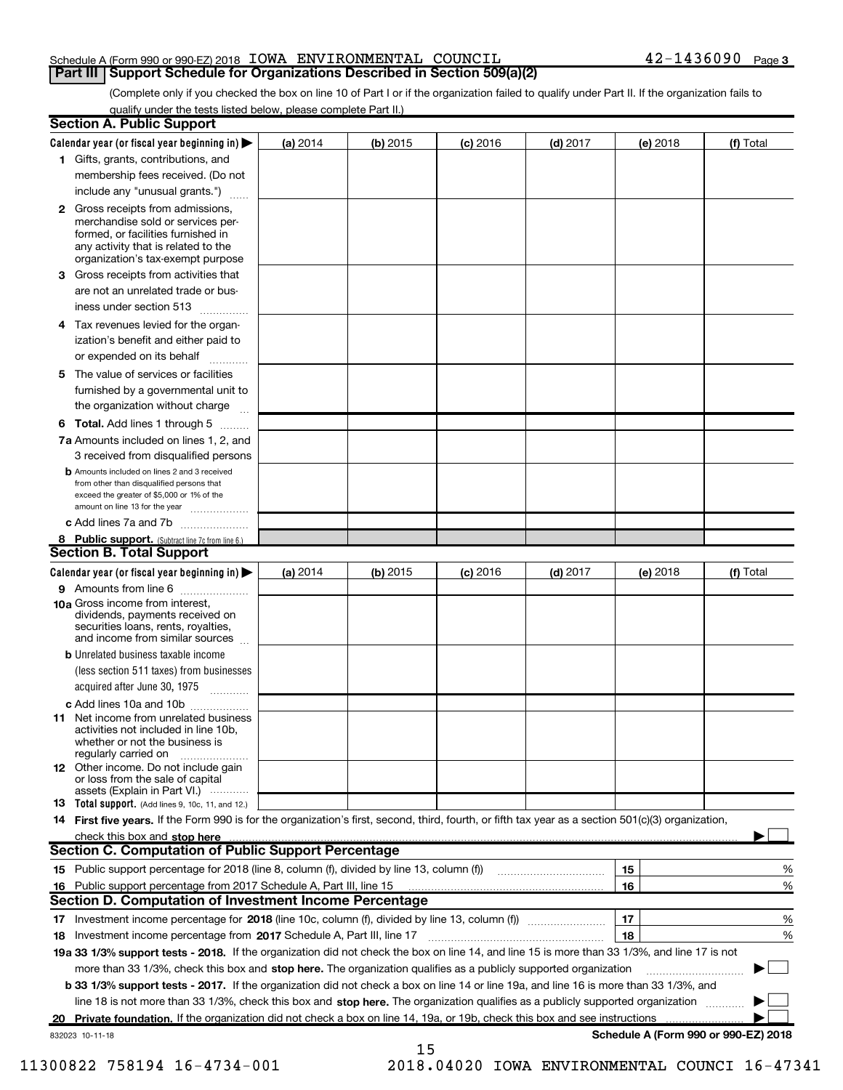#### Schedule A (Form 990 or 990-EZ) 2018 Page IOWA ENVIRONMENTAL COUNCIL 42-1436090 **Part III | Support Schedule for Organizations Described in Section 509(a)(2)**

(Complete only if you checked the box on line 10 of Part I or if the organization failed to qualify under Part II. If the organization fails to qualify under the tests listed below, please complete Part II.)

|   | <b>Section A. Public Support</b>                                                                                                                                                                                               |          |          |            |            |          |                                      |
|---|--------------------------------------------------------------------------------------------------------------------------------------------------------------------------------------------------------------------------------|----------|----------|------------|------------|----------|--------------------------------------|
|   | Calendar year (or fiscal year beginning in) $\blacktriangleright$                                                                                                                                                              | (a) 2014 | (b) 2015 | $(c)$ 2016 | $(d)$ 2017 | (e) 2018 | (f) Total                            |
|   | 1 Gifts, grants, contributions, and                                                                                                                                                                                            |          |          |            |            |          |                                      |
|   | membership fees received. (Do not                                                                                                                                                                                              |          |          |            |            |          |                                      |
|   | include any "unusual grants.")                                                                                                                                                                                                 |          |          |            |            |          |                                      |
|   | <b>2</b> Gross receipts from admissions,<br>merchandise sold or services per-<br>formed, or facilities furnished in<br>any activity that is related to the<br>organization's tax-exempt purpose                                |          |          |            |            |          |                                      |
|   | 3 Gross receipts from activities that                                                                                                                                                                                          |          |          |            |            |          |                                      |
|   | are not an unrelated trade or bus-                                                                                                                                                                                             |          |          |            |            |          |                                      |
|   | iness under section 513                                                                                                                                                                                                        |          |          |            |            |          |                                      |
| 4 | Tax revenues levied for the organ-<br>ization's benefit and either paid to                                                                                                                                                     |          |          |            |            |          |                                      |
|   | or expended on its behalf<br>.                                                                                                                                                                                                 |          |          |            |            |          |                                      |
|   | 5 The value of services or facilities                                                                                                                                                                                          |          |          |            |            |          |                                      |
|   | furnished by a governmental unit to                                                                                                                                                                                            |          |          |            |            |          |                                      |
|   | the organization without charge                                                                                                                                                                                                |          |          |            |            |          |                                      |
|   | <b>6 Total.</b> Add lines 1 through 5                                                                                                                                                                                          |          |          |            |            |          |                                      |
|   | 7a Amounts included on lines 1, 2, and                                                                                                                                                                                         |          |          |            |            |          |                                      |
|   | 3 received from disqualified persons                                                                                                                                                                                           |          |          |            |            |          |                                      |
|   | <b>b</b> Amounts included on lines 2 and 3 received<br>from other than disqualified persons that<br>exceed the greater of \$5,000 or 1% of the<br>amount on line 13 for the year                                               |          |          |            |            |          |                                      |
|   | c Add lines 7a and 7b                                                                                                                                                                                                          |          |          |            |            |          |                                      |
|   | 8 Public support. (Subtract line 7c from line 6.)                                                                                                                                                                              |          |          |            |            |          |                                      |
|   | <b>Section B. Total Support</b>                                                                                                                                                                                                |          |          |            |            |          |                                      |
|   | Calendar year (or fiscal year beginning in)                                                                                                                                                                                    | (a) 2014 | (b) 2015 | $(c)$ 2016 | $(d)$ 2017 | (e) 2018 | (f) Total                            |
|   | 9 Amounts from line 6                                                                                                                                                                                                          |          |          |            |            |          |                                      |
|   | <b>10a Gross income from interest.</b><br>dividends, payments received on<br>securities loans, rents, royalties,<br>and income from similar sources                                                                            |          |          |            |            |          |                                      |
|   | <b>b</b> Unrelated business taxable income                                                                                                                                                                                     |          |          |            |            |          |                                      |
|   | (less section 511 taxes) from businesses<br>acquired after June 30, 1975                                                                                                                                                       |          |          |            |            |          |                                      |
|   | c Add lines 10a and 10b                                                                                                                                                                                                        |          |          |            |            |          |                                      |
|   | <b>11</b> Net income from unrelated business<br>activities not included in line 10b.<br>whether or not the business is<br>regularly carried on                                                                                 |          |          |            |            |          |                                      |
|   | 12 Other income. Do not include gain<br>or loss from the sale of capital<br>assets (Explain in Part VI.)                                                                                                                       |          |          |            |            |          |                                      |
|   | 13 Total support. (Add lines 9, 10c, 11, and 12.)                                                                                                                                                                              |          |          |            |            |          |                                      |
|   | 14 First five years. If the Form 990 is for the organization's first, second, third, fourth, or fifth tax year as a section 501(c)(3) organization,                                                                            |          |          |            |            |          |                                      |
|   | check this box and stop here measurements and contact the state of the state of the state of the state of the state of the state of the state of the state of the state of the state of the state of the state of the state of |          |          |            |            |          |                                      |
|   | <b>Section C. Computation of Public Support Percentage</b>                                                                                                                                                                     |          |          |            |            |          |                                      |
|   | 15 Public support percentage for 2018 (line 8, column (f), divided by line 13, column (f))                                                                                                                                     |          |          |            |            | 15       | %                                    |
|   | 16 Public support percentage from 2017 Schedule A, Part III, line 15                                                                                                                                                           |          |          |            |            | 16       | %                                    |
|   | <b>Section D. Computation of Investment Income Percentage</b>                                                                                                                                                                  |          |          |            |            |          |                                      |
|   |                                                                                                                                                                                                                                |          |          |            |            | 17       | %                                    |
|   | 18 Investment income percentage from 2017 Schedule A, Part III, line 17                                                                                                                                                        |          |          |            |            | 18       | %                                    |
|   | 19a 33 1/3% support tests - 2018. If the organization did not check the box on line 14, and line 15 is more than 33 1/3%, and line 17 is not                                                                                   |          |          |            |            |          |                                      |
|   | more than 33 1/3%, check this box and stop here. The organization qualifies as a publicly supported organization                                                                                                               |          |          |            |            |          |                                      |
|   | <b>b 33 1/3% support tests - 2017.</b> If the organization did not check a box on line 14 or line 19a, and line 16 is more than 33 1/3%, and                                                                                   |          |          |            |            |          |                                      |
|   | line 18 is not more than 33 1/3%, check this box and stop here. The organization qualifies as a publicly supported organization                                                                                                |          |          |            |            |          |                                      |
|   | 20 Private foundation. If the organization did not check a box on line 14, 19a, or 19b, check this box and see instructions                                                                                                    |          |          |            |            |          |                                      |
|   | 832023 10-11-18                                                                                                                                                                                                                |          |          |            |            |          | Schedule A (Form 990 or 990-EZ) 2018 |
|   |                                                                                                                                                                                                                                |          | 15       |            |            |          |                                      |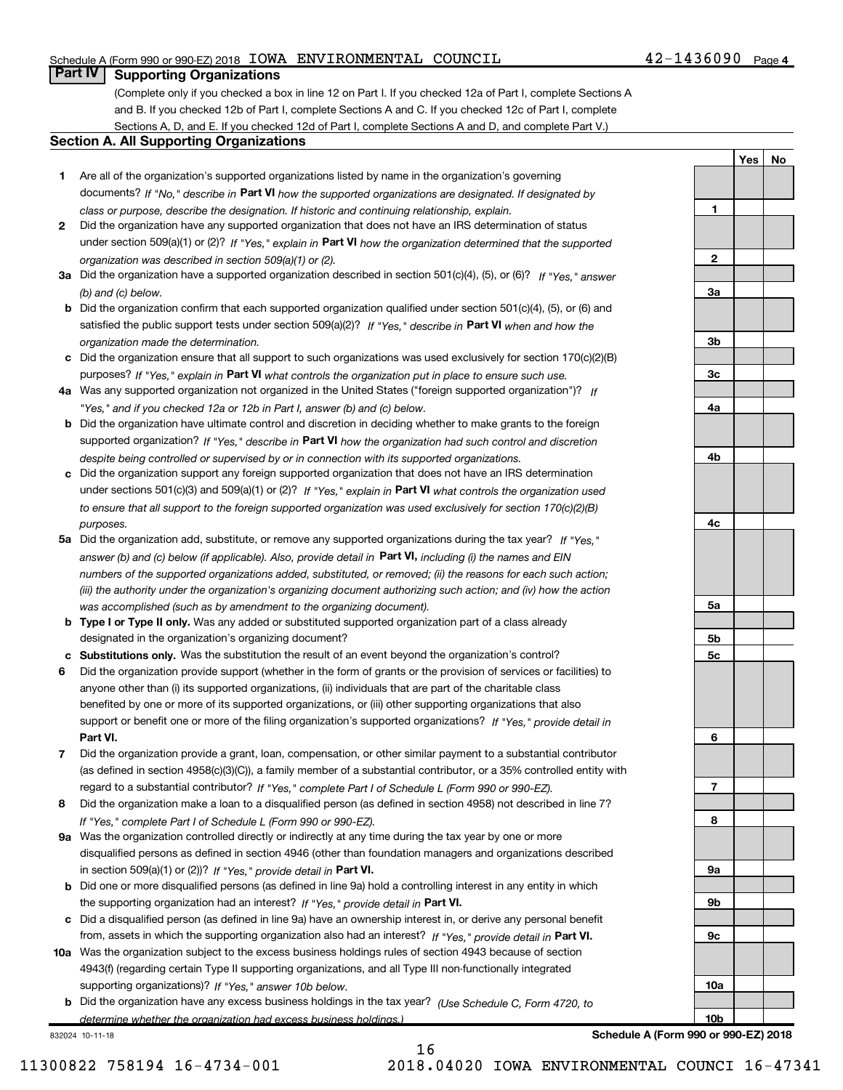#### Schedule A (Form 990 or 990-EZ) 2018 Page IOWA ENVIRONMENTAL COUNCIL 42-1436090

**1**

**2**

**3a**

**3b**

**3c**

**4a**

**4b**

**4c**

**5a**

**5b 5c**

**6**

**7**

**8**

**9a**

**9b**

**9c**

**10a**

**10b**

**Yes No**

### **Part IV** | Supporting Organizations

(Complete only if you checked a box in line 12 on Part I. If you checked 12a of Part I, complete Sections A and B. If you checked 12b of Part I, complete Sections A and C. If you checked 12c of Part I, complete Sections A, D, and E. If you checked 12d of Part I, complete Sections A and D, and complete Part V.)

#### **Section A. All Supporting Organizations**

- **1** Are all of the organization's supported organizations listed by name in the organization's governing documents? If "No," describe in Part VI how the supported organizations are designated. If designated by *class or purpose, describe the designation. If historic and continuing relationship, explain.*
- **2** Did the organization have any supported organization that does not have an IRS determination of status under section 509(a)(1) or (2)? If "Yes," explain in Part VI how the organization determined that the supported *organization was described in section 509(a)(1) or (2).*
- **3a** Did the organization have a supported organization described in section 501(c)(4), (5), or (6)? If "Yes," answer *(b) and (c) below.*
- **b** Did the organization confirm that each supported organization qualified under section 501(c)(4), (5), or (6) and satisfied the public support tests under section 509(a)(2)? If "Yes," describe in Part VI when and how the *organization made the determination.*
- **c** Did the organization ensure that all support to such organizations was used exclusively for section 170(c)(2)(B) purposes? If "Yes," explain in Part VI what controls the organization put in place to ensure such use.
- **4 a** *If* Was any supported organization not organized in the United States ("foreign supported organization")? *"Yes," and if you checked 12a or 12b in Part I, answer (b) and (c) below.*
- **b** Did the organization have ultimate control and discretion in deciding whether to make grants to the foreign supported organization? If "Yes," describe in Part VI how the organization had such control and discretion *despite being controlled or supervised by or in connection with its supported organizations.*
- **c** Did the organization support any foreign supported organization that does not have an IRS determination under sections 501(c)(3) and 509(a)(1) or (2)? If "Yes," explain in Part VI what controls the organization used *to ensure that all support to the foreign supported organization was used exclusively for section 170(c)(2)(B) purposes.*
- **5a** Did the organization add, substitute, or remove any supported organizations during the tax year? If "Yes," answer (b) and (c) below (if applicable). Also, provide detail in **Part VI,** including (i) the names and EIN *numbers of the supported organizations added, substituted, or removed; (ii) the reasons for each such action; (iii) the authority under the organization's organizing document authorizing such action; and (iv) how the action was accomplished (such as by amendment to the organizing document).*
- **b Type I or Type II only.** Was any added or substituted supported organization part of a class already designated in the organization's organizing document?
- **c Substitutions only.**  Was the substitution the result of an event beyond the organization's control?
- **6** Did the organization provide support (whether in the form of grants or the provision of services or facilities) to **Part VI.** *If "Yes," provide detail in* support or benefit one or more of the filing organization's supported organizations? anyone other than (i) its supported organizations, (ii) individuals that are part of the charitable class benefited by one or more of its supported organizations, or (iii) other supporting organizations that also
- **7** Did the organization provide a grant, loan, compensation, or other similar payment to a substantial contributor regard to a substantial contributor? If "Yes," complete Part I of Schedule L (Form 990 or 990-EZ). (as defined in section 4958(c)(3)(C)), a family member of a substantial contributor, or a 35% controlled entity with
- **8** Did the organization make a loan to a disqualified person (as defined in section 4958) not described in line 7? *If "Yes," complete Part I of Schedule L (Form 990 or 990-EZ).*
- **9 a** Was the organization controlled directly or indirectly at any time during the tax year by one or more in section 509(a)(1) or (2))? If "Yes," provide detail in Part VI. disqualified persons as defined in section 4946 (other than foundation managers and organizations described
- **b** Did one or more disqualified persons (as defined in line 9a) hold a controlling interest in any entity in which the supporting organization had an interest? If "Yes," provide detail in Part VI.
- **c** Did a disqualified person (as defined in line 9a) have an ownership interest in, or derive any personal benefit from, assets in which the supporting organization also had an interest? If "Yes," provide detail in Part VI.
- **10 a** Was the organization subject to the excess business holdings rules of section 4943 because of section supporting organizations)? If "Yes," answer 10b below. 4943(f) (regarding certain Type II supporting organizations, and all Type III non-functionally integrated
- **b** Did the organization have any excess business holdings in the tax year? (Use Schedule C, Form 4720, to *determine whether the organization had excess business holdings.)*

16

832024 10-11-18

**Schedule A (Form 990 or 990-EZ) 2018**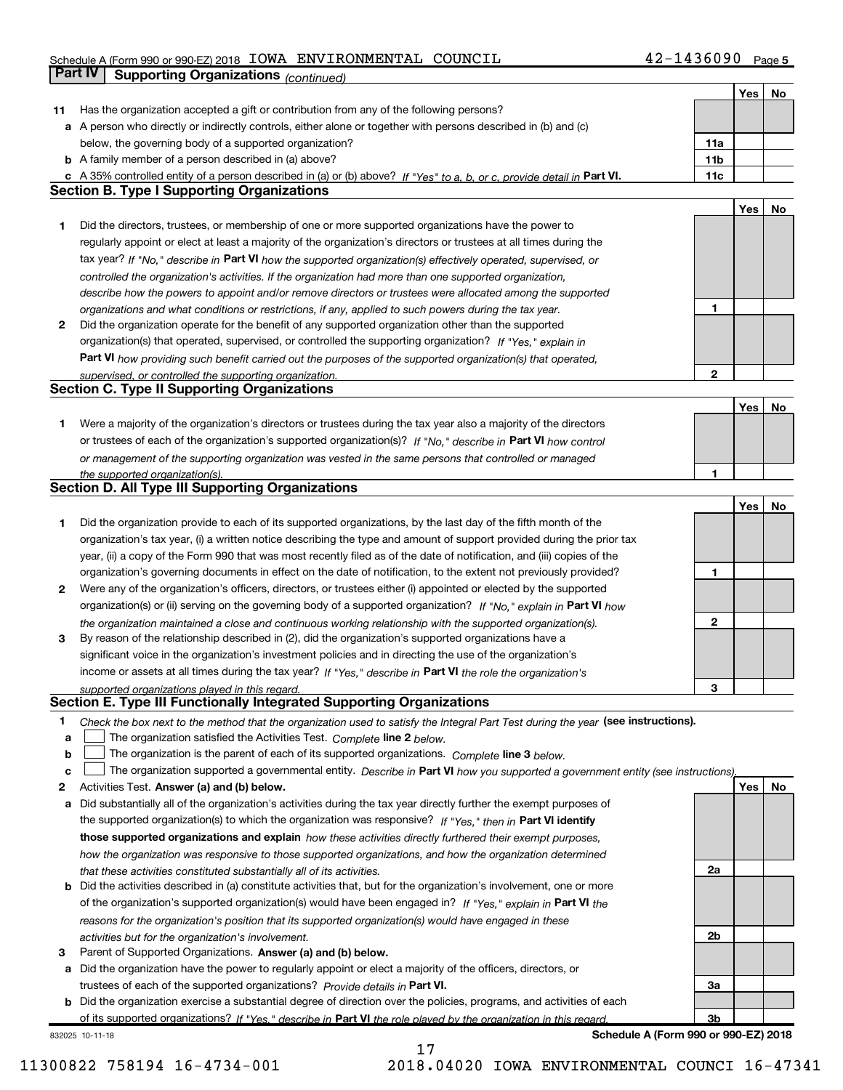### Schedule A (Form 990 or 990-EZ) 2018 Page IOWA ENVIRONMENTAL COUNCIL 42-1436090 **Part IV** Supporting Organizations (*continued*)

|    |                                                                                                                                                                                                                                         |                 | Yes | No |
|----|-----------------------------------------------------------------------------------------------------------------------------------------------------------------------------------------------------------------------------------------|-----------------|-----|----|
| 11 | Has the organization accepted a gift or contribution from any of the following persons?                                                                                                                                                 |                 |     |    |
|    | a A person who directly or indirectly controls, either alone or together with persons described in (b) and (c)                                                                                                                          |                 |     |    |
|    | below, the governing body of a supported organization?                                                                                                                                                                                  | 11a             |     |    |
|    | <b>b</b> A family member of a person described in (a) above?                                                                                                                                                                            | 11 <sub>b</sub> |     |    |
|    | c A 35% controlled entity of a person described in (a) or (b) above? If "Yes" to a, b, or c, provide detail in Part VI.                                                                                                                 | 11c             |     |    |
|    | <b>Section B. Type I Supporting Organizations</b>                                                                                                                                                                                       |                 |     |    |
|    |                                                                                                                                                                                                                                         |                 | Yes | No |
| 1  | Did the directors, trustees, or membership of one or more supported organizations have the power to                                                                                                                                     |                 |     |    |
|    | regularly appoint or elect at least a majority of the organization's directors or trustees at all times during the                                                                                                                      |                 |     |    |
|    | tax year? If "No," describe in Part VI how the supported organization(s) effectively operated, supervised, or                                                                                                                           |                 |     |    |
|    | controlled the organization's activities. If the organization had more than one supported organization,                                                                                                                                 |                 |     |    |
|    | describe how the powers to appoint and/or remove directors or trustees were allocated among the supported                                                                                                                               |                 |     |    |
|    | organizations and what conditions or restrictions, if any, applied to such powers during the tax year.                                                                                                                                  | 1               |     |    |
| 2  | Did the organization operate for the benefit of any supported organization other than the supported                                                                                                                                     |                 |     |    |
|    | organization(s) that operated, supervised, or controlled the supporting organization? If "Yes," explain in                                                                                                                              |                 |     |    |
|    | Part VI how providing such benefit carried out the purposes of the supported organization(s) that operated,                                                                                                                             |                 |     |    |
|    | supervised, or controlled the supporting organization.                                                                                                                                                                                  | $\mathbf{2}$    |     |    |
|    | Section C. Type II Supporting Organizations                                                                                                                                                                                             |                 |     |    |
|    |                                                                                                                                                                                                                                         |                 | Yes | No |
| 1. | Were a majority of the organization's directors or trustees during the tax year also a majority of the directors                                                                                                                        |                 |     |    |
|    | or trustees of each of the organization's supported organization(s)? If "No," describe in Part VI how control                                                                                                                           |                 |     |    |
|    | or management of the supporting organization was vested in the same persons that controlled or managed                                                                                                                                  |                 |     |    |
|    |                                                                                                                                                                                                                                         | $\mathbf{1}$    |     |    |
|    | the supported organization(s).<br>Section D. All Type III Supporting Organizations                                                                                                                                                      |                 |     |    |
|    |                                                                                                                                                                                                                                         |                 | Yes | No |
|    |                                                                                                                                                                                                                                         |                 |     |    |
| 1  | Did the organization provide to each of its supported organizations, by the last day of the fifth month of the<br>organization's tax year, (i) a written notice describing the type and amount of support provided during the prior tax |                 |     |    |
|    | year, (ii) a copy of the Form 990 that was most recently filed as of the date of notification, and (iii) copies of the                                                                                                                  |                 |     |    |
|    |                                                                                                                                                                                                                                         | 1               |     |    |
|    | organization's governing documents in effect on the date of notification, to the extent not previously provided?                                                                                                                        |                 |     |    |
| 2  | Were any of the organization's officers, directors, or trustees either (i) appointed or elected by the supported                                                                                                                        |                 |     |    |
|    | organization(s) or (ii) serving on the governing body of a supported organization? If "No," explain in Part VI how                                                                                                                      |                 |     |    |
|    | the organization maintained a close and continuous working relationship with the supported organization(s).                                                                                                                             | $\mathbf 2$     |     |    |
| 3  | By reason of the relationship described in (2), did the organization's supported organizations have a                                                                                                                                   |                 |     |    |
|    | significant voice in the organization's investment policies and in directing the use of the organization's                                                                                                                              |                 |     |    |
|    | income or assets at all times during the tax year? If "Yes," describe in Part VI the role the organization's                                                                                                                            |                 |     |    |
|    | supported organizations played in this regard.<br>Section E. Type III Functionally Integrated Supporting Organizations                                                                                                                  | 3               |     |    |
|    |                                                                                                                                                                                                                                         |                 |     |    |
| 1  | Check the box next to the method that the organization used to satisfy the Integral Part Test during the year (see instructions).                                                                                                       |                 |     |    |
| a  | The organization satisfied the Activities Test. Complete line 2 below.                                                                                                                                                                  |                 |     |    |
| b  | The organization is the parent of each of its supported organizations. Complete line 3 below.                                                                                                                                           |                 |     |    |
| c  | The organization supported a governmental entity. Describe in Part VI how you supported a government entity (see instructions).                                                                                                         |                 |     |    |
| 2  | Activities Test. Answer (a) and (b) below.                                                                                                                                                                                              |                 | Yes | No |
| а  | Did substantially all of the organization's activities during the tax year directly further the exempt purposes of                                                                                                                      |                 |     |    |
|    | the supported organization(s) to which the organization was responsive? If "Yes," then in Part VI identify                                                                                                                              |                 |     |    |
|    | those supported organizations and explain how these activities directly furthered their exempt purposes,                                                                                                                                |                 |     |    |
|    | how the organization was responsive to those supported organizations, and how the organization determined                                                                                                                               |                 |     |    |
|    | that these activities constituted substantially all of its activities.                                                                                                                                                                  | 2a              |     |    |
| b  | Did the activities described in (a) constitute activities that, but for the organization's involvement, one or more                                                                                                                     |                 |     |    |
|    | of the organization's supported organization(s) would have been engaged in? If "Yes," explain in Part VI the                                                                                                                            |                 |     |    |
|    | reasons for the organization's position that its supported organization(s) would have engaged in these                                                                                                                                  |                 |     |    |
|    | activities but for the organization's involvement.                                                                                                                                                                                      | 2 <sub>b</sub>  |     |    |
| з  | Parent of Supported Organizations. Answer (a) and (b) below.                                                                                                                                                                            |                 |     |    |
| а  | Did the organization have the power to regularly appoint or elect a majority of the officers, directors, or                                                                                                                             |                 |     |    |
|    | trustees of each of the supported organizations? Provide details in Part VI.                                                                                                                                                            | За              |     |    |
| b  | Did the organization exercise a substantial degree of direction over the policies, programs, and activities of each                                                                                                                     |                 |     |    |
|    | of its supported organizations? If "Yes," describe in Part VI the role played by the organization in this regard.                                                                                                                       | 3b              |     |    |

17

832025 10-11-18

**Schedule A (Form 990 or 990-EZ) 2018**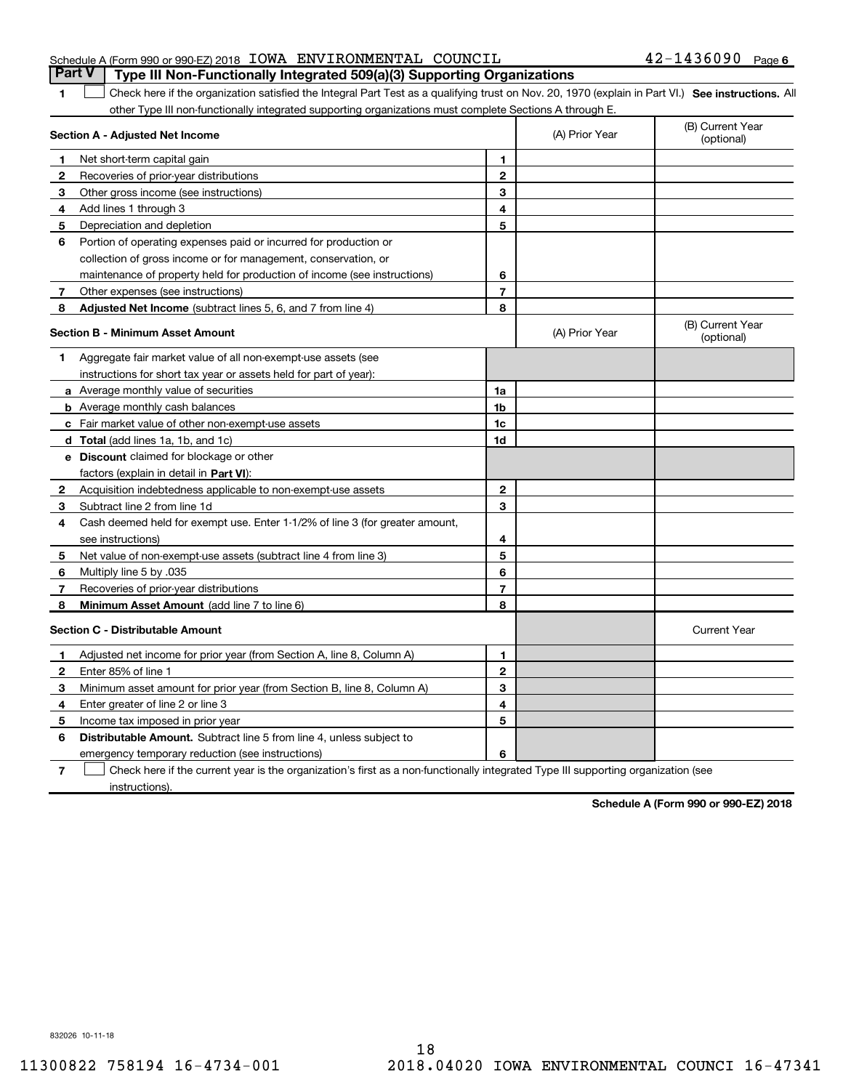|  | Schedule A (Form 990 or 990-EZ) 2018 IOWA ENVIRONMENTAL COUNCIL |  | <b>Part V</b>   Type III Non-Functionally Integrated 509(a)(3) Supporting Organizations | $42 - 1436090$ Page 6 |  |
|--|-----------------------------------------------------------------|--|-----------------------------------------------------------------------------------------|-----------------------|--|
|  |                                                                 |  |                                                                                         |                       |  |

1 **1** Check here if the organization satisfied the Integral Part Test as a qualifying trust on Nov. 20, 1970 (explain in Part VI.) See instructions. All other Type III non-functionally integrated supporting organizations must complete Sections A through E.

|              | Section A - Adjusted Net Income                                              |                | (A) Prior Year | (B) Current Year<br>(optional) |
|--------------|------------------------------------------------------------------------------|----------------|----------------|--------------------------------|
| 1            | Net short-term capital gain                                                  | 1              |                |                                |
| 2            | Recoveries of prior-year distributions                                       | $\overline{2}$ |                |                                |
| 3            | Other gross income (see instructions)                                        | 3              |                |                                |
| 4            | Add lines 1 through 3                                                        | 4              |                |                                |
| 5            | Depreciation and depletion                                                   | 5              |                |                                |
| 6            | Portion of operating expenses paid or incurred for production or             |                |                |                                |
|              | collection of gross income or for management, conservation, or               |                |                |                                |
|              | maintenance of property held for production of income (see instructions)     | 6              |                |                                |
| 7            | Other expenses (see instructions)                                            | $\overline{7}$ |                |                                |
| 8            | Adjusted Net Income (subtract lines 5, 6, and 7 from line 4)                 | 8              |                |                                |
|              | <b>Section B - Minimum Asset Amount</b>                                      |                | (A) Prior Year | (B) Current Year<br>(optional) |
| 1            | Aggregate fair market value of all non-exempt-use assets (see                |                |                |                                |
|              | instructions for short tax year or assets held for part of year):            |                |                |                                |
|              | <b>a</b> Average monthly value of securities                                 | 1a             |                |                                |
|              | <b>b</b> Average monthly cash balances                                       | 1b             |                |                                |
|              | c Fair market value of other non-exempt-use assets                           | 1c             |                |                                |
|              | d Total (add lines 1a, 1b, and 1c)                                           | 1d             |                |                                |
|              | <b>e</b> Discount claimed for blockage or other                              |                |                |                                |
|              | factors (explain in detail in <b>Part VI</b> ):                              |                |                |                                |
| 2            | Acquisition indebtedness applicable to non-exempt-use assets                 | $\mathbf{2}$   |                |                                |
| З            | Subtract line 2 from line 1d                                                 | 3              |                |                                |
| 4            | Cash deemed held for exempt use. Enter 1-1/2% of line 3 (for greater amount, |                |                |                                |
|              | see instructions)                                                            | 4              |                |                                |
| 5            | Net value of non-exempt-use assets (subtract line 4 from line 3)             | 5              |                |                                |
| 6            | Multiply line 5 by .035                                                      | 6              |                |                                |
| 7            | Recoveries of prior-year distributions                                       | $\overline{7}$ |                |                                |
| 8            | Minimum Asset Amount (add line 7 to line 6)                                  | 8              |                |                                |
|              | Section C - Distributable Amount                                             |                |                | <b>Current Year</b>            |
| 1            | Adjusted net income for prior year (from Section A, line 8, Column A)        | 1              |                |                                |
| $\mathbf{2}$ | Enter 85% of line 1                                                          | $\mathbf{2}$   |                |                                |
| 3            | Minimum asset amount for prior year (from Section B, line 8, Column A)       | 3              |                |                                |
| 4            | Enter greater of line 2 or line 3                                            | 4              |                |                                |
| 5.           | Income tax imposed in prior year                                             | 5              |                |                                |
| 6            | <b>Distributable Amount.</b> Subtract line 5 from line 4, unless subject to  |                |                |                                |
|              | emergency temporary reduction (see instructions)                             | 6              |                |                                |
|              |                                                                              |                |                |                                |

**7** Check here if the current year is the organization's first as a non-functionally integrated Type III supporting organization (see instructions).

**Schedule A (Form 990 or 990-EZ) 2018**

832026 10-11-18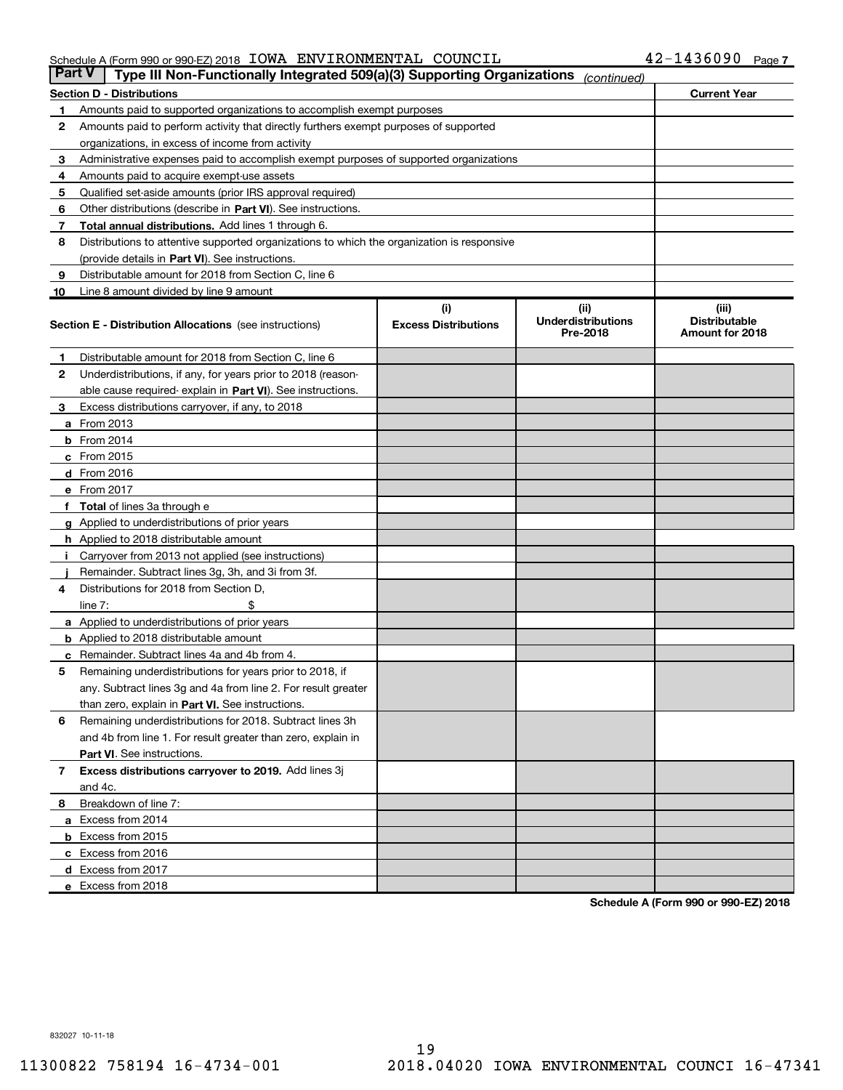#### Schedule A (Form 990 or 990-EZ) 2018 Page IOWA ENVIRONMENTAL COUNCIL 42-1436090

|    | Type III Non-Functionally Integrated 509(a)(3) Supporting Organizations<br><b>Part V</b><br>(continued) |                                    |                                                |                                                  |  |  |  |  |  |
|----|---------------------------------------------------------------------------------------------------------|------------------------------------|------------------------------------------------|--------------------------------------------------|--|--|--|--|--|
|    | <b>Current Year</b><br><b>Section D - Distributions</b>                                                 |                                    |                                                |                                                  |  |  |  |  |  |
| 1  | Amounts paid to supported organizations to accomplish exempt purposes                                   |                                    |                                                |                                                  |  |  |  |  |  |
| 2  | Amounts paid to perform activity that directly furthers exempt purposes of supported                    |                                    |                                                |                                                  |  |  |  |  |  |
|    | organizations, in excess of income from activity                                                        |                                    |                                                |                                                  |  |  |  |  |  |
| 3  | Administrative expenses paid to accomplish exempt purposes of supported organizations                   |                                    |                                                |                                                  |  |  |  |  |  |
| 4  | Amounts paid to acquire exempt-use assets                                                               |                                    |                                                |                                                  |  |  |  |  |  |
| 5  | Qualified set-aside amounts (prior IRS approval required)                                               |                                    |                                                |                                                  |  |  |  |  |  |
| 6  | Other distributions (describe in Part VI). See instructions.                                            |                                    |                                                |                                                  |  |  |  |  |  |
| 7  | <b>Total annual distributions.</b> Add lines 1 through 6.                                               |                                    |                                                |                                                  |  |  |  |  |  |
| 8  | Distributions to attentive supported organizations to which the organization is responsive              |                                    |                                                |                                                  |  |  |  |  |  |
|    | (provide details in Part VI). See instructions.                                                         |                                    |                                                |                                                  |  |  |  |  |  |
| 9  | Distributable amount for 2018 from Section C, line 6                                                    |                                    |                                                |                                                  |  |  |  |  |  |
| 10 | Line 8 amount divided by line 9 amount                                                                  |                                    |                                                |                                                  |  |  |  |  |  |
|    | <b>Section E - Distribution Allocations</b> (see instructions)                                          | (i)<br><b>Excess Distributions</b> | (iii)<br><b>Underdistributions</b><br>Pre-2018 | (iii)<br><b>Distributable</b><br>Amount for 2018 |  |  |  |  |  |
| 1. | Distributable amount for 2018 from Section C, line 6                                                    |                                    |                                                |                                                  |  |  |  |  |  |
| 2  | Underdistributions, if any, for years prior to 2018 (reason-                                            |                                    |                                                |                                                  |  |  |  |  |  |
|    | able cause required- explain in Part VI). See instructions.                                             |                                    |                                                |                                                  |  |  |  |  |  |
| 3  | Excess distributions carryover, if any, to 2018                                                         |                                    |                                                |                                                  |  |  |  |  |  |
|    | <b>a</b> From 2013                                                                                      |                                    |                                                |                                                  |  |  |  |  |  |
|    | <b>b</b> From 2014                                                                                      |                                    |                                                |                                                  |  |  |  |  |  |
|    | c From 2015                                                                                             |                                    |                                                |                                                  |  |  |  |  |  |
|    | $d$ From 2016                                                                                           |                                    |                                                |                                                  |  |  |  |  |  |
|    | e From 2017                                                                                             |                                    |                                                |                                                  |  |  |  |  |  |
|    | f Total of lines 3a through e                                                                           |                                    |                                                |                                                  |  |  |  |  |  |
|    | <b>g</b> Applied to underdistributions of prior years                                                   |                                    |                                                |                                                  |  |  |  |  |  |
|    | <b>h</b> Applied to 2018 distributable amount                                                           |                                    |                                                |                                                  |  |  |  |  |  |
| j. | Carryover from 2013 not applied (see instructions)                                                      |                                    |                                                |                                                  |  |  |  |  |  |
|    | Remainder. Subtract lines 3g, 3h, and 3i from 3f.                                                       |                                    |                                                |                                                  |  |  |  |  |  |
| 4  | Distributions for 2018 from Section D,                                                                  |                                    |                                                |                                                  |  |  |  |  |  |
|    | line $7:$                                                                                               |                                    |                                                |                                                  |  |  |  |  |  |
|    | a Applied to underdistributions of prior years                                                          |                                    |                                                |                                                  |  |  |  |  |  |
|    | <b>b</b> Applied to 2018 distributable amount                                                           |                                    |                                                |                                                  |  |  |  |  |  |
|    | c Remainder. Subtract lines 4a and 4b from 4.                                                           |                                    |                                                |                                                  |  |  |  |  |  |
| 5  | Remaining underdistributions for years prior to 2018, if                                                |                                    |                                                |                                                  |  |  |  |  |  |
|    | any. Subtract lines 3g and 4a from line 2. For result greater                                           |                                    |                                                |                                                  |  |  |  |  |  |
|    | than zero, explain in Part VI. See instructions.                                                        |                                    |                                                |                                                  |  |  |  |  |  |
| 6  | Remaining underdistributions for 2018. Subtract lines 3h                                                |                                    |                                                |                                                  |  |  |  |  |  |
|    | and 4b from line 1. For result greater than zero, explain in                                            |                                    |                                                |                                                  |  |  |  |  |  |
|    | Part VI. See instructions.                                                                              |                                    |                                                |                                                  |  |  |  |  |  |
| 7  | Excess distributions carryover to 2019. Add lines 3j                                                    |                                    |                                                |                                                  |  |  |  |  |  |
|    | and 4c.                                                                                                 |                                    |                                                |                                                  |  |  |  |  |  |
| 8  | Breakdown of line 7:                                                                                    |                                    |                                                |                                                  |  |  |  |  |  |
|    | a Excess from 2014                                                                                      |                                    |                                                |                                                  |  |  |  |  |  |
|    | <b>b</b> Excess from 2015                                                                               |                                    |                                                |                                                  |  |  |  |  |  |
|    | c Excess from 2016                                                                                      |                                    |                                                |                                                  |  |  |  |  |  |
|    | d Excess from 2017                                                                                      |                                    |                                                |                                                  |  |  |  |  |  |
|    | e Excess from 2018                                                                                      |                                    |                                                |                                                  |  |  |  |  |  |

**Schedule A (Form 990 or 990-EZ) 2018**

832027 10-11-18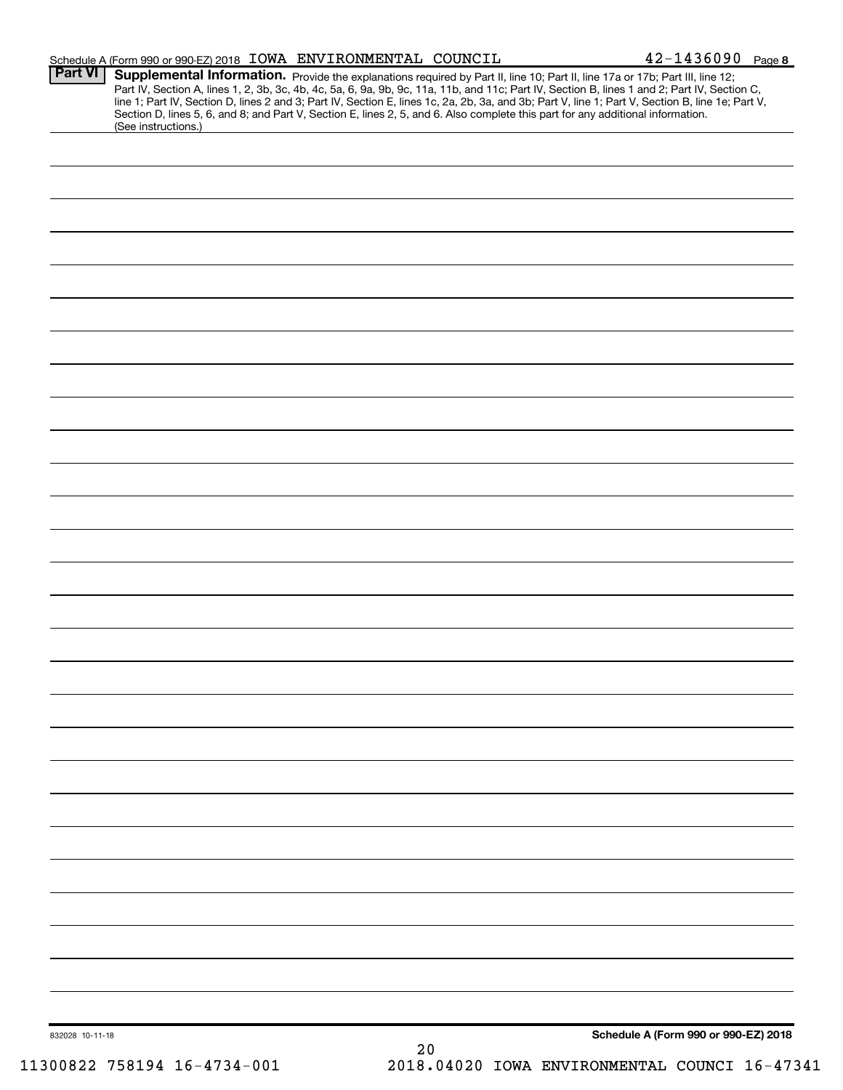|                 |                     | Schedule A (Form 990 or 990-EZ) 2018 IOWA ENVIRONMENTAL COUNCIL                                                                                                                                                                                                                                                                                                           | $42 - 1436090$ Page 8                |
|-----------------|---------------------|---------------------------------------------------------------------------------------------------------------------------------------------------------------------------------------------------------------------------------------------------------------------------------------------------------------------------------------------------------------------------|--------------------------------------|
| <b>Part VI</b>  | (See instructions.) | <b>Supplemental Information.</b> Provide the explanations required by Part II, line 10; Part II, line 17a or 17b; Part III, line 12;<br>Part IV, Section A, lines 1, 2, 3b, 3c, 4b, 4c, 5a, 6, 9a, 9b, 9c, 11a, 11b, and 11c; Part IV,<br>Section D, lines 5, 6, and 8; and Part V, Section E, lines 2, 5, and 6. Also complete this part for any additional information. |                                      |
|                 |                     |                                                                                                                                                                                                                                                                                                                                                                           |                                      |
|                 |                     |                                                                                                                                                                                                                                                                                                                                                                           |                                      |
|                 |                     |                                                                                                                                                                                                                                                                                                                                                                           |                                      |
|                 |                     |                                                                                                                                                                                                                                                                                                                                                                           |                                      |
|                 |                     |                                                                                                                                                                                                                                                                                                                                                                           |                                      |
|                 |                     |                                                                                                                                                                                                                                                                                                                                                                           |                                      |
|                 |                     |                                                                                                                                                                                                                                                                                                                                                                           |                                      |
|                 |                     |                                                                                                                                                                                                                                                                                                                                                                           |                                      |
|                 |                     |                                                                                                                                                                                                                                                                                                                                                                           |                                      |
|                 |                     |                                                                                                                                                                                                                                                                                                                                                                           |                                      |
|                 |                     |                                                                                                                                                                                                                                                                                                                                                                           |                                      |
|                 |                     |                                                                                                                                                                                                                                                                                                                                                                           |                                      |
|                 |                     |                                                                                                                                                                                                                                                                                                                                                                           |                                      |
|                 |                     |                                                                                                                                                                                                                                                                                                                                                                           |                                      |
|                 |                     |                                                                                                                                                                                                                                                                                                                                                                           |                                      |
|                 |                     |                                                                                                                                                                                                                                                                                                                                                                           |                                      |
|                 |                     |                                                                                                                                                                                                                                                                                                                                                                           |                                      |
|                 |                     |                                                                                                                                                                                                                                                                                                                                                                           |                                      |
|                 |                     |                                                                                                                                                                                                                                                                                                                                                                           |                                      |
|                 |                     |                                                                                                                                                                                                                                                                                                                                                                           |                                      |
|                 |                     |                                                                                                                                                                                                                                                                                                                                                                           |                                      |
|                 |                     |                                                                                                                                                                                                                                                                                                                                                                           |                                      |
|                 |                     |                                                                                                                                                                                                                                                                                                                                                                           |                                      |
|                 |                     |                                                                                                                                                                                                                                                                                                                                                                           |                                      |
|                 |                     |                                                                                                                                                                                                                                                                                                                                                                           |                                      |
|                 |                     |                                                                                                                                                                                                                                                                                                                                                                           |                                      |
|                 |                     |                                                                                                                                                                                                                                                                                                                                                                           |                                      |
|                 |                     |                                                                                                                                                                                                                                                                                                                                                                           |                                      |
| 832028 10-11-18 |                     | $20$                                                                                                                                                                                                                                                                                                                                                                      | Schedule A (Form 990 or 990-EZ) 2018 |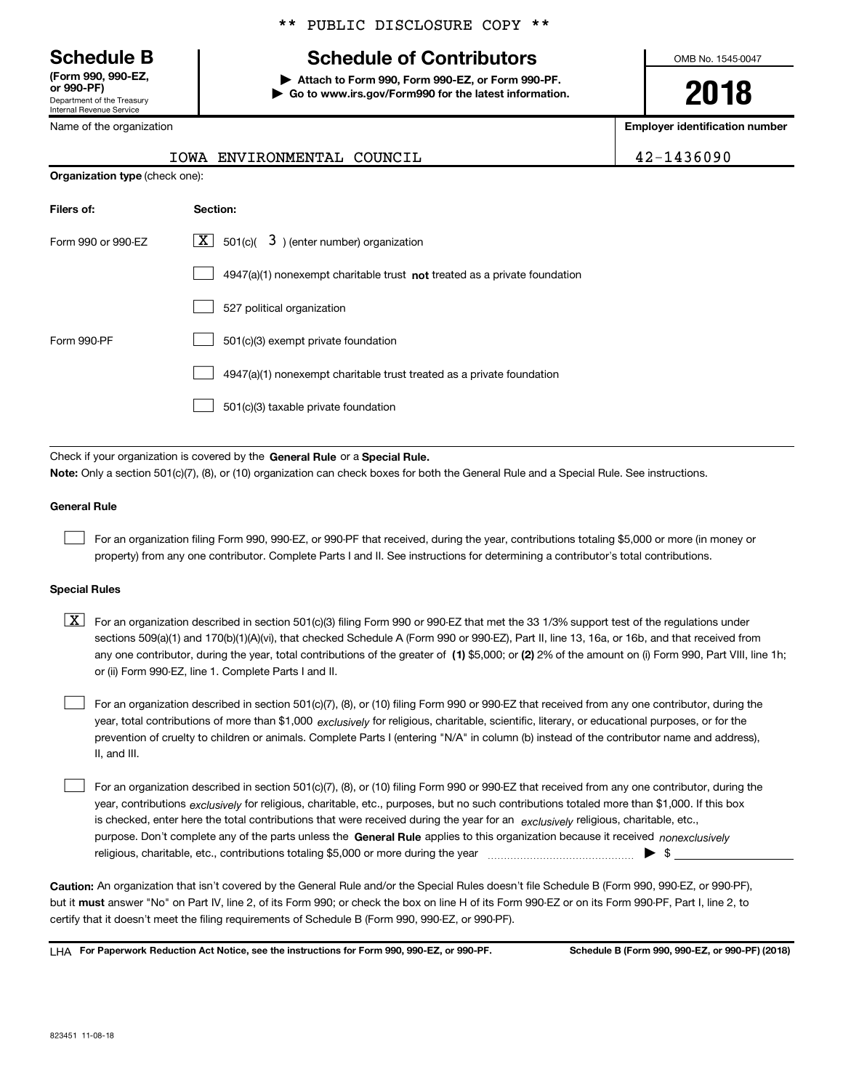Department of the Treasury Internal Revenue Service **(Form 990, 990-EZ,**

Name of the organization

#### \*\* PUBLIC DISCLOSURE COPY \*\*

## **Schedule B Schedule of Contributors**

**or 990-PF) | Attach to Form 990, Form 990-EZ, or Form 990-PF. | Go to www.irs.gov/Form990 for the latest information.**

IOWA ENVIRONMENTAL COUNCIL 42-1436090

OMB No. 1545-0047

**2018**

**Employer identification number**

| $2 - 1436090$ |  |  |  |  |
|---------------|--|--|--|--|
|               |  |  |  |  |

| <b>Organization type (check one):</b> |                                                                             |  |  |  |  |  |
|---------------------------------------|-----------------------------------------------------------------------------|--|--|--|--|--|
| Filers of:                            | Section:                                                                    |  |  |  |  |  |
| Form 990 or 990-EZ                    | $\lfloor x \rfloor$ 501(c)( 3) (enter number) organization                  |  |  |  |  |  |
|                                       | $4947(a)(1)$ nonexempt charitable trust not treated as a private foundation |  |  |  |  |  |
|                                       | 527 political organization                                                  |  |  |  |  |  |
| Form 990-PF                           | 501(c)(3) exempt private foundation                                         |  |  |  |  |  |
|                                       | 4947(a)(1) nonexempt charitable trust treated as a private foundation       |  |  |  |  |  |
|                                       | 501(c)(3) taxable private foundation                                        |  |  |  |  |  |

Check if your organization is covered by the General Rule or a Special Rule. **Note:**  Only a section 501(c)(7), (8), or (10) organization can check boxes for both the General Rule and a Special Rule. See instructions.

#### **General Rule**

 $\begin{array}{c} \hline \end{array}$ 

For an organization filing Form 990, 990-EZ, or 990-PF that received, during the year, contributions totaling \$5,000 or more (in money or property) from any one contributor. Complete Parts I and II. See instructions for determining a contributor's total contributions.

#### **Special Rules**

any one contributor, during the year, total contributions of the greater of (1) \$5,000; or (2) 2% of the amount on (i) Form 990, Part VIII, line 1h;  $\boxed{\textbf{X}}$  For an organization described in section 501(c)(3) filing Form 990 or 990-EZ that met the 33 1/3% support test of the regulations under sections 509(a)(1) and 170(b)(1)(A)(vi), that checked Schedule A (Form 990 or 990-EZ), Part II, line 13, 16a, or 16b, and that received from or (ii) Form 990-EZ, line 1. Complete Parts I and II.

year, total contributions of more than \$1,000 *exclusively* for religious, charitable, scientific, literary, or educational purposes, or for the For an organization described in section 501(c)(7), (8), or (10) filing Form 990 or 990-EZ that received from any one contributor, during the prevention of cruelty to children or animals. Complete Parts I (entering "N/A" in column (b) instead of the contributor name and address), II, and III.  $\begin{array}{c} \hline \end{array}$ 

purpose. Don't complete any of the parts unless the General Rule applies to this organization because it received nonexclusively year, contributions <sub>exclusively</sub> for religious, charitable, etc., purposes, but no such contributions totaled more than \$1,000. If this box is checked, enter here the total contributions that were received during the year for an *exclusively* religious, charitable, etc., For an organization described in section 501(c)(7), (8), or (10) filing Form 990 or 990-EZ that received from any one contributor, during the religious, charitable, etc., contributions totaling \$5,000 or more during the year  $\ldots$  $\ldots$  $\ldots$  $\ldots$  $\ldots$  $\ldots$  $\begin{array}{c} \hline \end{array}$ 

**Caution:**  An organization that isn't covered by the General Rule and/or the Special Rules doesn't file Schedule B (Form 990, 990-EZ, or 990-PF), but it **must** answer "No" on Part IV, line 2, of its Form 990; or check the box on line H of its Form 990-EZ or on its Form 990-PF, Part I, line 2, to certify that it doesn't meet the filing requirements of Schedule B (Form 990, 990-EZ, or 990-PF).

**For Paperwork Reduction Act Notice, see the instructions for Form 990, 990-EZ, or 990-PF. Schedule B (Form 990, 990-EZ, or 990-PF) (2018)** LHA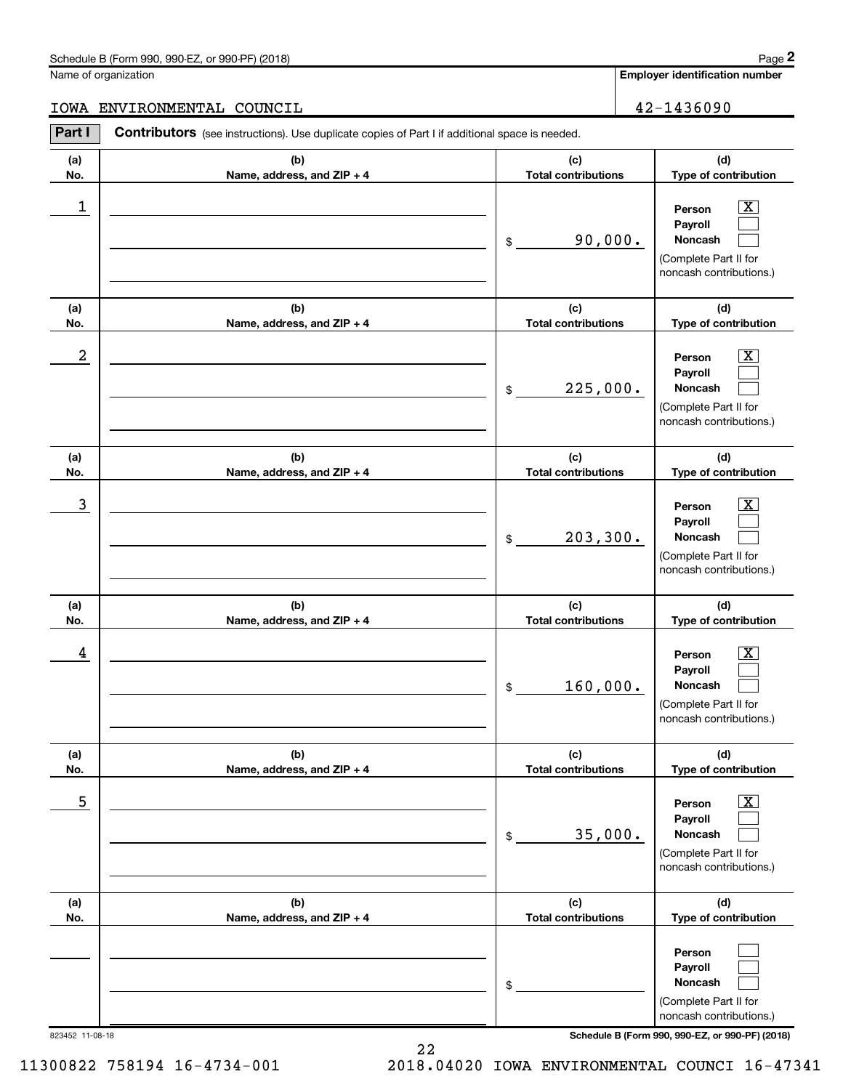#### Schedule B (Form 990, 990-EZ, or 990-PF) (2018)

Name of organization

#### IOWA ENVIRONMENTAL COUNCIL 42-1436090

| Part I     | Contributors (see instructions). Use duplicate copies of Part I if additional space is needed. |                                               |                                                                                                                                     |
|------------|------------------------------------------------------------------------------------------------|-----------------------------------------------|-------------------------------------------------------------------------------------------------------------------------------------|
| (a)        | (b)                                                                                            | (c)                                           | (d)                                                                                                                                 |
| No.        | Name, address, and ZIP + 4                                                                     | <b>Total contributions</b>                    | Type of contribution                                                                                                                |
| 1          |                                                                                                | 90,000.<br>\$                                 | $\boxed{\text{X}}$<br>Person<br>Payroll<br>Noncash<br>(Complete Part II for<br>noncash contributions.)                              |
| (a)<br>No. | (b)<br>Name, address, and ZIP + 4                                                              | (c)<br><b>Total contributions</b>             | (d)<br>Type of contribution                                                                                                         |
| 2          |                                                                                                | 225,000.<br>\$                                | $\overline{\mathbf{X}}$<br>Person<br>Payroll<br>Noncash<br>(Complete Part II for<br>noncash contributions.)                         |
| (a)        | (b)                                                                                            | (c)                                           | (d)                                                                                                                                 |
| No.<br>3   | Name, address, and ZIP + 4                                                                     | <b>Total contributions</b><br>203, 300.<br>\$ | Type of contribution<br>$\overline{\mathbf{x}}$<br>Person<br>Payroll<br>Noncash<br>(Complete Part II for<br>noncash contributions.) |
| (a)        | (b)                                                                                            | (c)                                           | (d)                                                                                                                                 |
| No.<br>4   | Name, address, and ZIP + 4                                                                     | <b>Total contributions</b><br>160,000.<br>\$  | Type of contribution<br>$\mathbf{X}$<br>Person<br>Payroll<br>Noncash<br>(Complete Part II for<br>noncash contributions.)            |
| (a)<br>No. | (b)<br>Name, address, and ZIP + 4                                                              | (c)<br><b>Total contributions</b>             | (d)<br>Type of contribution                                                                                                         |
| 5          |                                                                                                | 35,000.<br>\$                                 | х<br>Person<br>Payroll<br>Noncash<br>(Complete Part II for<br>noncash contributions.)                                               |
| (a)<br>No. | (b)<br>Name, address, and ZIP + 4                                                              | (c)<br><b>Total contributions</b>             | (d)<br>Type of contribution                                                                                                         |
|            |                                                                                                | \$                                            | Person<br>Payroll<br>Noncash<br>(Complete Part II for<br>noncash contributions.)                                                    |

823452 11-08-18 **Schedule B (Form 990, 990-EZ, or 990-PF) (2018)**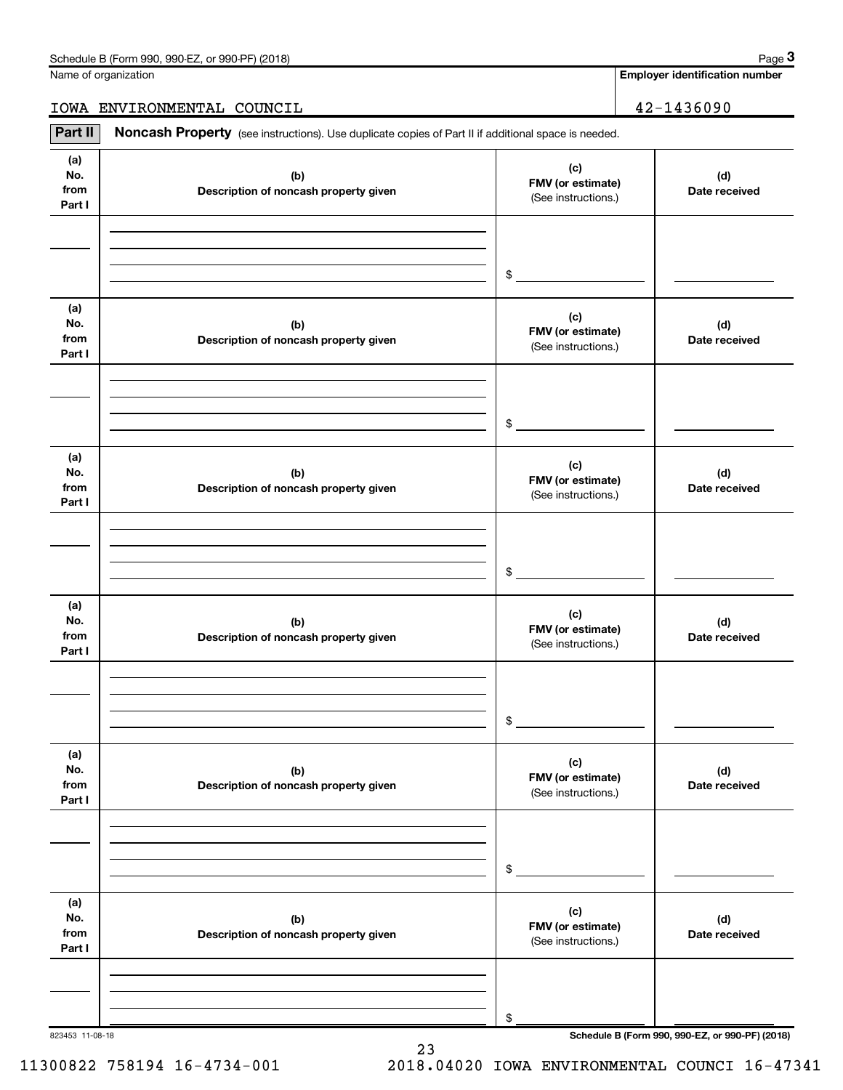**Employer identification number**

IOWA ENVIRONMENTAL COUNCIL 42-1436090

Part II | Noncash Property (see instructions). Use duplicate copies of Part II if additional space is needed.

| (a)<br>No.<br>from<br>Part I | (b)<br>Description of noncash property given | (c)<br>FMV (or estimate)<br>(See instructions.) | (d)<br>Date received |
|------------------------------|----------------------------------------------|-------------------------------------------------|----------------------|
|                              |                                              |                                                 |                      |
|                              |                                              |                                                 |                      |
|                              |                                              | $\frac{1}{2}$                                   |                      |
| (a)                          |                                              |                                                 |                      |
| No.                          | (b)                                          | (c)<br>FMV (or estimate)                        | (d)                  |
| from<br>Part I               | Description of noncash property given        | (See instructions.)                             | Date received        |
|                              |                                              |                                                 |                      |
|                              |                                              |                                                 |                      |
|                              |                                              | $\mathsf{\$}$                                   |                      |
|                              |                                              |                                                 |                      |
| (a)                          |                                              | (c)                                             |                      |
| No.<br>from                  | (b)<br>Description of noncash property given | FMV (or estimate)                               | (d)<br>Date received |
| Part I                       |                                              | (See instructions.)                             |                      |
|                              |                                              |                                                 |                      |
|                              |                                              |                                                 |                      |
|                              |                                              | \$                                              |                      |
| (a)                          |                                              |                                                 |                      |
| No.                          | (b)                                          | (c)<br>FMV (or estimate)                        | (d)                  |
| from<br>Part I               | Description of noncash property given        | (See instructions.)                             | Date received        |
|                              |                                              |                                                 |                      |
|                              |                                              |                                                 |                      |
|                              |                                              | \$                                              |                      |
|                              |                                              |                                                 |                      |
| (a)<br>No.                   | (b)                                          | (c)                                             | (d)                  |
| from                         | Description of noncash property given        | FMV (or estimate)<br>(See instructions.)        | Date received        |
| Part I                       |                                              |                                                 |                      |
|                              |                                              |                                                 |                      |
|                              |                                              |                                                 |                      |
|                              |                                              | $\frac{1}{2}$                                   |                      |
| (a)                          |                                              | (c)                                             |                      |
| No.<br>from                  | (b)<br>Description of noncash property given | FMV (or estimate)                               | (d)<br>Date received |
| Part I                       |                                              | (See instructions.)                             |                      |
|                              |                                              |                                                 |                      |
|                              |                                              |                                                 |                      |
|                              |                                              | \$                                              |                      |

23

823453 11-08-18 **Schedule B (Form 990, 990-EZ, or 990-PF) (2018)**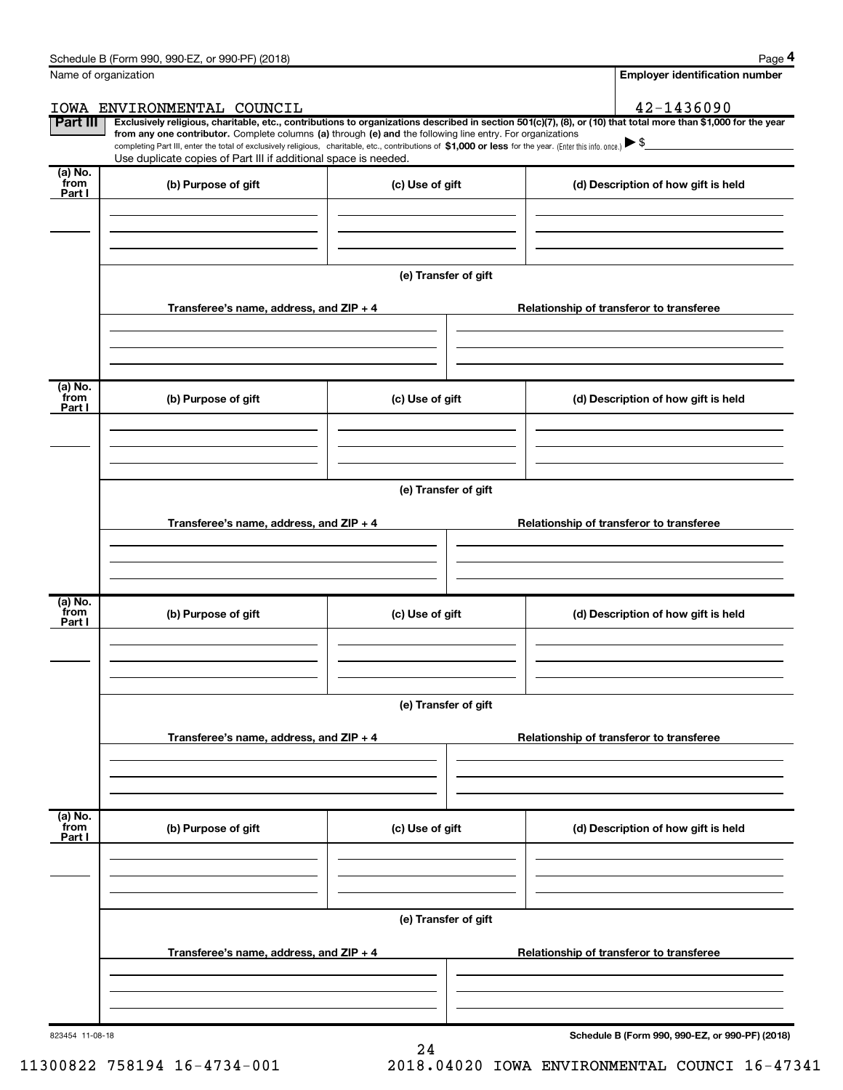|                            | Name of organization                                                                                                                                                          |                      | <b>Employer identification number</b>                                                                                                                                                                                                                                                                                           |
|----------------------------|-------------------------------------------------------------------------------------------------------------------------------------------------------------------------------|----------------------|---------------------------------------------------------------------------------------------------------------------------------------------------------------------------------------------------------------------------------------------------------------------------------------------------------------------------------|
|                            | IOWA ENVIRONMENTAL COUNCIL                                                                                                                                                    |                      | 42-1436090                                                                                                                                                                                                                                                                                                                      |
| <b>Part III</b>            | from any one contributor. Complete columns (a) through (e) and the following line entry. For organizations<br>Use duplicate copies of Part III if additional space is needed. |                      | Exclusively religious, charitable, etc., contributions to organizations described in section 501(c)(7), (8), or (10) that total more than \$1,000 for the year<br>completing Part III, enter the total of exclusively religious, charitable, etc., contributions of \$1,000 or less for the year. (Enter this info. once.) > \$ |
| (a) No.<br>from<br>Part I  | (b) Purpose of gift                                                                                                                                                           | (c) Use of gift      | (d) Description of how gift is held                                                                                                                                                                                                                                                                                             |
|                            |                                                                                                                                                                               |                      |                                                                                                                                                                                                                                                                                                                                 |
|                            |                                                                                                                                                                               | (e) Transfer of gift |                                                                                                                                                                                                                                                                                                                                 |
|                            | Transferee's name, address, and $ZIP + 4$                                                                                                                                     |                      | Relationship of transferor to transferee                                                                                                                                                                                                                                                                                        |
|                            |                                                                                                                                                                               |                      |                                                                                                                                                                                                                                                                                                                                 |
| (a) No.<br>from<br>Part I  | (b) Purpose of gift                                                                                                                                                           | (c) Use of gift      | (d) Description of how gift is held                                                                                                                                                                                                                                                                                             |
|                            |                                                                                                                                                                               |                      |                                                                                                                                                                                                                                                                                                                                 |
|                            |                                                                                                                                                                               | (e) Transfer of gift |                                                                                                                                                                                                                                                                                                                                 |
|                            | Transferee's name, address, and ZIP + 4                                                                                                                                       |                      | Relationship of transferor to transferee                                                                                                                                                                                                                                                                                        |
|                            |                                                                                                                                                                               |                      |                                                                                                                                                                                                                                                                                                                                 |
|                            |                                                                                                                                                                               |                      |                                                                                                                                                                                                                                                                                                                                 |
| (a) No.<br>`from<br>Part I | (b) Purpose of gift                                                                                                                                                           | (c) Use of gift      | (d) Description of how gift is held                                                                                                                                                                                                                                                                                             |
|                            |                                                                                                                                                                               |                      |                                                                                                                                                                                                                                                                                                                                 |
|                            |                                                                                                                                                                               |                      |                                                                                                                                                                                                                                                                                                                                 |
|                            |                                                                                                                                                                               | (e) Transfer of gift |                                                                                                                                                                                                                                                                                                                                 |
|                            | Transferee's name, address, and $ZIP + 4$                                                                                                                                     |                      | Relationship of transferor to transferee                                                                                                                                                                                                                                                                                        |
|                            |                                                                                                                                                                               |                      |                                                                                                                                                                                                                                                                                                                                 |
| (a) No.<br>from<br>Part I  | (b) Purpose of gift                                                                                                                                                           | (c) Use of gift      | (d) Description of how gift is held                                                                                                                                                                                                                                                                                             |
|                            |                                                                                                                                                                               |                      |                                                                                                                                                                                                                                                                                                                                 |
|                            |                                                                                                                                                                               |                      |                                                                                                                                                                                                                                                                                                                                 |
|                            |                                                                                                                                                                               | (e) Transfer of gift |                                                                                                                                                                                                                                                                                                                                 |
|                            | Transferee's name, address, and ZIP + 4                                                                                                                                       |                      | Relationship of transferor to transferee                                                                                                                                                                                                                                                                                        |
|                            |                                                                                                                                                                               |                      |                                                                                                                                                                                                                                                                                                                                 |
|                            |                                                                                                                                                                               |                      |                                                                                                                                                                                                                                                                                                                                 |

24

823454 11-08-18

**Schedule B (Form 990, 990-EZ, or 990-PF) (2018)**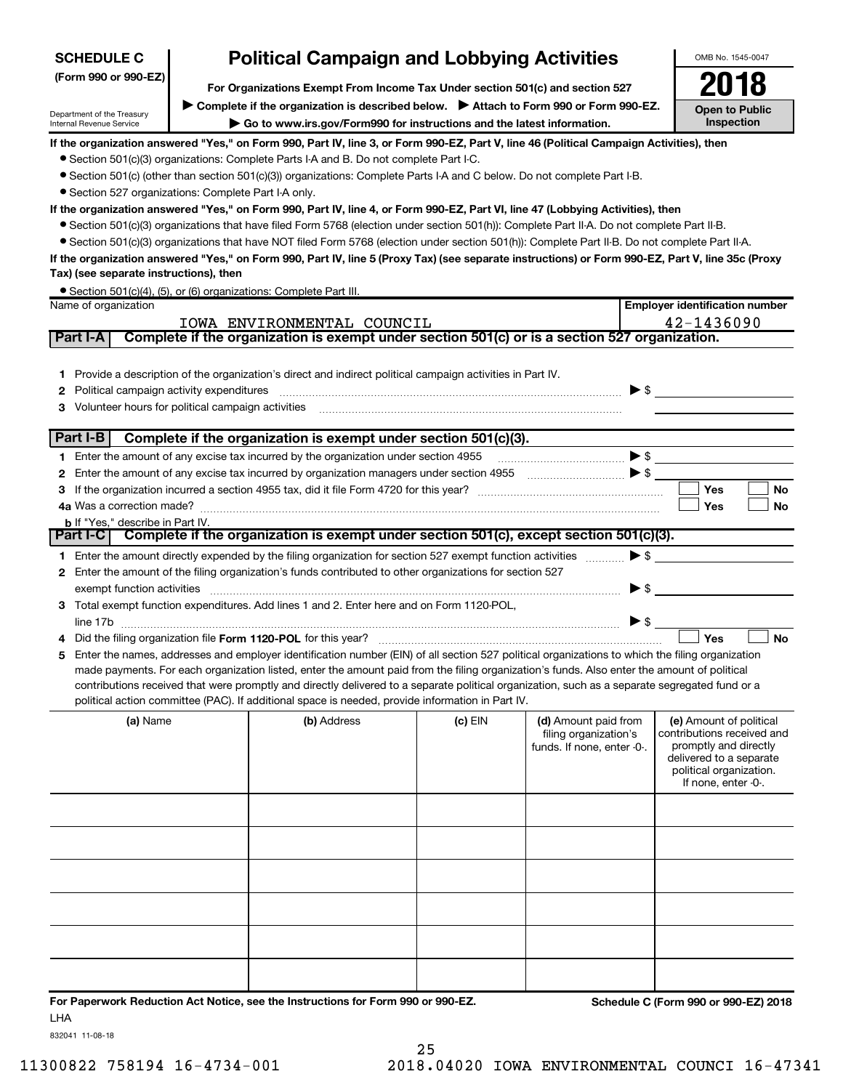| <b>SCHEDULE C</b>                                                                                                                       | <b>Political Campaign and Lobbying Activities</b>                                                                                                                      |                                                                                                                                                  |           |                                               |                          |                                                       |  |
|-----------------------------------------------------------------------------------------------------------------------------------------|------------------------------------------------------------------------------------------------------------------------------------------------------------------------|--------------------------------------------------------------------------------------------------------------------------------------------------|-----------|-----------------------------------------------|--------------------------|-------------------------------------------------------|--|
| (Form 990 or 990-EZ)                                                                                                                    |                                                                                                                                                                        |                                                                                                                                                  |           |                                               |                          |                                                       |  |
|                                                                                                                                         | For Organizations Exempt From Income Tax Under section 501(c) and section 527<br>Complete if the organization is described below. > Attach to Form 990 or Form 990-EZ. |                                                                                                                                                  |           |                                               |                          |                                                       |  |
| Department of the Treasury<br>Internal Revenue Service                                                                                  |                                                                                                                                                                        | Go to www.irs.gov/Form990 for instructions and the latest information.                                                                           |           |                                               |                          | <b>Open to Public</b><br>Inspection                   |  |
| If the organization answered "Yes," on Form 990, Part IV, line 3, or Form 990-EZ, Part V, line 46 (Political Campaign Activities), then |                                                                                                                                                                        |                                                                                                                                                  |           |                                               |                          |                                                       |  |
|                                                                                                                                         |                                                                                                                                                                        | • Section 501(c)(3) organizations: Complete Parts I-A and B. Do not complete Part I-C.                                                           |           |                                               |                          |                                                       |  |
|                                                                                                                                         |                                                                                                                                                                        | • Section 501(c) (other than section 501(c)(3)) organizations: Complete Parts I-A and C below. Do not complete Part I-B.                         |           |                                               |                          |                                                       |  |
| • Section 527 organizations: Complete Part I-A only.                                                                                    |                                                                                                                                                                        |                                                                                                                                                  |           |                                               |                          |                                                       |  |
|                                                                                                                                         |                                                                                                                                                                        | If the organization answered "Yes," on Form 990, Part IV, line 4, or Form 990-EZ, Part VI, line 47 (Lobbying Activities), then                   |           |                                               |                          |                                                       |  |
|                                                                                                                                         |                                                                                                                                                                        | • Section 501(c)(3) organizations that have filed Form 5768 (election under section 501(h)): Complete Part II-A. Do not complete Part II-B.      |           |                                               |                          |                                                       |  |
|                                                                                                                                         |                                                                                                                                                                        | • Section 501(c)(3) organizations that have NOT filed Form 5768 (election under section 501(h)): Complete Part II-B. Do not complete Part II-A.  |           |                                               |                          |                                                       |  |
|                                                                                                                                         |                                                                                                                                                                        | If the organization answered "Yes," on Form 990, Part IV, line 5 (Proxy Tax) (see separate instructions) or Form 990-EZ, Part V, line 35c (Proxy |           |                                               |                          |                                                       |  |
| Tax) (see separate instructions), then                                                                                                  |                                                                                                                                                                        |                                                                                                                                                  |           |                                               |                          |                                                       |  |
| Name of organization                                                                                                                    |                                                                                                                                                                        | • Section 501(c)(4), (5), or (6) organizations: Complete Part III.                                                                               |           |                                               |                          | <b>Employer identification number</b>                 |  |
|                                                                                                                                         |                                                                                                                                                                        | IOWA ENVIRONMENTAL COUNCIL                                                                                                                       |           |                                               |                          | 42-1436090                                            |  |
| Part I-A                                                                                                                                |                                                                                                                                                                        | Complete if the organization is exempt under section 501(c) or is a section 527 organization.                                                    |           |                                               |                          |                                                       |  |
|                                                                                                                                         |                                                                                                                                                                        |                                                                                                                                                  |           |                                               |                          |                                                       |  |
| 1.                                                                                                                                      |                                                                                                                                                                        | Provide a description of the organization's direct and indirect political campaign activities in Part IV.                                        |           |                                               |                          |                                                       |  |
| Political campaign activity expenditures<br>2                                                                                           |                                                                                                                                                                        |                                                                                                                                                  |           |                                               |                          | $\blacktriangleright$ \$                              |  |
| Volunteer hours for political campaign activities<br>з                                                                                  |                                                                                                                                                                        |                                                                                                                                                  |           |                                               |                          |                                                       |  |
|                                                                                                                                         |                                                                                                                                                                        |                                                                                                                                                  |           |                                               |                          |                                                       |  |
| Part I-B                                                                                                                                |                                                                                                                                                                        | Complete if the organization is exempt under section 501(c)(3).                                                                                  |           |                                               |                          |                                                       |  |
|                                                                                                                                         |                                                                                                                                                                        | 1 Enter the amount of any excise tax incurred by the organization under section 4955                                                             |           |                                               |                          | $\bullet \mathsf{s} \_\_$                             |  |
| 2                                                                                                                                       |                                                                                                                                                                        | Enter the amount of any excise tax incurred by organization managers under section 4955                                                          |           |                                               |                          |                                                       |  |
| 3                                                                                                                                       |                                                                                                                                                                        |                                                                                                                                                  |           |                                               |                          | Yes<br>No                                             |  |
|                                                                                                                                         |                                                                                                                                                                        |                                                                                                                                                  |           |                                               |                          | Yes<br>No                                             |  |
| <b>b</b> If "Yes," describe in Part IV.                                                                                                 |                                                                                                                                                                        | Part I-C   Complete if the organization is exempt under section 501(c), except section 501(c)(3).                                                |           |                                               |                          |                                                       |  |
|                                                                                                                                         |                                                                                                                                                                        | 1 Enter the amount directly expended by the filing organization for section 527 exempt function activities                                       |           |                                               | $\blacktriangleright$ \$ |                                                       |  |
| 2                                                                                                                                       |                                                                                                                                                                        | Enter the amount of the filing organization's funds contributed to other organizations for section 527                                           |           |                                               |                          |                                                       |  |
| exempt function activities                                                                                                              |                                                                                                                                                                        |                                                                                                                                                  |           |                                               | $\blacktriangleright$ \$ |                                                       |  |
|                                                                                                                                         |                                                                                                                                                                        | 3 Total exempt function expenditures. Add lines 1 and 2. Enter here and on Form 1120-POL,                                                        |           |                                               |                          |                                                       |  |
|                                                                                                                                         |                                                                                                                                                                        |                                                                                                                                                  |           |                                               |                          |                                                       |  |
|                                                                                                                                         |                                                                                                                                                                        |                                                                                                                                                  |           |                                               |                          | Yes<br><b>No</b>                                      |  |
| 5                                                                                                                                       |                                                                                                                                                                        | Enter the names, addresses and employer identification number (EIN) of all section 527 political organizations to which the filing organization  |           |                                               |                          |                                                       |  |
|                                                                                                                                         |                                                                                                                                                                        | made payments. For each organization listed, enter the amount paid from the filing organization's funds. Also enter the amount of political      |           |                                               |                          |                                                       |  |
|                                                                                                                                         |                                                                                                                                                                        | contributions received that were promptly and directly delivered to a separate political organization, such as a separate segregated fund or a   |           |                                               |                          |                                                       |  |
|                                                                                                                                         |                                                                                                                                                                        | political action committee (PAC). If additional space is needed, provide information in Part IV.                                                 |           |                                               |                          |                                                       |  |
| (a) Name                                                                                                                                |                                                                                                                                                                        | (b) Address                                                                                                                                      | $(c)$ EIN | (d) Amount paid from<br>filing organization's |                          | (e) Amount of political<br>contributions received and |  |
|                                                                                                                                         |                                                                                                                                                                        |                                                                                                                                                  |           | funds. If none, enter -0-.                    |                          | promptly and directly                                 |  |
|                                                                                                                                         |                                                                                                                                                                        |                                                                                                                                                  |           |                                               |                          | delivered to a separate                               |  |
|                                                                                                                                         |                                                                                                                                                                        |                                                                                                                                                  |           |                                               |                          | political organization.<br>If none, enter -0-.        |  |
|                                                                                                                                         |                                                                                                                                                                        |                                                                                                                                                  |           |                                               |                          |                                                       |  |
|                                                                                                                                         |                                                                                                                                                                        |                                                                                                                                                  |           |                                               |                          |                                                       |  |
|                                                                                                                                         |                                                                                                                                                                        |                                                                                                                                                  |           |                                               |                          |                                                       |  |
|                                                                                                                                         |                                                                                                                                                                        |                                                                                                                                                  |           |                                               |                          |                                                       |  |
|                                                                                                                                         |                                                                                                                                                                        |                                                                                                                                                  |           |                                               |                          |                                                       |  |
|                                                                                                                                         |                                                                                                                                                                        |                                                                                                                                                  |           |                                               |                          |                                                       |  |
|                                                                                                                                         |                                                                                                                                                                        |                                                                                                                                                  |           |                                               |                          |                                                       |  |
|                                                                                                                                         |                                                                                                                                                                        |                                                                                                                                                  |           |                                               |                          |                                                       |  |
|                                                                                                                                         |                                                                                                                                                                        |                                                                                                                                                  |           |                                               |                          |                                                       |  |
|                                                                                                                                         |                                                                                                                                                                        |                                                                                                                                                  |           |                                               |                          |                                                       |  |
|                                                                                                                                         |                                                                                                                                                                        |                                                                                                                                                  |           |                                               |                          |                                                       |  |
|                                                                                                                                         |                                                                                                                                                                        |                                                                                                                                                  |           |                                               |                          |                                                       |  |

**For Paperwork Reduction Act Notice, see the Instructions for Form 990 or 990-EZ. Schedule C (Form 990 or 990-EZ) 2018** LHA

832041 11-08-18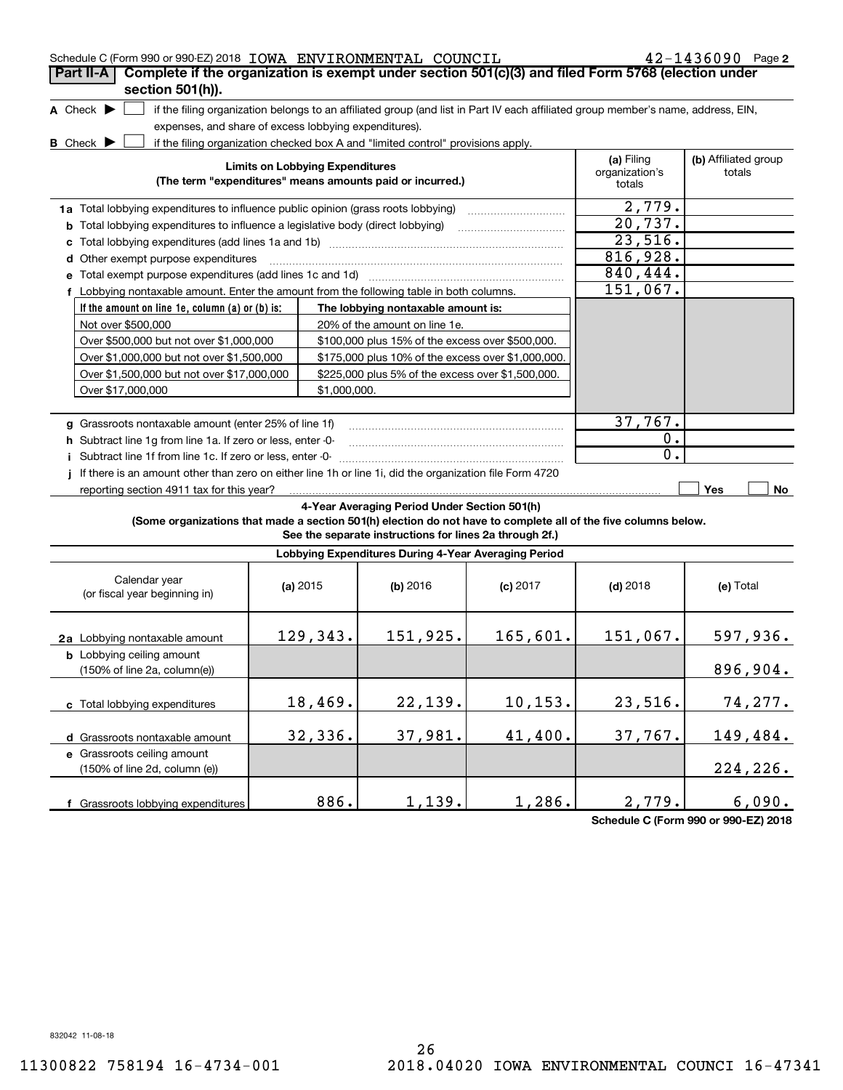| Schedule C (Form 990 or 990-EZ) 2018 IOWA ENVIRONMENTAL COUNCIL                                                 |                                                       |                                                                                  |                                                                                                                                   |                                        | 42-1436090 Page 2              |
|-----------------------------------------------------------------------------------------------------------------|-------------------------------------------------------|----------------------------------------------------------------------------------|-----------------------------------------------------------------------------------------------------------------------------------|----------------------------------------|--------------------------------|
| Complete if the organization is exempt under section 501(c)(3) and filed Form 5768 (election under<br>Part II-A |                                                       |                                                                                  |                                                                                                                                   |                                        |                                |
| section 501(h)).                                                                                                |                                                       |                                                                                  |                                                                                                                                   |                                        |                                |
| A Check $\blacktriangleright$                                                                                   |                                                       |                                                                                  | if the filing organization belongs to an affiliated group (and list in Part IV each affiliated group member's name, address, EIN, |                                        |                                |
|                                                                                                                 | expenses, and share of excess lobbying expenditures). |                                                                                  |                                                                                                                                   |                                        |                                |
| <b>B</b> Check $\blacktriangleright$                                                                            |                                                       | if the filing organization checked box A and "limited control" provisions apply. |                                                                                                                                   |                                        |                                |
|                                                                                                                 | <b>Limits on Lobbying Expenditures</b>                | (The term "expenditures" means amounts paid or incurred.)                        |                                                                                                                                   | (a) Filing<br>organization's<br>totals | (b) Affiliated group<br>totals |
| 1a Total lobbying expenditures to influence public opinion (grass roots lobbying)                               |                                                       |                                                                                  |                                                                                                                                   | 2,779.                                 |                                |
| <b>b</b> Total lobbying expenditures to influence a legislative body (direct lobbying)                          |                                                       |                                                                                  |                                                                                                                                   | 20,737.                                |                                |
| с                                                                                                               |                                                       |                                                                                  |                                                                                                                                   | 23,516.                                |                                |
| d Other exempt purpose expenditures                                                                             |                                                       |                                                                                  |                                                                                                                                   | 816,928.                               |                                |
| e Total exempt purpose expenditures (add lines 1c and 1d)                                                       |                                                       |                                                                                  |                                                                                                                                   | 840, 444.                              |                                |
| f Lobbying nontaxable amount. Enter the amount from the following table in both columns.                        |                                                       |                                                                                  |                                                                                                                                   | 151,067.                               |                                |
| If the amount on line 1e, column (a) or (b) is:                                                                 |                                                       | The lobbying nontaxable amount is:                                               |                                                                                                                                   |                                        |                                |
| Not over \$500,000                                                                                              |                                                       | 20% of the amount on line 1e.                                                    |                                                                                                                                   |                                        |                                |
| Over \$500,000 but not over \$1,000,000                                                                         |                                                       | \$100,000 plus 15% of the excess over \$500,000.                                 |                                                                                                                                   |                                        |                                |
| Over \$1,000,000 but not over \$1,500,000                                                                       |                                                       | \$175,000 plus 10% of the excess over \$1,000,000.                               |                                                                                                                                   |                                        |                                |
| Over \$1,500,000 but not over \$17,000,000                                                                      |                                                       | \$225,000 plus 5% of the excess over \$1,500,000.                                |                                                                                                                                   |                                        |                                |
| Over \$17,000,000                                                                                               | \$1,000,000.                                          |                                                                                  |                                                                                                                                   |                                        |                                |
|                                                                                                                 |                                                       |                                                                                  |                                                                                                                                   |                                        |                                |
| g Grassroots nontaxable amount (enter 25% of line 1f)                                                           |                                                       |                                                                                  |                                                                                                                                   | 37,767.                                |                                |
|                                                                                                                 |                                                       |                                                                                  |                                                                                                                                   |                                        |                                |
|                                                                                                                 |                                                       |                                                                                  |                                                                                                                                   |                                        |                                |
| h Subtract line 1q from line 1a. If zero or less, enter -0-                                                     |                                                       |                                                                                  |                                                                                                                                   | $\overline{0}$ .<br>0.                 |                                |
| i Subtract line 1f from line 1c. If zero or less, enter -0-                                                     |                                                       |                                                                                  |                                                                                                                                   |                                        |                                |
| If there is an amount other than zero on either line 1h or line 1i, did the organization file Form 4720         |                                                       |                                                                                  |                                                                                                                                   |                                        | <b>Yes</b>                     |
| reporting section 4911 tax for this year?                                                                       |                                                       |                                                                                  |                                                                                                                                   |                                        | No                             |
| (Some organizations that made a section 501(h) election do not have to complete all of the five columns below.  |                                                       | 4-Year Averaging Period Under Section 501(h)                                     |                                                                                                                                   |                                        |                                |
|                                                                                                                 |                                                       | See the separate instructions for lines 2a through 2f.)                          |                                                                                                                                   |                                        |                                |
|                                                                                                                 |                                                       | Lobbying Expenditures During 4-Year Averaging Period                             |                                                                                                                                   |                                        |                                |
| Calendar year<br>(or fiscal year beginning in)                                                                  | (a) $2015$                                            | (b) 2016                                                                         | $(c)$ 2017                                                                                                                        | $(d)$ 2018                             | (e) Total                      |
| 2a Lobbying nontaxable amount                                                                                   | 129,343.                                              | 151,925.                                                                         | 165,601.                                                                                                                          | 151,067.                               | 597,936.                       |
| <b>b</b> Lobbying ceiling amount<br>$(150\% \text{ of line } 2a, \text{ column}(e))$                            |                                                       |                                                                                  |                                                                                                                                   |                                        | 896,904.                       |
| c Total lobbying expenditures                                                                                   | 18,469.                                               | 22,139.                                                                          | 10, 153.                                                                                                                          | 23,516.                                |                                |
|                                                                                                                 |                                                       |                                                                                  |                                                                                                                                   |                                        | 74, 277.                       |
| d Grassroots nontaxable amount                                                                                  | 32,336.                                               | 37,981.                                                                          | 41,400.                                                                                                                           | 37,767.                                | 149,484.                       |
| e Grassroots ceiling amount                                                                                     |                                                       |                                                                                  |                                                                                                                                   |                                        |                                |
| (150% of line 2d, column (e))                                                                                   |                                                       |                                                                                  |                                                                                                                                   |                                        | 224,226.                       |

**Schedule C (Form 990 or 990-EZ) 2018**

832042 11-08-18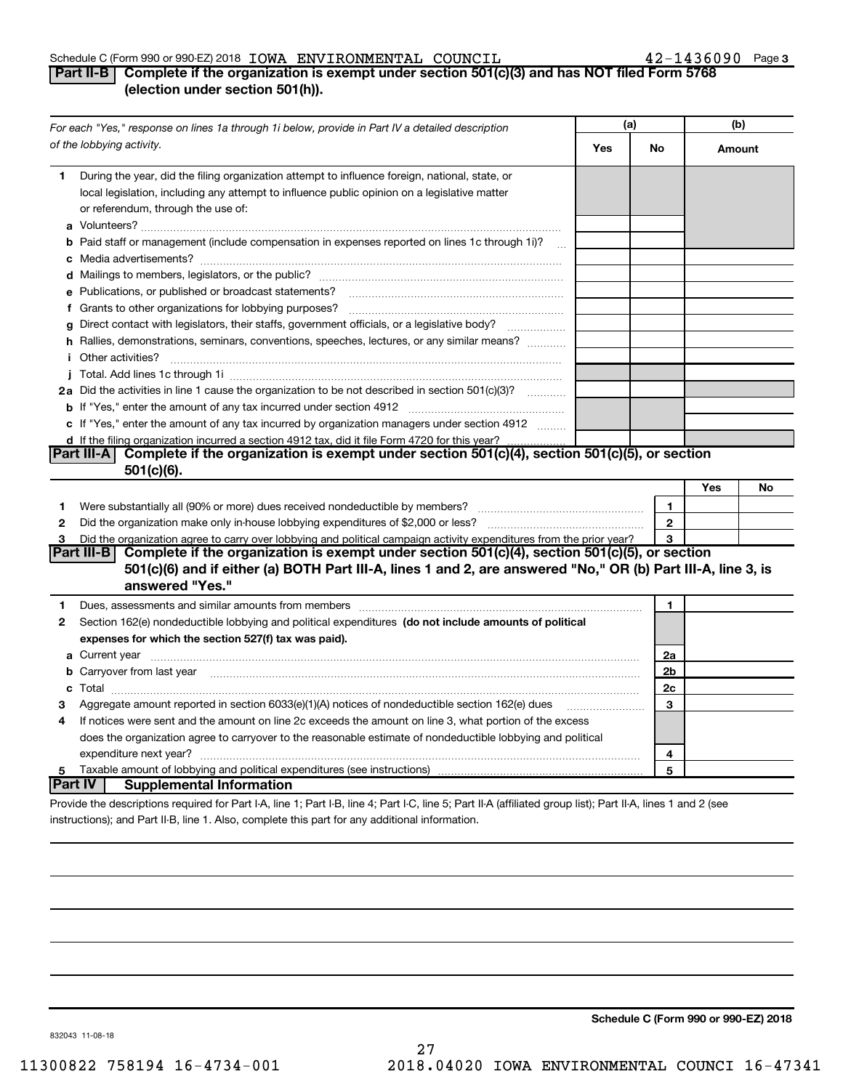#### Schedule C (Form 990 or 990-EZ) 2018 Page IOWA ENVIRONMENTAL COUNCIL 42-1436090

#### 42-1436090 Page 3

### **Part II-B | Complete if the organization is exempt under section 501(c)(3) and has NOT filed Form 5768 (election under section 501(h)).**

| For each "Yes," response on lines 1a through 1i below, provide in Part IV a detailed description |                                                                                                                                                                                                                                               | (a) |                | (b)    |    |
|--------------------------------------------------------------------------------------------------|-----------------------------------------------------------------------------------------------------------------------------------------------------------------------------------------------------------------------------------------------|-----|----------------|--------|----|
|                                                                                                  | of the lobbying activity.                                                                                                                                                                                                                     | Yes | No             | Amount |    |
| 1                                                                                                | During the year, did the filing organization attempt to influence foreign, national, state, or<br>local legislation, including any attempt to influence public opinion on a legislative matter<br>or referendum, through the use of:          |     |                |        |    |
|                                                                                                  | <b>b</b> Paid staff or management (include compensation in expenses reported on lines 1c through 1i)?                                                                                                                                         |     |                |        |    |
|                                                                                                  |                                                                                                                                                                                                                                               |     |                |        |    |
|                                                                                                  | e Publications, or published or broadcast statements?                                                                                                                                                                                         |     |                |        |    |
|                                                                                                  | f Grants to other organizations for lobbying purposes?                                                                                                                                                                                        |     |                |        |    |
| a                                                                                                | Direct contact with legislators, their staffs, government officials, or a legislative body?                                                                                                                                                   |     |                |        |    |
|                                                                                                  | h Rallies, demonstrations, seminars, conventions, speeches, lectures, or any similar means?<br><i>i</i> Other activities?                                                                                                                     |     |                |        |    |
|                                                                                                  |                                                                                                                                                                                                                                               |     |                |        |    |
|                                                                                                  | 2a Did the activities in line 1 cause the organization to be not described in section 501(c)(3)?                                                                                                                                              |     |                |        |    |
|                                                                                                  |                                                                                                                                                                                                                                               |     |                |        |    |
|                                                                                                  | c If "Yes," enter the amount of any tax incurred by organization managers under section 4912                                                                                                                                                  |     |                |        |    |
|                                                                                                  | d If the filing organization incurred a section 4912 tax, did it file Form 4720 for this year?                                                                                                                                                |     |                |        |    |
|                                                                                                  | Complete if the organization is exempt under section 501(c)(4), section 501(c)(5), or section<br> Part III-A  <br>$501(c)(6)$ .                                                                                                               |     |                |        |    |
|                                                                                                  |                                                                                                                                                                                                                                               |     |                | Yes    | No |
| 1                                                                                                | Were substantially all (90% or more) dues received nondeductible by members?                                                                                                                                                                  |     | 1              |        |    |
| 2                                                                                                | Did the organization make only in house lobbying expenditures of \$2,000 or less?                                                                                                                                                             |     | $\mathbf{2}$   |        |    |
| 3                                                                                                | Did the organization agree to carry over lobbying and political campaign activity expenditures from the prior year?                                                                                                                           |     | 3              |        |    |
|                                                                                                  | Part III-B   Complete if the organization is exempt under section 501(c)(4), section 501(c)(5), or section<br>501(c)(6) and if either (a) BOTH Part III-A, lines 1 and 2, are answered "No," OR (b) Part III-A, line 3, is<br>answered "Yes." |     |                |        |    |
| 1.                                                                                               | Dues, assessments and similar amounts from members [11] matter contracts and similar amounts from members [11] matter and similar amounts from members [11] matter and similar amounts from members [11] matter and similar am                |     | 1              |        |    |
| 2                                                                                                | Section 162(e) nondeductible lobbying and political expenditures (do not include amounts of political                                                                                                                                         |     |                |        |    |
|                                                                                                  | expenses for which the section 527(f) tax was paid).                                                                                                                                                                                          |     |                |        |    |
|                                                                                                  |                                                                                                                                                                                                                                               |     | 2a             |        |    |
|                                                                                                  | b Carryover from last year manufactured and content to content the content of the content of the content of the content of the content of the content of the content of the content of the content of the content of the conte                |     | 2 <sub>b</sub> |        |    |
|                                                                                                  |                                                                                                                                                                                                                                               |     | 2c             |        |    |
| 3                                                                                                | Aggregate amount reported in section 6033(e)(1)(A) notices of nondeductible section 162(e) dues                                                                                                                                               |     | 3              |        |    |
| 4                                                                                                | If notices were sent and the amount on line 2c exceeds the amount on line 3, what portion of the excess                                                                                                                                       |     |                |        |    |
|                                                                                                  | does the organization agree to carryover to the reasonable estimate of nondeductible lobbying and political                                                                                                                                   |     |                |        |    |
|                                                                                                  |                                                                                                                                                                                                                                               |     | 4              |        |    |
| 5                                                                                                | Taxable amount of lobbying and political expenditures (see instructions)<br> Part IV <br><b>Supplemental Information</b>                                                                                                                      |     | 5              |        |    |
|                                                                                                  |                                                                                                                                                                                                                                               |     |                |        |    |
|                                                                                                  | Provide the descriptions required for Part I-A, line 1; Part I-B, line 4; Part I-C, line 5; Part II-A (affiliated group list); Part II-A, lines 1 and 2 (see                                                                                  |     |                |        |    |
|                                                                                                  | instructions); and Part II-B, line 1. Also, complete this part for any additional information.                                                                                                                                                |     |                |        |    |

**Schedule C (Form 990 or 990-EZ) 2018**

832043 11-08-18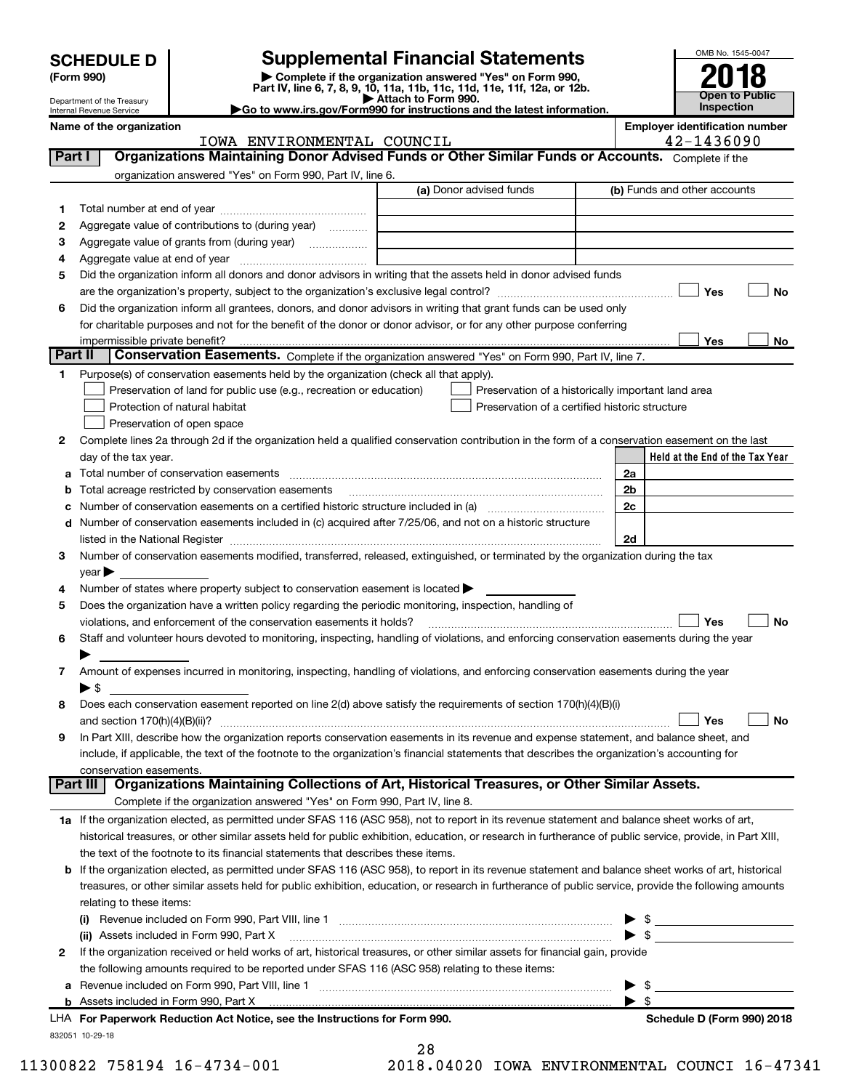| <b>SCHEDULE D</b> |  |
|-------------------|--|
|-------------------|--|

| (Form 990) |
|------------|
|            |

**(Form 990) | Complete if the organization answered "Yes" on Form 990, Part IV, line 6, 7, 8, 9, 10, 11a, 11b, 11c, 11d, 11e, 11f, 12a, or 12b. SCHEDULE D Supplemental Financial Statements**<br> **Form 990**<br>
Part IV, line 6, 7, 8, 9, 10, 11a, 11b, 11c, 11d, 11e, 11f, 12a, or 12b.



Department of the Treasury Internal Revenue Service **Name of the organization**<br>TOWA ENIVERONMENTAT, COUNCTT, **EMPLO BEENGES** 

**| Attach to Form 990. |Go to www.irs.gov/Form990 for instructions and the latest information.**

|                | IOWA ENVIRONMENTAL COUNCIL                                                                                                                                                                                                    |                                                                                                      | 42-1436090                      |
|----------------|-------------------------------------------------------------------------------------------------------------------------------------------------------------------------------------------------------------------------------|------------------------------------------------------------------------------------------------------|---------------------------------|
| Part I         | Organizations Maintaining Donor Advised Funds or Other Similar Funds or Accounts. Complete if the                                                                                                                             |                                                                                                      |                                 |
|                | organization answered "Yes" on Form 990, Part IV, line 6.                                                                                                                                                                     |                                                                                                      |                                 |
|                |                                                                                                                                                                                                                               | (a) Donor advised funds                                                                              | (b) Funds and other accounts    |
| 1              |                                                                                                                                                                                                                               |                                                                                                      |                                 |
| 2              | Aggregate value of contributions to (during year)                                                                                                                                                                             |                                                                                                      |                                 |
| з              | Aggregate value of grants from (during year)                                                                                                                                                                                  |                                                                                                      |                                 |
| 4              |                                                                                                                                                                                                                               |                                                                                                      |                                 |
| 5              | Did the organization inform all donors and donor advisors in writing that the assets held in donor advised funds                                                                                                              |                                                                                                      |                                 |
|                |                                                                                                                                                                                                                               |                                                                                                      | Yes<br>No                       |
| 6              | Did the organization inform all grantees, donors, and donor advisors in writing that grant funds can be used only                                                                                                             |                                                                                                      |                                 |
|                | for charitable purposes and not for the benefit of the donor or donor advisor, or for any other purpose conferring                                                                                                            |                                                                                                      |                                 |
|                | impermissible private benefit?                                                                                                                                                                                                |                                                                                                      | Yes<br>No                       |
| <b>Part II</b> | Conservation Easements. Complete if the organization answered "Yes" on Form 990, Part IV, line 7.                                                                                                                             |                                                                                                      |                                 |
|                |                                                                                                                                                                                                                               |                                                                                                      |                                 |
| 1              | Purpose(s) of conservation easements held by the organization (check all that apply).                                                                                                                                         |                                                                                                      |                                 |
|                | Preservation of land for public use (e.g., recreation or education)                                                                                                                                                           | Preservation of a historically important land area<br>Preservation of a certified historic structure |                                 |
|                | Protection of natural habitat                                                                                                                                                                                                 |                                                                                                      |                                 |
|                | Preservation of open space                                                                                                                                                                                                    |                                                                                                      |                                 |
| 2              | Complete lines 2a through 2d if the organization held a qualified conservation contribution in the form of a conservation easement on the last                                                                                |                                                                                                      |                                 |
|                | day of the tax year.                                                                                                                                                                                                          |                                                                                                      | Held at the End of the Tax Year |
|                |                                                                                                                                                                                                                               |                                                                                                      | 2a                              |
| b              | Total acreage restricted by conservation easements                                                                                                                                                                            |                                                                                                      | 2 <sub>b</sub>                  |
| с              |                                                                                                                                                                                                                               |                                                                                                      | 2c                              |
| d              | Number of conservation easements included in (c) acquired after 7/25/06, and not on a historic structure                                                                                                                      |                                                                                                      |                                 |
|                | listed in the National Register [11, 2003] [12] The National Register [11, 2004] [12] The National Register [11, 2004] [12] The National Register [11, 2004] [12] The National Register [11, 2004] [12] The National Register |                                                                                                      | 2d                              |
| 3              | Number of conservation easements modified, transferred, released, extinguished, or terminated by the organization during the tax                                                                                              |                                                                                                      |                                 |
|                | $year \triangleright$                                                                                                                                                                                                         |                                                                                                      |                                 |
| 4              | Number of states where property subject to conservation easement is located >                                                                                                                                                 |                                                                                                      |                                 |
| 5              | Does the organization have a written policy regarding the periodic monitoring, inspection, handling of                                                                                                                        |                                                                                                      |                                 |
|                | violations, and enforcement of the conservation easements it holds?                                                                                                                                                           |                                                                                                      | Yes<br>No                       |
| 6              | Staff and volunteer hours devoted to monitoring, inspecting, handling of violations, and enforcing conservation easements during the year                                                                                     |                                                                                                      |                                 |
|                |                                                                                                                                                                                                                               |                                                                                                      |                                 |
| 7.             | Amount of expenses incurred in monitoring, inspecting, handling of violations, and enforcing conservation easements during the year                                                                                           |                                                                                                      |                                 |
|                | ► \$                                                                                                                                                                                                                          |                                                                                                      |                                 |
| 8              | Does each conservation easement reported on line 2(d) above satisfy the requirements of section 170(h)(4)(B)(i)                                                                                                               |                                                                                                      |                                 |
|                |                                                                                                                                                                                                                               |                                                                                                      | No<br>Yes                       |
| 9              | In Part XIII, describe how the organization reports conservation easements in its revenue and expense statement, and balance sheet, and                                                                                       |                                                                                                      |                                 |
|                | include, if applicable, the text of the footnote to the organization's financial statements that describes the organization's accounting for                                                                                  |                                                                                                      |                                 |
|                | conservation easements.                                                                                                                                                                                                       |                                                                                                      |                                 |
|                | Organizations Maintaining Collections of Art, Historical Treasures, or Other Similar Assets.<br><b>Part III</b>                                                                                                               |                                                                                                      |                                 |
|                | Complete if the organization answered "Yes" on Form 990, Part IV, line 8.                                                                                                                                                     |                                                                                                      |                                 |
|                | 1a If the organization elected, as permitted under SFAS 116 (ASC 958), not to report in its revenue statement and balance sheet works of art,                                                                                 |                                                                                                      |                                 |
|                | historical treasures, or other similar assets held for public exhibition, education, or research in furtherance of public service, provide, in Part XIII,                                                                     |                                                                                                      |                                 |
|                | the text of the footnote to its financial statements that describes these items.                                                                                                                                              |                                                                                                      |                                 |
| b              | If the organization elected, as permitted under SFAS 116 (ASC 958), to report in its revenue statement and balance sheet works of art, historical                                                                             |                                                                                                      |                                 |
|                | treasures, or other similar assets held for public exhibition, education, or research in furtherance of public service, provide the following amounts                                                                         |                                                                                                      |                                 |
|                | relating to these items:                                                                                                                                                                                                      |                                                                                                      |                                 |
|                | Revenue included on Form 990, Part VIII, line 1 manual content content content in the content of the set of th                                                                                                                |                                                                                                      | $\blacktriangleright$ \$        |
|                | (ii) Assets included in Form 990, Part X                                                                                                                                                                                      |                                                                                                      | $\triangleright$ \$             |
| 2              | If the organization received or held works of art, historical treasures, or other similar assets for financial gain, provide                                                                                                  |                                                                                                      |                                 |
|                | the following amounts required to be reported under SFAS 116 (ASC 958) relating to these items:                                                                                                                               |                                                                                                      |                                 |
| а              | Revenue included on Form 990, Part VIII, line 1 [2000] [2000] [2000] [2000] [3000] [3000] [3000] [3000] [3000                                                                                                                 |                                                                                                      | \$                              |
|                | <b>b</b> Assets included in Form 990, Part X                                                                                                                                                                                  |                                                                                                      | $\blacktriangleright$ \$        |
|                | LHA For Paperwork Reduction Act Notice, see the Instructions for Form 990.                                                                                                                                                    |                                                                                                      | Schedule D (Form 990) 2018      |
|                | 832051 10-29-18                                                                                                                                                                                                               |                                                                                                      |                                 |
|                | າຂ                                                                                                                                                                                                                            |                                                                                                      |                                 |

28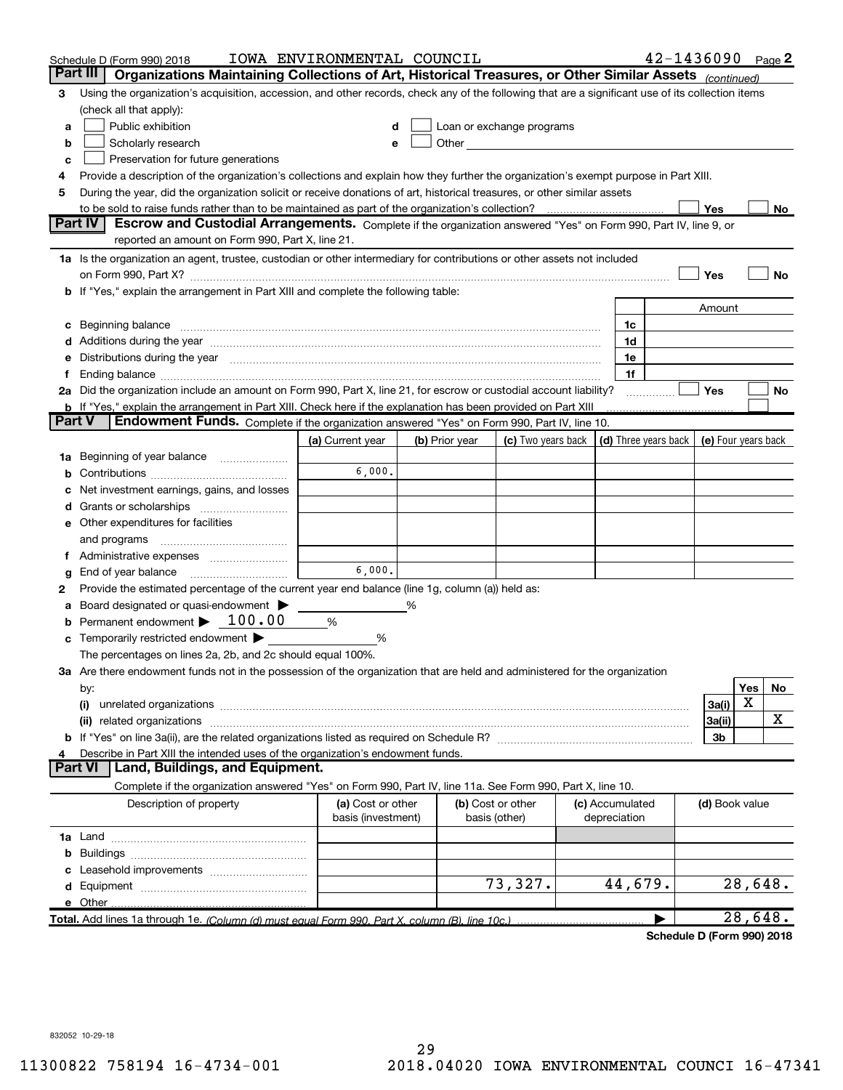|   | Schedule D (Form 990) 2018                                                                                                                                                                                                         | IOWA ENVIRONMENTAL COUNCIL              |   |                |                                                                                                                                                                                                                               |                                 | $42 - 1436090$ Page 2      |                     |         |    |
|---|------------------------------------------------------------------------------------------------------------------------------------------------------------------------------------------------------------------------------------|-----------------------------------------|---|----------------|-------------------------------------------------------------------------------------------------------------------------------------------------------------------------------------------------------------------------------|---------------------------------|----------------------------|---------------------|---------|----|
|   | Part III<br>Organizations Maintaining Collections of Art, Historical Treasures, or Other Similar Assets (continued)                                                                                                                |                                         |   |                |                                                                                                                                                                                                                               |                                 |                            |                     |         |    |
| з | Using the organization's acquisition, accession, and other records, check any of the following that are a significant use of its collection items                                                                                  |                                         |   |                |                                                                                                                                                                                                                               |                                 |                            |                     |         |    |
|   | (check all that apply):                                                                                                                                                                                                            |                                         |   |                |                                                                                                                                                                                                                               |                                 |                            |                     |         |    |
| a | Public exhibition                                                                                                                                                                                                                  |                                         |   |                | Loan or exchange programs                                                                                                                                                                                                     |                                 |                            |                     |         |    |
| b | Scholarly research                                                                                                                                                                                                                 |                                         |   |                | Other and the contract of the contract of the contract of the contract of the contract of the contract of the contract of the contract of the contract of the contract of the contract of the contract of the contract of the |                                 |                            |                     |         |    |
| с | Preservation for future generations                                                                                                                                                                                                |                                         |   |                |                                                                                                                                                                                                                               |                                 |                            |                     |         |    |
| 4 | Provide a description of the organization's collections and explain how they further the organization's exempt purpose in Part XIII.                                                                                               |                                         |   |                |                                                                                                                                                                                                                               |                                 |                            |                     |         |    |
| 5 | During the year, did the organization solicit or receive donations of art, historical treasures, or other similar assets                                                                                                           |                                         |   |                |                                                                                                                                                                                                                               |                                 |                            |                     |         |    |
|   | to be sold to raise funds rather than to be maintained as part of the organization's collection?                                                                                                                                   |                                         |   |                |                                                                                                                                                                                                                               |                                 |                            | Yes                 |         | No |
|   | Part IV<br>Escrow and Custodial Arrangements. Complete if the organization answered "Yes" on Form 990, Part IV, line 9, or                                                                                                         |                                         |   |                |                                                                                                                                                                                                                               |                                 |                            |                     |         |    |
|   | reported an amount on Form 990, Part X, line 21.                                                                                                                                                                                   |                                         |   |                |                                                                                                                                                                                                                               |                                 |                            |                     |         |    |
|   | 1a Is the organization an agent, trustee, custodian or other intermediary for contributions or other assets not included                                                                                                           |                                         |   |                |                                                                                                                                                                                                                               |                                 |                            |                     |         |    |
|   | on Form 990, Part X? [11] matter continuum matter contract to the contract of the contract of the contract of the contract of the contract of the contract of the contract of the contract of the contract of the contract of      |                                         |   |                |                                                                                                                                                                                                                               |                                 |                            | Yes                 |         | No |
|   | b If "Yes," explain the arrangement in Part XIII and complete the following table:                                                                                                                                                 |                                         |   |                |                                                                                                                                                                                                                               |                                 |                            |                     |         |    |
|   |                                                                                                                                                                                                                                    |                                         |   |                |                                                                                                                                                                                                                               |                                 |                            | Amount              |         |    |
| c | Beginning balance <u>manual membershare communication</u> and the set of the set of the set of the set of the set of the set of the set of the set of the set of the set of the set of the set of the set of the set of the set of |                                         |   |                |                                                                                                                                                                                                                               | 1c                              |                            |                     |         |    |
|   |                                                                                                                                                                                                                                    |                                         |   |                |                                                                                                                                                                                                                               | 1d                              |                            |                     |         |    |
|   | e Distributions during the year manufactured and an intervention of the year manufactured by the state of the state of the state of the state of the state of the state of the state of the state of the state of the state of     |                                         |   |                |                                                                                                                                                                                                                               | 1e<br>1f                        |                            |                     |         |    |
|   | 2a Did the organization include an amount on Form 990, Part X, line 21, for escrow or custodial account liability?                                                                                                                 |                                         |   |                |                                                                                                                                                                                                                               |                                 |                            | Yes                 |         | No |
|   | <b>b</b> If "Yes," explain the arrangement in Part XIII. Check here if the explanation has been provided on Part XIII                                                                                                              |                                         |   |                |                                                                                                                                                                                                                               |                                 | .                          |                     |         |    |
|   | Part V<br>Endowment Funds. Complete if the organization answered "Yes" on Form 990, Part IV, line 10.                                                                                                                              |                                         |   |                |                                                                                                                                                                                                                               |                                 |                            |                     |         |    |
|   |                                                                                                                                                                                                                                    | (a) Current year                        |   | (b) Prior year | (c) Two years back $\vert$ (d) Three years back $\vert$                                                                                                                                                                       |                                 |                            | (e) Four years back |         |    |
|   | <b>1a</b> Beginning of year balance                                                                                                                                                                                                |                                         |   |                |                                                                                                                                                                                                                               |                                 |                            |                     |         |    |
|   |                                                                                                                                                                                                                                    | 6,000.                                  |   |                |                                                                                                                                                                                                                               |                                 |                            |                     |         |    |
|   | Net investment earnings, gains, and losses                                                                                                                                                                                         |                                         |   |                |                                                                                                                                                                                                                               |                                 |                            |                     |         |    |
|   |                                                                                                                                                                                                                                    |                                         |   |                |                                                                                                                                                                                                                               |                                 |                            |                     |         |    |
|   | e Other expenditures for facilities                                                                                                                                                                                                |                                         |   |                |                                                                                                                                                                                                                               |                                 |                            |                     |         |    |
|   | and programs                                                                                                                                                                                                                       |                                         |   |                |                                                                                                                                                                                                                               |                                 |                            |                     |         |    |
|   | f Administrative expenses                                                                                                                                                                                                          |                                         |   |                |                                                                                                                                                                                                                               |                                 |                            |                     |         |    |
| g | End of year balance                                                                                                                                                                                                                | 6,000.                                  |   |                |                                                                                                                                                                                                                               |                                 |                            |                     |         |    |
| 2 | Provide the estimated percentage of the current year end balance (line 1g, column (a)) held as:                                                                                                                                    |                                         |   |                |                                                                                                                                                                                                                               |                                 |                            |                     |         |    |
| а | Board designated or quasi-endowment >                                                                                                                                                                                              |                                         | % |                |                                                                                                                                                                                                                               |                                 |                            |                     |         |    |
|   | <b>b</b> Permanent endowment $\blacktriangleright$ 100.00                                                                                                                                                                          | %                                       |   |                |                                                                                                                                                                                                                               |                                 |                            |                     |         |    |
|   | c Temporarily restricted endowment $\blacktriangleright$                                                                                                                                                                           | %                                       |   |                |                                                                                                                                                                                                                               |                                 |                            |                     |         |    |
|   | The percentages on lines 2a, 2b, and 2c should equal 100%.                                                                                                                                                                         |                                         |   |                |                                                                                                                                                                                                                               |                                 |                            |                     |         |    |
|   | 3a Are there endowment funds not in the possession of the organization that are held and administered for the organization                                                                                                         |                                         |   |                |                                                                                                                                                                                                                               |                                 |                            |                     |         |    |
|   | by:                                                                                                                                                                                                                                |                                         |   |                |                                                                                                                                                                                                                               |                                 |                            |                     | Yes     | No |
|   | (i)                                                                                                                                                                                                                                |                                         |   |                |                                                                                                                                                                                                                               |                                 |                            | 3a(i)               | X       |    |
|   |                                                                                                                                                                                                                                    |                                         |   |                |                                                                                                                                                                                                                               |                                 |                            | 3a(ii)              |         | х  |
|   |                                                                                                                                                                                                                                    |                                         |   |                |                                                                                                                                                                                                                               |                                 |                            | 3b                  |         |    |
|   | Describe in Part XIII the intended uses of the organization's endowment funds.                                                                                                                                                     |                                         |   |                |                                                                                                                                                                                                                               |                                 |                            |                     |         |    |
|   | Land, Buildings, and Equipment.<br>Part VI                                                                                                                                                                                         |                                         |   |                |                                                                                                                                                                                                                               |                                 |                            |                     |         |    |
|   | Complete if the organization answered "Yes" on Form 990, Part IV, line 11a. See Form 990, Part X, line 10.                                                                                                                         |                                         |   |                |                                                                                                                                                                                                                               |                                 |                            |                     |         |    |
|   | Description of property                                                                                                                                                                                                            | (a) Cost or other<br>basis (investment) |   |                | (b) Cost or other<br>basis (other)                                                                                                                                                                                            | (c) Accumulated<br>depreciation |                            | (d) Book value      |         |    |
|   |                                                                                                                                                                                                                                    |                                         |   |                |                                                                                                                                                                                                                               |                                 |                            |                     |         |    |
| b |                                                                                                                                                                                                                                    |                                         |   |                |                                                                                                                                                                                                                               |                                 |                            |                     |         |    |
| с |                                                                                                                                                                                                                                    |                                         |   |                |                                                                                                                                                                                                                               |                                 |                            |                     |         |    |
|   |                                                                                                                                                                                                                                    |                                         |   |                | 73,327.                                                                                                                                                                                                                       | 44,679.                         |                            |                     | 28,648. |    |
|   | e Other                                                                                                                                                                                                                            |                                         |   |                |                                                                                                                                                                                                                               |                                 |                            |                     |         |    |
|   | Total. Add lines 1a through 1e. (Column (d) must equal Form 990. Part X, column (B), line 10c.)                                                                                                                                    |                                         |   |                |                                                                                                                                                                                                                               |                                 | Schodule D (Form 000) 2018 |                     | 28,648. |    |

**Schedule D (Form 990) 2018**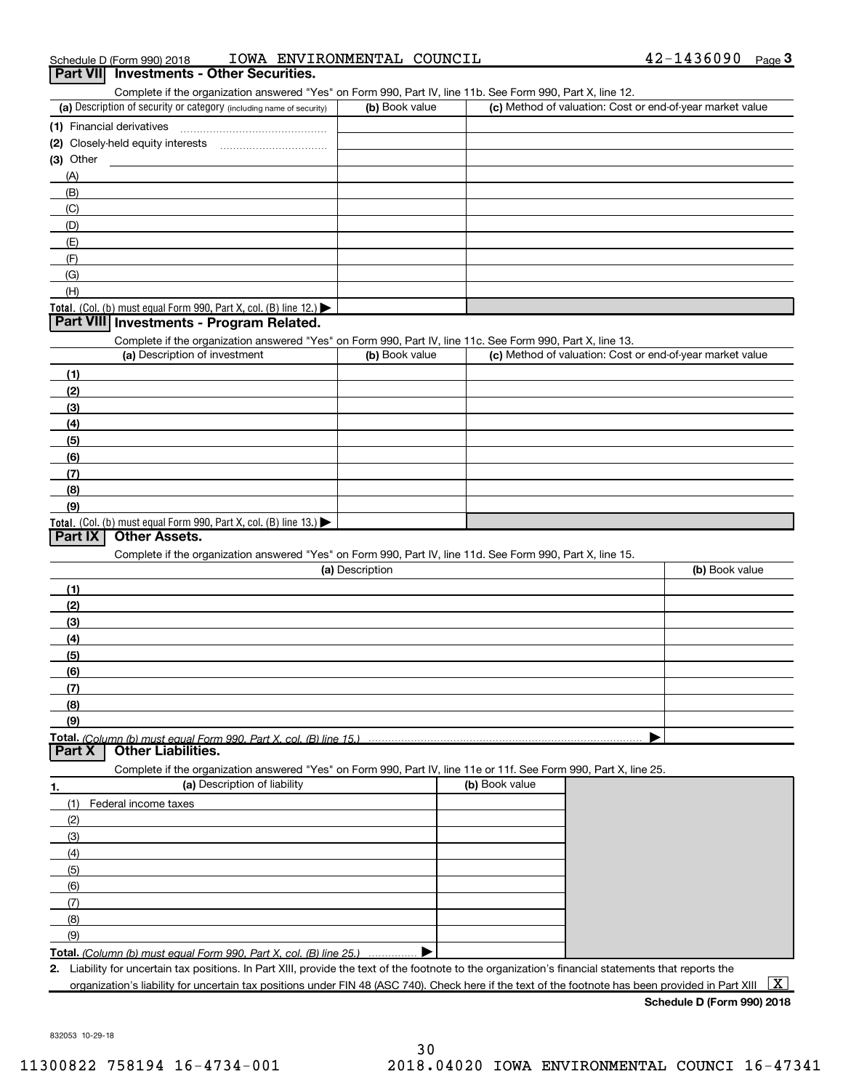|  | Schedule D (Form 990) 2018 | IOWA | ENVIRONMENTAL COUNCIL |  |  | 42-1436090 | Page $3$ |  |
|--|----------------------------|------|-----------------------|--|--|------------|----------|--|
|--|----------------------------|------|-----------------------|--|--|------------|----------|--|

|           | Part VII Investments - Other Securities.                                                                                                             |                 |                |                                                           |
|-----------|------------------------------------------------------------------------------------------------------------------------------------------------------|-----------------|----------------|-----------------------------------------------------------|
|           | Complete if the organization answered "Yes" on Form 990, Part IV, line 11b. See Form 990, Part X, line 12.                                           |                 |                |                                                           |
|           | (a) Description of security or category (including name of security)                                                                                 | (b) Book value  |                | (c) Method of valuation: Cost or end-of-year market value |
|           | (1) Financial derivatives                                                                                                                            |                 |                |                                                           |
|           |                                                                                                                                                      |                 |                |                                                           |
| (3) Other |                                                                                                                                                      |                 |                |                                                           |
| (A)       |                                                                                                                                                      |                 |                |                                                           |
| (B)       |                                                                                                                                                      |                 |                |                                                           |
| (C)       |                                                                                                                                                      |                 |                |                                                           |
| (D)       |                                                                                                                                                      |                 |                |                                                           |
| (E)       |                                                                                                                                                      |                 |                |                                                           |
| (F)       |                                                                                                                                                      |                 |                |                                                           |
| (G)       |                                                                                                                                                      |                 |                |                                                           |
| (H)       |                                                                                                                                                      |                 |                |                                                           |
|           | Total. (Col. (b) must equal Form $990$ , Part X, col. (B) line 12.)                                                                                  |                 |                |                                                           |
|           | Part VIII Investments - Program Related.                                                                                                             |                 |                |                                                           |
|           | Complete if the organization answered "Yes" on Form 990, Part IV, line 11c. See Form 990, Part X, line 13.                                           |                 |                |                                                           |
|           | (a) Description of investment                                                                                                                        | (b) Book value  |                | (c) Method of valuation: Cost or end-of-year market value |
| (1)       |                                                                                                                                                      |                 |                |                                                           |
| (2)       |                                                                                                                                                      |                 |                |                                                           |
| (3)       |                                                                                                                                                      |                 |                |                                                           |
| (4)       |                                                                                                                                                      |                 |                |                                                           |
| (5)       |                                                                                                                                                      |                 |                |                                                           |
| (6)       |                                                                                                                                                      |                 |                |                                                           |
| (7)       |                                                                                                                                                      |                 |                |                                                           |
| (8)       |                                                                                                                                                      |                 |                |                                                           |
| (9)       |                                                                                                                                                      |                 |                |                                                           |
|           | Total. (Col. (b) must equal Form 990, Part X, col. (B) line $13.$ $\blacktriangleright$                                                              |                 |                |                                                           |
| Part IX   | <b>Other Assets.</b>                                                                                                                                 |                 |                |                                                           |
|           | Complete if the organization answered "Yes" on Form 990, Part IV, line 11d. See Form 990, Part X, line 15.                                           |                 |                |                                                           |
|           |                                                                                                                                                      | (a) Description |                | (b) Book value                                            |
| (1)       |                                                                                                                                                      |                 |                |                                                           |
| (2)       |                                                                                                                                                      |                 |                |                                                           |
| (3)       |                                                                                                                                                      |                 |                |                                                           |
| (4)       |                                                                                                                                                      |                 |                |                                                           |
| (5)       |                                                                                                                                                      |                 |                |                                                           |
| (6)       |                                                                                                                                                      |                 |                |                                                           |
| (7)       |                                                                                                                                                      |                 |                |                                                           |
| (8)       |                                                                                                                                                      |                 |                |                                                           |
| (9)       |                                                                                                                                                      |                 |                |                                                           |
|           | Total. (Column (b) must equal Form 990. Part X, col. (B) line 15.)                                                                                   |                 |                |                                                           |
| Part X    | <b>Other Liabilities.</b>                                                                                                                            |                 |                |                                                           |
|           | Complete if the organization answered "Yes" on Form 990, Part IV, line 11e or 11f. See Form 990, Part X, line 25.                                    |                 |                |                                                           |
| 1.        | (a) Description of liability                                                                                                                         |                 | (b) Book value |                                                           |
| (1)       | Federal income taxes                                                                                                                                 |                 |                |                                                           |
| (2)       |                                                                                                                                                      |                 |                |                                                           |
| (3)       |                                                                                                                                                      |                 |                |                                                           |
| (4)       |                                                                                                                                                      |                 |                |                                                           |
| (5)       |                                                                                                                                                      |                 |                |                                                           |
|           |                                                                                                                                                      |                 |                |                                                           |
| (6)       |                                                                                                                                                      |                 |                |                                                           |
| (7)       |                                                                                                                                                      |                 |                |                                                           |
| (8)       |                                                                                                                                                      |                 |                |                                                           |
| (9)       |                                                                                                                                                      |                 |                |                                                           |
|           | Total. (Column (b) must equal Form 990, Part X, col. (B) line 25.)                                                                                   |                 |                |                                                           |
|           | 2. Liability for uncertain tax positions. In Part XIII, provide the text of the footnote to the organization's financial statements that reports the |                 |                |                                                           |
|           | organization's liability for uncertain tax positions under FIN 48 (ASC 740). Check here if the text of the footnote has been provided in Part XIII   |                 |                | X                                                         |

832053 10-29-18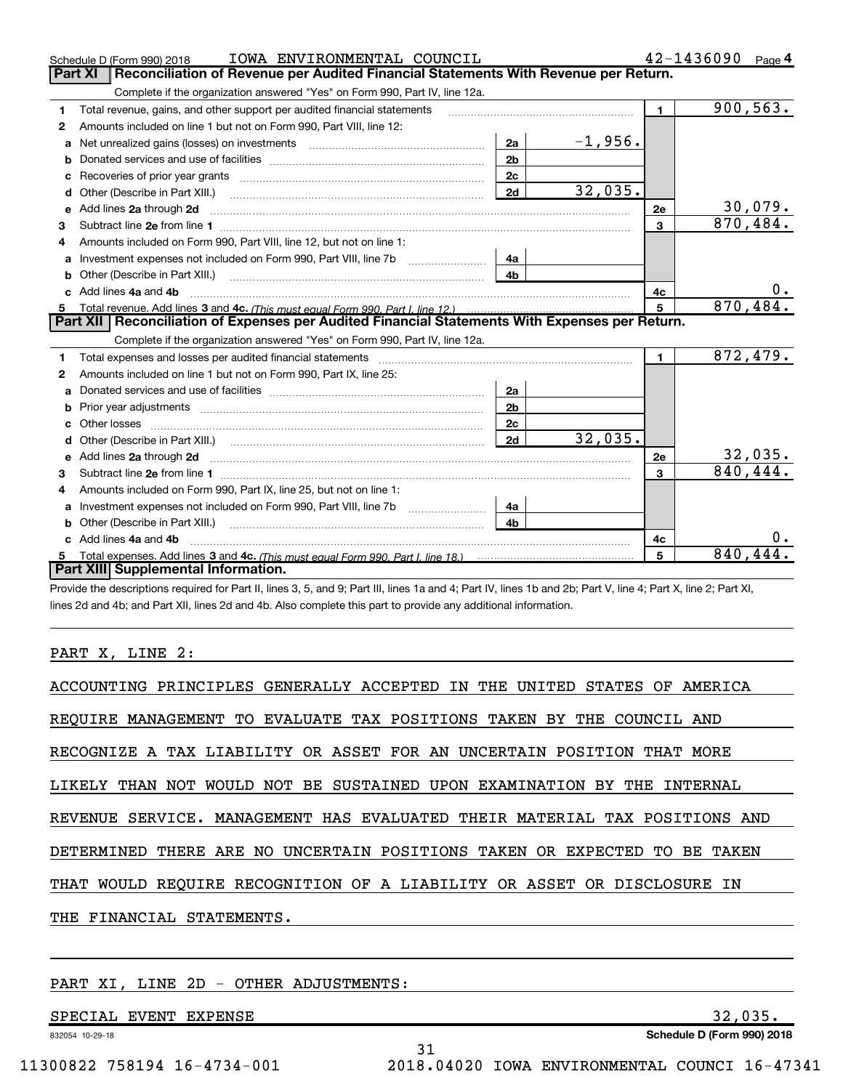|    | IOWA ENVIRONMENTAL COUNCIL<br>Schedule D (Form 990) 2018                                                                                                                                                                      |                |           |                         | $42 - 1436090$ Page 4 |                |
|----|-------------------------------------------------------------------------------------------------------------------------------------------------------------------------------------------------------------------------------|----------------|-----------|-------------------------|-----------------------|----------------|
|    | Reconciliation of Revenue per Audited Financial Statements With Revenue per Return.<br>Part XI                                                                                                                                |                |           |                         |                       |                |
|    | Complete if the organization answered "Yes" on Form 990, Part IV, line 12a.                                                                                                                                                   |                |           |                         |                       |                |
| 1  | Total revenue, gains, and other support per audited financial statements                                                                                                                                                      |                |           | $\blacksquare$          |                       | 900, 563.      |
| 2  | Amounts included on line 1 but not on Form 990, Part VIII, line 12:                                                                                                                                                           |                |           |                         |                       |                |
| a  |                                                                                                                                                                                                                               | 2a             | $-1,956.$ |                         |                       |                |
|    |                                                                                                                                                                                                                               | 2 <sub>b</sub> |           |                         |                       |                |
|    |                                                                                                                                                                                                                               | 2 <sub>c</sub> |           |                         |                       |                |
|    |                                                                                                                                                                                                                               | 2d             | 32,035.   |                         |                       |                |
|    | e Add lines 2a through 2d                                                                                                                                                                                                     |                |           | 2e                      |                       | <u>30,079.</u> |
| 3  |                                                                                                                                                                                                                               |                |           | 3                       | 870, 484.             |                |
| 4  | Amounts included on Form 990, Part VIII, line 12, but not on line 1:                                                                                                                                                          |                |           |                         |                       |                |
|    | Investment expenses not included on Form 990, Part VIII, line 7b [11, 111, 111, 111]                                                                                                                                          | 4а             |           |                         |                       |                |
|    |                                                                                                                                                                                                                               | 4 <sub>h</sub> |           |                         |                       |                |
|    | c Add lines 4a and 4b                                                                                                                                                                                                         |                |           | 4с                      |                       | υ.             |
|    | Total revenue. Add lines 3 and 4c. (This must equal Form 990. Part I. line 12.)                                                                                                                                               |                |           | 5                       |                       | 870,484.       |
|    | Part XII   Reconciliation of Expenses per Audited Financial Statements With Expenses per Return.                                                                                                                              |                |           |                         |                       |                |
|    | Complete if the organization answered "Yes" on Form 990, Part IV, line 12a.                                                                                                                                                   |                |           |                         |                       |                |
| 1. | Total expenses and losses per audited financial statements [11] [12] contraction contraction of the statements [13] [13] and the statements [13] [13] and the statements [13] and the statements [13] and the statements [13] |                |           | $\mathbf{1}$            |                       | 872, 479.      |
| 2  | Amounts included on line 1 but not on Form 990, Part IX, line 25:                                                                                                                                                             |                |           |                         |                       |                |
| a  |                                                                                                                                                                                                                               | 2a             |           |                         |                       |                |
|    |                                                                                                                                                                                                                               | 2 <sub>b</sub> |           |                         |                       |                |
| c  |                                                                                                                                                                                                                               | 2c             |           |                         |                       |                |
|    |                                                                                                                                                                                                                               | 2d             | 32,035.   |                         |                       |                |
|    |                                                                                                                                                                                                                               |                |           | 2e                      |                       | 32,035.        |
| 3  |                                                                                                                                                                                                                               |                |           | $\overline{\mathbf{3}}$ | 840, 444.             |                |
| 4  | Amounts included on Form 990, Part IX, line 25, but not on line 1:                                                                                                                                                            |                |           |                         |                       |                |
|    |                                                                                                                                                                                                                               | 4a             |           |                         |                       |                |
|    |                                                                                                                                                                                                                               | 4 <sub>b</sub> |           |                         |                       |                |
|    | Add lines 4a and 4b                                                                                                                                                                                                           |                |           | 4c                      |                       | 0.             |
|    |                                                                                                                                                                                                                               |                |           | 5                       | 840,444.              |                |
|    | Part XIII Supplemental Information.                                                                                                                                                                                           |                |           |                         |                       |                |

Provide the descriptions required for Part II, lines 3, 5, and 9; Part III, lines 1a and 4; Part IV, lines 1b and 2b; Part V, line 4; Part X, line 2; Part XI, lines 2d and 4b; and Part XII, lines 2d and 4b. Also complete this part to provide any additional information.

#### PART X, LINE 2:

| ACCOUNTING PRINCIPLES GENERALLY ACCEPTED IN THE UNITED<br>STATES OF AMERICA |
|-----------------------------------------------------------------------------|
| REQUIRE MANAGEMENT TO EVALUATE TAX POSITIONS TAKEN BY THE COUNCIL AND       |
| RECOGNIZE A TAX LIABILITY OR ASSET FOR AN UNCERTAIN POSITION THAT MORE      |
| LIKELY THAN NOT WOULD NOT BE SUSTAINED UPON EXAMINATION BY THE INTERNAL     |
| REVENUE SERVICE. MANAGEMENT HAS EVALUATED THEIR MATERIAL TAX POSITIONS AND  |
| DETERMINED THERE ARE NO UNCERTAIN POSITIONS TAKEN OR EXPECTED TO BE TAKEN   |
| THAT WOULD REQUIRE RECOGNITION OF A LIABILITY OR ASSET OR DISCLOSURE IN     |
| THE FINANCIAL STATEMENTS.                                                   |
|                                                                             |

31

#### PART XI, LINE 2D - OTHER ADJUSTMENTS:

SPECIAL EVENT EXPENSE 32,035.

**Schedule D (Form 990) 2018**

832054 10-29-18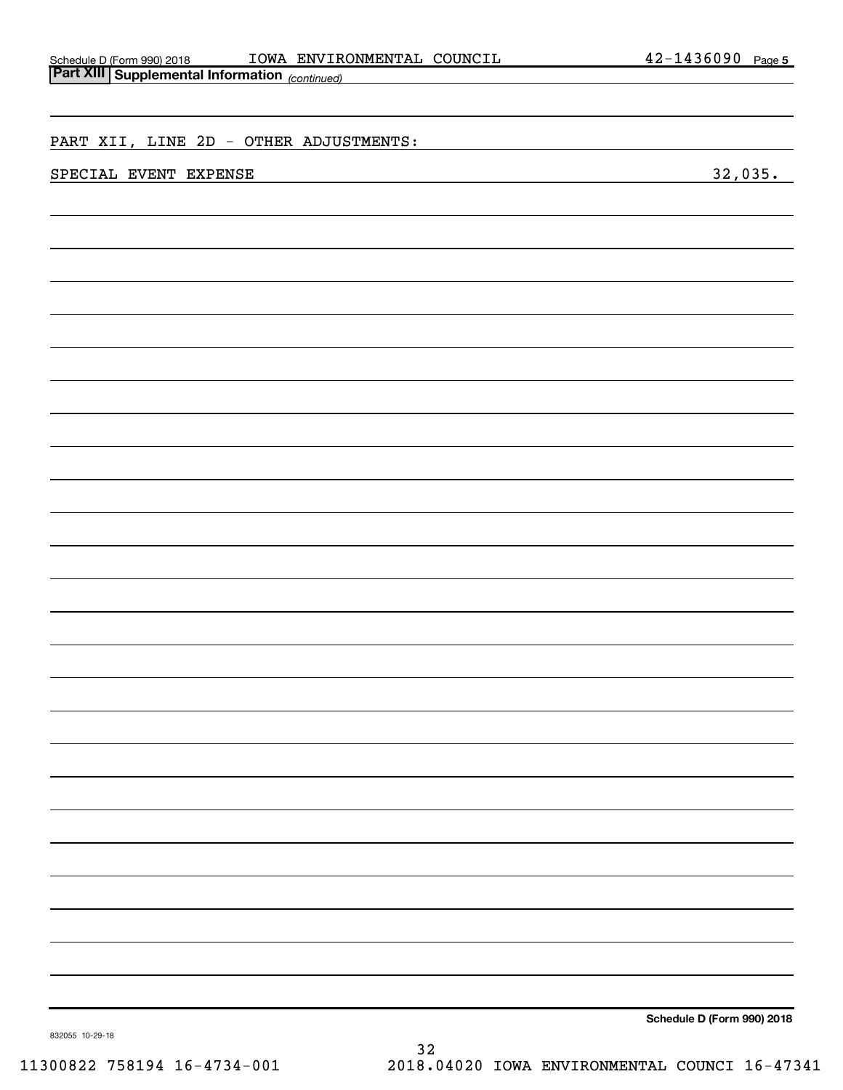| Schedule D (Form 990) 2018      |  |
|---------------------------------|--|
| $D$ ort VIII   Curalemental Ini |  |

| <b>Part XIII Supplemental Information</b> (continued) |         |
|-------------------------------------------------------|---------|
|                                                       |         |
|                                                       |         |
|                                                       |         |
| PART XII, LINE 2D - OTHER ADJUSTMENTS:                |         |
|                                                       |         |
| SPECIAL EVENT EXPENSE                                 | 32,035. |
|                                                       |         |
|                                                       |         |
|                                                       |         |
|                                                       |         |
|                                                       |         |
|                                                       |         |
|                                                       |         |
|                                                       |         |
|                                                       |         |
|                                                       |         |
|                                                       |         |
|                                                       |         |
|                                                       |         |
|                                                       |         |
|                                                       |         |
|                                                       |         |
|                                                       |         |
|                                                       |         |
|                                                       |         |
|                                                       |         |
|                                                       |         |
|                                                       |         |
|                                                       |         |
|                                                       |         |
|                                                       |         |
|                                                       |         |
|                                                       |         |
|                                                       |         |
|                                                       |         |
|                                                       |         |
|                                                       |         |
|                                                       |         |
|                                                       |         |
|                                                       |         |
|                                                       |         |
|                                                       |         |
|                                                       |         |
|                                                       |         |
|                                                       |         |
|                                                       |         |
|                                                       |         |
|                                                       |         |
|                                                       |         |
|                                                       |         |
|                                                       |         |
|                                                       |         |
|                                                       |         |

**Schedule D (Form 990) 2018**

832055 10-29-18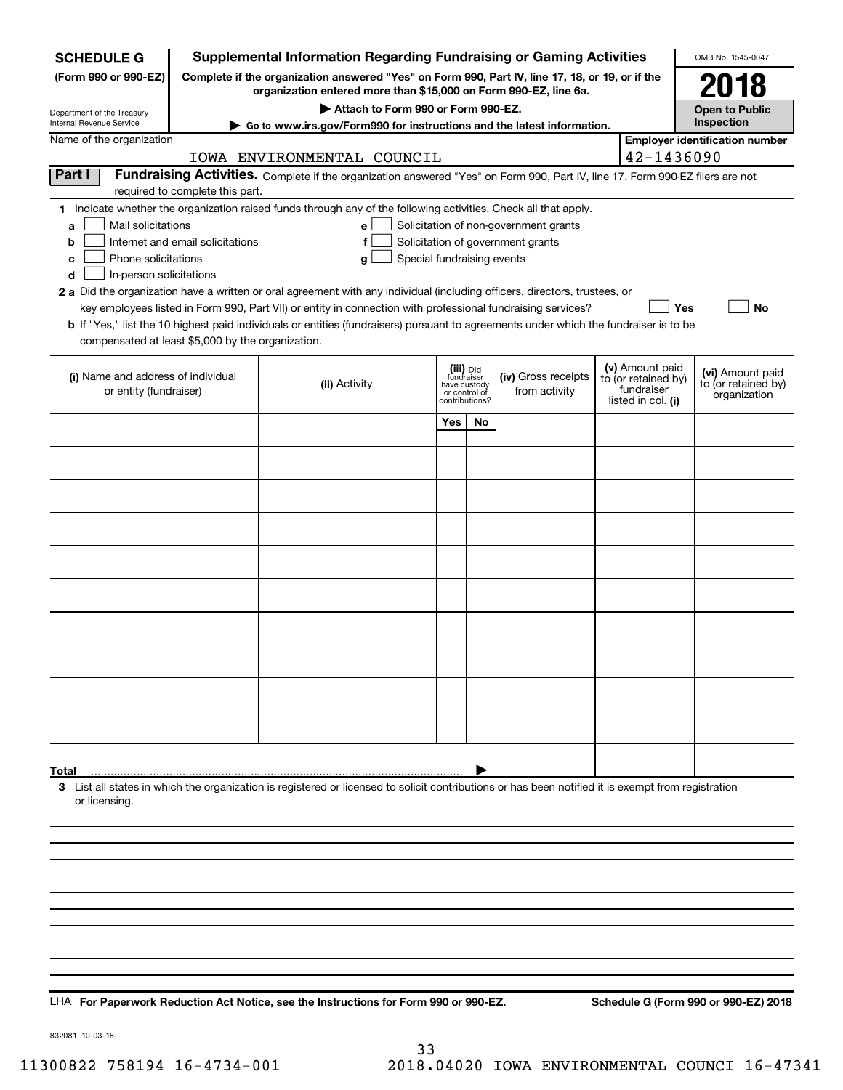| <b>SCHEDULE G</b>                                            |                                  | <b>Supplemental Information Regarding Fundraising or Gaming Activities</b>                                                                                                                                                                |     |                               |                                       |                                   | OMB No. 1545-0047                     |
|--------------------------------------------------------------|----------------------------------|-------------------------------------------------------------------------------------------------------------------------------------------------------------------------------------------------------------------------------------------|-----|-------------------------------|---------------------------------------|-----------------------------------|---------------------------------------|
| (Form 990 or 990-EZ)                                         |                                  | Complete if the organization answered "Yes" on Form 990, Part IV, line 17, 18, or 19, or if the<br>organization entered more than \$15,000 on Form 990-EZ, line 6a.                                                                       |     |                               |                                       |                                   | 61                                    |
|                                                              |                                  | Attach to Form 990 or Form 990-EZ.                                                                                                                                                                                                        |     |                               |                                       |                                   | <b>Open to Public</b>                 |
| Department of the Treasury<br>Internal Revenue Service       |                                  | Go to www.irs.gov/Form990 for instructions and the latest information.                                                                                                                                                                    |     |                               |                                       |                                   | Inspection                            |
| Name of the organization                                     |                                  | IOWA ENVIRONMENTAL COUNCIL                                                                                                                                                                                                                |     |                               |                                       | 42-1436090                        | <b>Employer identification number</b> |
| Part I                                                       |                                  | Fundraising Activities. Complete if the organization answered "Yes" on Form 990, Part IV, line 17. Form 990-EZ filers are not                                                                                                             |     |                               |                                       |                                   |                                       |
|                                                              | required to complete this part.  |                                                                                                                                                                                                                                           |     |                               |                                       |                                   |                                       |
| Mail solicitations<br>a                                      |                                  | 1 Indicate whether the organization raised funds through any of the following activities. Check all that apply.<br>e                                                                                                                      |     |                               | Solicitation of non-government grants |                                   |                                       |
| b                                                            | Internet and email solicitations | f                                                                                                                                                                                                                                         |     |                               | Solicitation of government grants     |                                   |                                       |
| Phone solicitations<br>с                                     |                                  | Special fundraising events<br>g                                                                                                                                                                                                           |     |                               |                                       |                                   |                                       |
| In-person solicitations<br>d                                 |                                  |                                                                                                                                                                                                                                           |     |                               |                                       |                                   |                                       |
|                                                              |                                  | 2 a Did the organization have a written or oral agreement with any individual (including officers, directors, trustees, or<br>key employees listed in Form 990, Part VII) or entity in connection with professional fundraising services? |     |                               |                                       | Yes                               | No                                    |
|                                                              |                                  | b If "Yes," list the 10 highest paid individuals or entities (fundraisers) pursuant to agreements under which the fundraiser is to be                                                                                                     |     |                               |                                       |                                   |                                       |
| compensated at least \$5,000 by the organization.            |                                  |                                                                                                                                                                                                                                           |     |                               |                                       |                                   |                                       |
|                                                              |                                  |                                                                                                                                                                                                                                           |     | (iii) Did<br>fundraiser       |                                       | (v) Amount paid                   | (vi) Amount paid                      |
| (i) Name and address of individual<br>or entity (fundraiser) |                                  | (ii) Activity                                                                                                                                                                                                                             |     | have custody<br>or control of | (iv) Gross receipts<br>from activity  | to (or retained by)<br>fundraiser | to (or retained by)<br>organization   |
|                                                              |                                  |                                                                                                                                                                                                                                           |     | contributions?                |                                       | listed in col. (i)                |                                       |
|                                                              |                                  |                                                                                                                                                                                                                                           | Yes | No                            |                                       |                                   |                                       |
|                                                              |                                  |                                                                                                                                                                                                                                           |     |                               |                                       |                                   |                                       |
|                                                              |                                  |                                                                                                                                                                                                                                           |     |                               |                                       |                                   |                                       |
|                                                              |                                  |                                                                                                                                                                                                                                           |     |                               |                                       |                                   |                                       |
|                                                              |                                  |                                                                                                                                                                                                                                           |     |                               |                                       |                                   |                                       |
|                                                              |                                  |                                                                                                                                                                                                                                           |     |                               |                                       |                                   |                                       |
|                                                              |                                  |                                                                                                                                                                                                                                           |     |                               |                                       |                                   |                                       |
|                                                              |                                  |                                                                                                                                                                                                                                           |     |                               |                                       |                                   |                                       |
|                                                              |                                  |                                                                                                                                                                                                                                           |     |                               |                                       |                                   |                                       |
|                                                              |                                  |                                                                                                                                                                                                                                           |     |                               |                                       |                                   |                                       |
|                                                              |                                  |                                                                                                                                                                                                                                           |     |                               |                                       |                                   |                                       |
|                                                              |                                  |                                                                                                                                                                                                                                           |     |                               |                                       |                                   |                                       |
|                                                              |                                  |                                                                                                                                                                                                                                           |     |                               |                                       |                                   |                                       |
| Total                                                        |                                  |                                                                                                                                                                                                                                           |     |                               |                                       |                                   |                                       |
| or licensing.                                                |                                  | 3 List all states in which the organization is registered or licensed to solicit contributions or has been notified it is exempt from registration                                                                                        |     |                               |                                       |                                   |                                       |
|                                                              |                                  |                                                                                                                                                                                                                                           |     |                               |                                       |                                   |                                       |
|                                                              |                                  |                                                                                                                                                                                                                                           |     |                               |                                       |                                   |                                       |
|                                                              |                                  |                                                                                                                                                                                                                                           |     |                               |                                       |                                   |                                       |
|                                                              |                                  |                                                                                                                                                                                                                                           |     |                               |                                       |                                   |                                       |
|                                                              |                                  |                                                                                                                                                                                                                                           |     |                               |                                       |                                   |                                       |
|                                                              |                                  |                                                                                                                                                                                                                                           |     |                               |                                       |                                   |                                       |
|                                                              |                                  |                                                                                                                                                                                                                                           |     |                               |                                       |                                   |                                       |
|                                                              |                                  |                                                                                                                                                                                                                                           |     |                               |                                       |                                   |                                       |
|                                                              |                                  |                                                                                                                                                                                                                                           |     |                               |                                       |                                   |                                       |
|                                                              |                                  | LHA For Paperwork Reduction Act Notice, see the Instructions for Form 990 or 990-EZ.                                                                                                                                                      |     |                               |                                       |                                   | Schedule G (Form 990 or 990-EZ) 2018  |

832081 10-03-18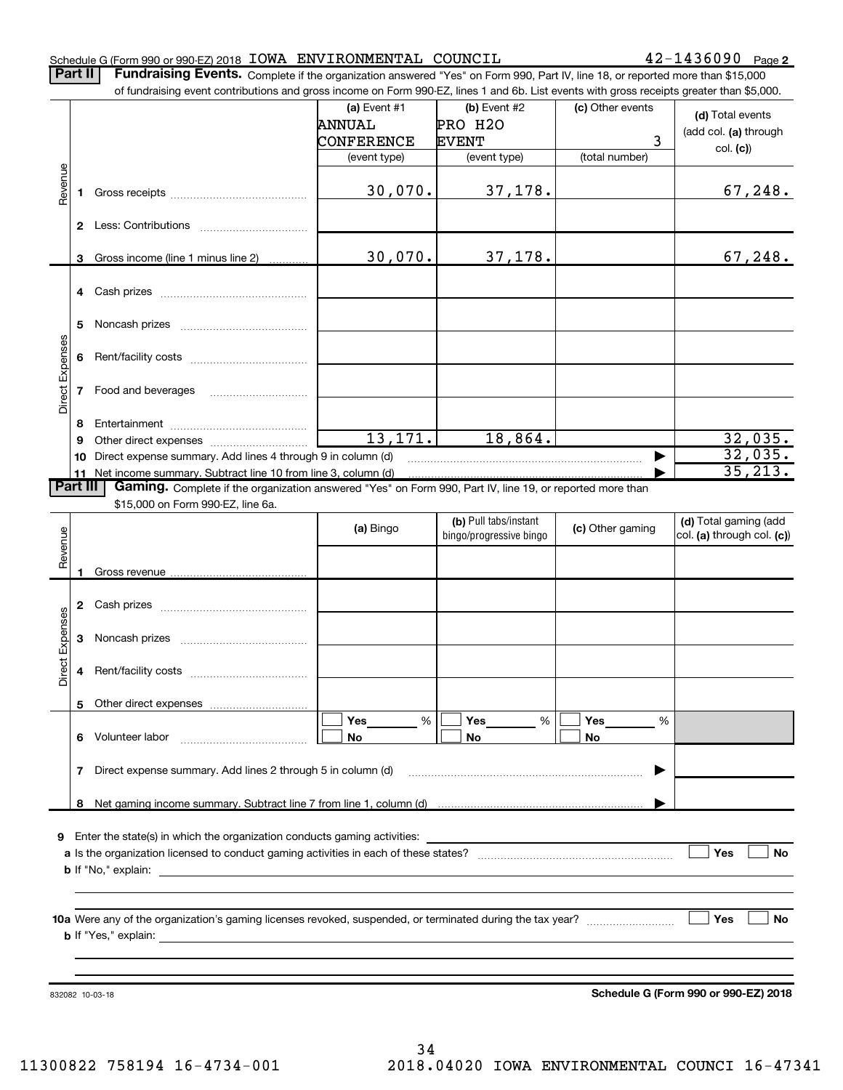#### Schedule G (Form 990 or 990-EZ) 2018 Page IOWA ENVIRONMENTAL COUNCIL 42-1436090

42-1436090 Page 2

Part II | Fundraising Events. Complete if the organization answered "Yes" on Form 990, Part IV, line 18, or reported more than \$15,000

|                 |    | of fundraising event contributions and gross income on Form 990-EZ, lines 1 and 6b. List events with gross receipts greater than \$5,000. |               |                         |                  |                            |
|-----------------|----|-------------------------------------------------------------------------------------------------------------------------------------------|---------------|-------------------------|------------------|----------------------------|
|                 |    |                                                                                                                                           | (a) Event #1  | (b) Event #2            | (c) Other events | (d) Total events           |
|                 |    |                                                                                                                                           | <b>ANNUAL</b> | PRO H2O                 |                  | (add col. (a) through      |
|                 |    |                                                                                                                                           | CONFERENCE    | <b>EVENT</b>            | 3                |                            |
|                 |    |                                                                                                                                           | (event type)  | (event type)            | (total number)   | col. (c)                   |
|                 |    |                                                                                                                                           |               |                         |                  |                            |
| Revenue         | 1  |                                                                                                                                           | 30,070.       | 37,178.                 |                  | 67,248.                    |
|                 |    |                                                                                                                                           |               |                         |                  |                            |
|                 |    |                                                                                                                                           |               |                         |                  |                            |
|                 | 2  |                                                                                                                                           |               |                         |                  |                            |
|                 |    |                                                                                                                                           |               |                         |                  |                            |
|                 | 3  | Gross income (line 1 minus line 2)                                                                                                        | 30,070.       | 37,178.                 |                  | 67, 248.                   |
|                 |    |                                                                                                                                           |               |                         |                  |                            |
|                 | 4  |                                                                                                                                           |               |                         |                  |                            |
|                 |    |                                                                                                                                           |               |                         |                  |                            |
|                 | 5  |                                                                                                                                           |               |                         |                  |                            |
|                 |    |                                                                                                                                           |               |                         |                  |                            |
|                 | 6  |                                                                                                                                           |               |                         |                  |                            |
| Direct Expenses |    |                                                                                                                                           |               |                         |                  |                            |
|                 | 7  | Food and beverages                                                                                                                        |               |                         |                  |                            |
|                 |    |                                                                                                                                           |               |                         |                  |                            |
|                 | 8  |                                                                                                                                           |               |                         |                  |                            |
|                 | 9  |                                                                                                                                           | 13,171.       | 18,864.                 |                  | 32,035.                    |
|                 | 10 | Direct expense summary. Add lines 4 through 9 in column (d)                                                                               |               |                         | ▶                | 32,035.                    |
|                 |    | 11 Net income summary. Subtract line 10 from line 3, column (d)                                                                           |               |                         |                  | 35, 213.                   |
| <b>Part III</b> |    | Gaming. Complete if the organization answered "Yes" on Form 990, Part IV, line 19, or reported more than                                  |               |                         |                  |                            |
|                 |    | \$15,000 on Form 990-EZ, line 6a.                                                                                                         |               |                         |                  |                            |
|                 |    |                                                                                                                                           | (a) Bingo     | (b) Pull tabs/instant   | (c) Other gaming | (d) Total gaming (add      |
| Revenue         |    |                                                                                                                                           |               | bingo/progressive bingo |                  | col. (a) through col. (c)) |
|                 |    |                                                                                                                                           |               |                         |                  |                            |
|                 |    | Gross revenue                                                                                                                             |               |                         |                  |                            |
|                 |    |                                                                                                                                           |               |                         |                  |                            |
|                 | 2  |                                                                                                                                           |               |                         |                  |                            |
| Expenses        |    |                                                                                                                                           |               |                         |                  |                            |
|                 | 3  |                                                                                                                                           |               |                         |                  |                            |
|                 |    |                                                                                                                                           |               |                         |                  |                            |
| Direct          | 4  |                                                                                                                                           |               |                         |                  |                            |
|                 |    |                                                                                                                                           |               |                         |                  |                            |
|                 |    | 5 Other direct expenses                                                                                                                   |               |                         |                  |                            |
|                 |    |                                                                                                                                           | %<br>Yes      | $\frac{0}{6}$<br>Yes    | Yes<br>%         |                            |
|                 | 6. | Volunteer labor                                                                                                                           | No            | No                      | No               |                            |
|                 |    |                                                                                                                                           |               |                         |                  |                            |
|                 | 7  | Direct expense summary. Add lines 2 through 5 in column (d)                                                                               |               |                         | ▶                |                            |
|                 |    |                                                                                                                                           |               |                         |                  |                            |
|                 |    |                                                                                                                                           |               |                         |                  |                            |
|                 |    |                                                                                                                                           |               |                         |                  |                            |
|                 |    | 9 Enter the state(s) in which the organization conducts gaming activities:                                                                |               |                         |                  |                            |
|                 |    |                                                                                                                                           |               |                         |                  | Yes<br>No                  |
|                 |    |                                                                                                                                           |               |                         |                  |                            |
|                 |    |                                                                                                                                           |               |                         |                  |                            |
|                 |    |                                                                                                                                           |               |                         |                  |                            |
|                 |    |                                                                                                                                           |               |                         |                  | Yes<br>No                  |
|                 |    |                                                                                                                                           |               |                         |                  |                            |
|                 |    |                                                                                                                                           |               |                         |                  |                            |
|                 |    |                                                                                                                                           |               |                         |                  |                            |
|                 |    |                                                                                                                                           |               |                         |                  |                            |

**Schedule G (Form 990 or 990-EZ) 2018**

832082 10-03-18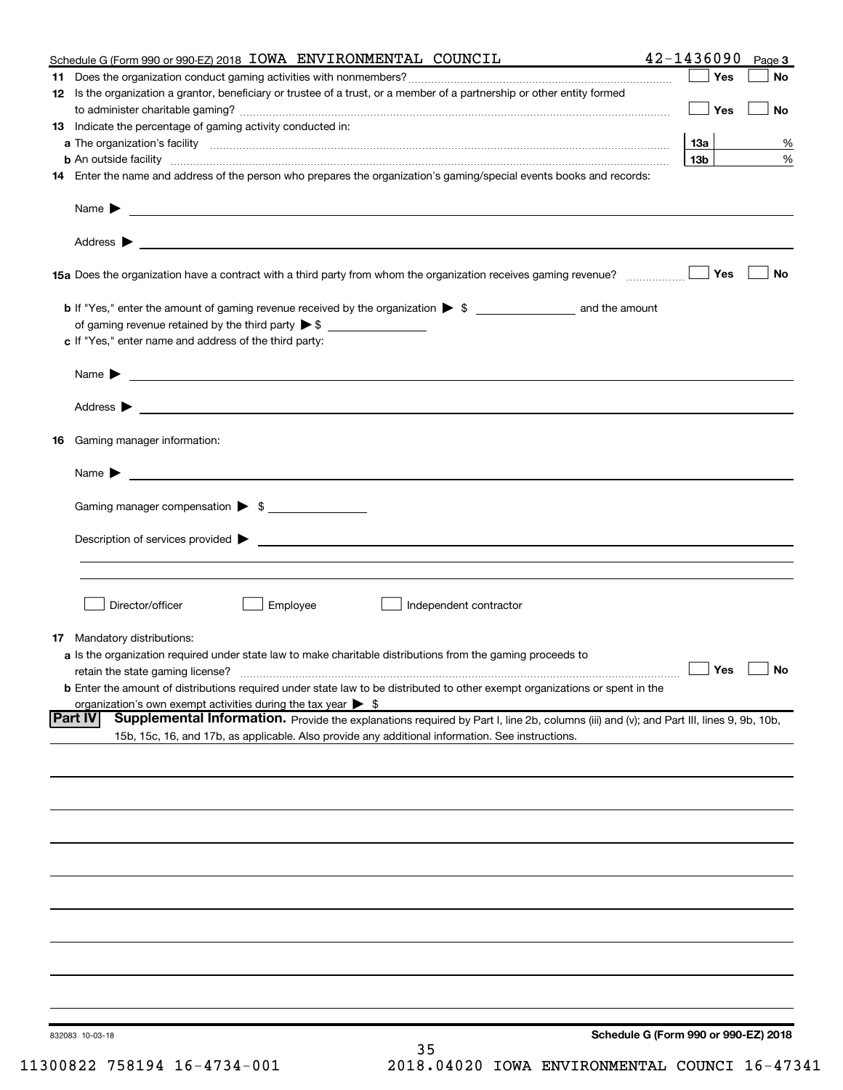| Schedule G (Form 990 or 990-EZ) 2018 IOWA ENVIRONMENTAL COUNCIL                                                                                                         | 42-1436090<br>Page 3                 |
|-------------------------------------------------------------------------------------------------------------------------------------------------------------------------|--------------------------------------|
|                                                                                                                                                                         | ∣ Yes<br>No                          |
| 12 Is the organization a grantor, beneficiary or trustee of a trust, or a member of a partnership or other entity formed                                                |                                      |
| 13 Indicate the percentage of gaming activity conducted in:                                                                                                             | $\Box$ Yes<br>No                     |
|                                                                                                                                                                         | 13а<br>%                             |
| <b>b</b> An outside facility <i>www.communicality www.communicality.communicality www.communicality www.communicality.com</i>                                           | $\%$<br>13 <sub>b</sub>              |
| 14 Enter the name and address of the person who prepares the organization's gaming/special events books and records:                                                    |                                      |
|                                                                                                                                                                         |                                      |
|                                                                                                                                                                         |                                      |
|                                                                                                                                                                         |                                      |
| 15 Yes                                                                                                                                                                  | No                                   |
|                                                                                                                                                                         |                                      |
|                                                                                                                                                                         |                                      |
| c If "Yes," enter name and address of the third party:                                                                                                                  |                                      |
| Name $\blacktriangleright$ $\bot$                                                                                                                                       |                                      |
|                                                                                                                                                                         |                                      |
|                                                                                                                                                                         |                                      |
| 16 Gaming manager information:                                                                                                                                          |                                      |
| Name $\blacktriangleright$ $\lrcorner$                                                                                                                                  |                                      |
| Gaming manager compensation > \$                                                                                                                                        |                                      |
|                                                                                                                                                                         |                                      |
|                                                                                                                                                                         |                                      |
|                                                                                                                                                                         |                                      |
| Employee<br>Director/officer<br>Independent contractor                                                                                                                  |                                      |
|                                                                                                                                                                         |                                      |
| <b>17</b> Mandatory distributions:                                                                                                                                      |                                      |
| a Is the organization required under state law to make charitable distributions from the gaming proceeds to                                                             | $\Box$ Yes<br>$\Box$ No              |
| retain the state gaming license?<br><b>b</b> Enter the amount of distributions required under state law to be distributed to other exempt organizations or spent in the |                                      |
| organization's own exempt activities during the tax year $\triangleright$ \$                                                                                            |                                      |
| Supplemental Information. Provide the explanations required by Part I, line 2b, columns (iii) and (v); and Part III, lines 9, 9b, 10b,<br><b>Part IV</b>                |                                      |
| 15b, 15c, 16, and 17b, as applicable. Also provide any additional information. See instructions.                                                                        |                                      |
|                                                                                                                                                                         |                                      |
|                                                                                                                                                                         |                                      |
|                                                                                                                                                                         |                                      |
|                                                                                                                                                                         |                                      |
|                                                                                                                                                                         |                                      |
|                                                                                                                                                                         |                                      |
|                                                                                                                                                                         |                                      |
|                                                                                                                                                                         |                                      |
|                                                                                                                                                                         |                                      |
|                                                                                                                                                                         |                                      |
| 832083 10-03-18                                                                                                                                                         | Schedule G (Form 990 or 990-EZ) 2018 |
| 35                                                                                                                                                                      |                                      |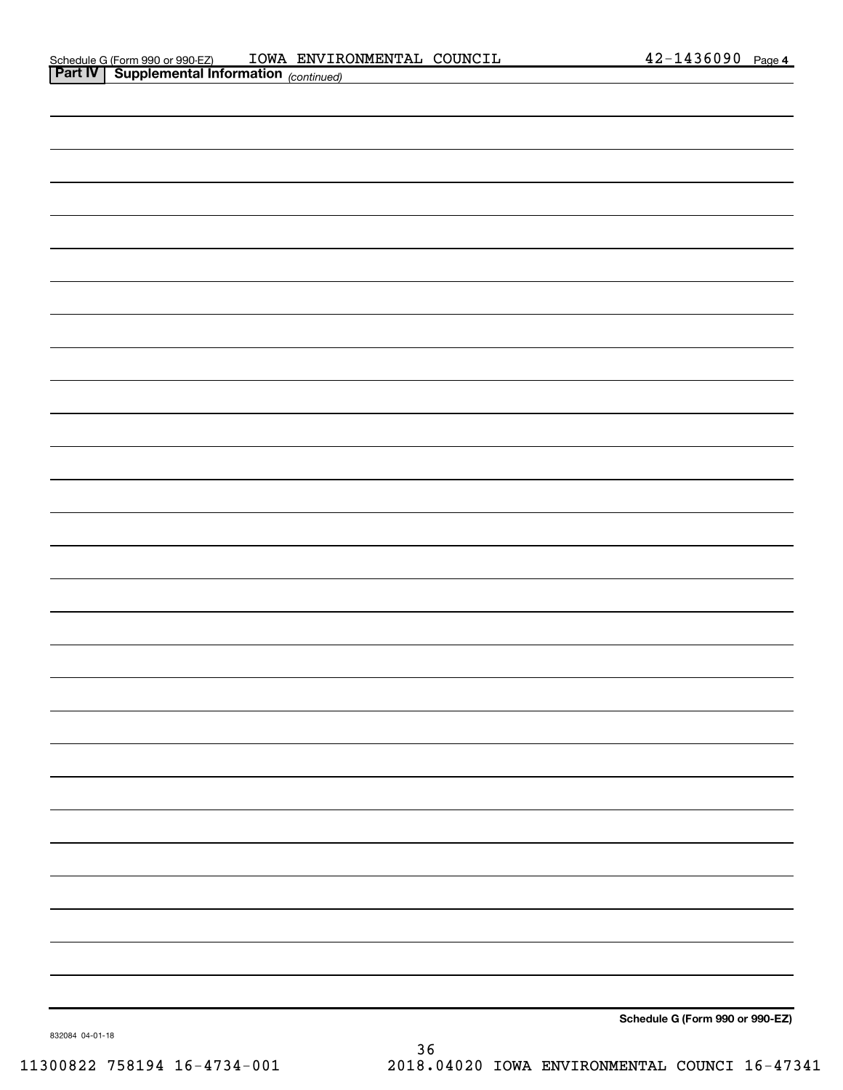| <b>Part IV Supplemental Information</b> (continued) |  |
|-----------------------------------------------------|--|
|                                                     |  |
|                                                     |  |
|                                                     |  |
|                                                     |  |
|                                                     |  |
|                                                     |  |
|                                                     |  |
|                                                     |  |
|                                                     |  |
|                                                     |  |
|                                                     |  |
|                                                     |  |
|                                                     |  |
|                                                     |  |
|                                                     |  |
|                                                     |  |
|                                                     |  |
|                                                     |  |
|                                                     |  |
|                                                     |  |
|                                                     |  |
|                                                     |  |
|                                                     |  |
|                                                     |  |
|                                                     |  |
|                                                     |  |
|                                                     |  |
|                                                     |  |

**Schedule G (Form 990 or 990-EZ)**

832084 04-01-18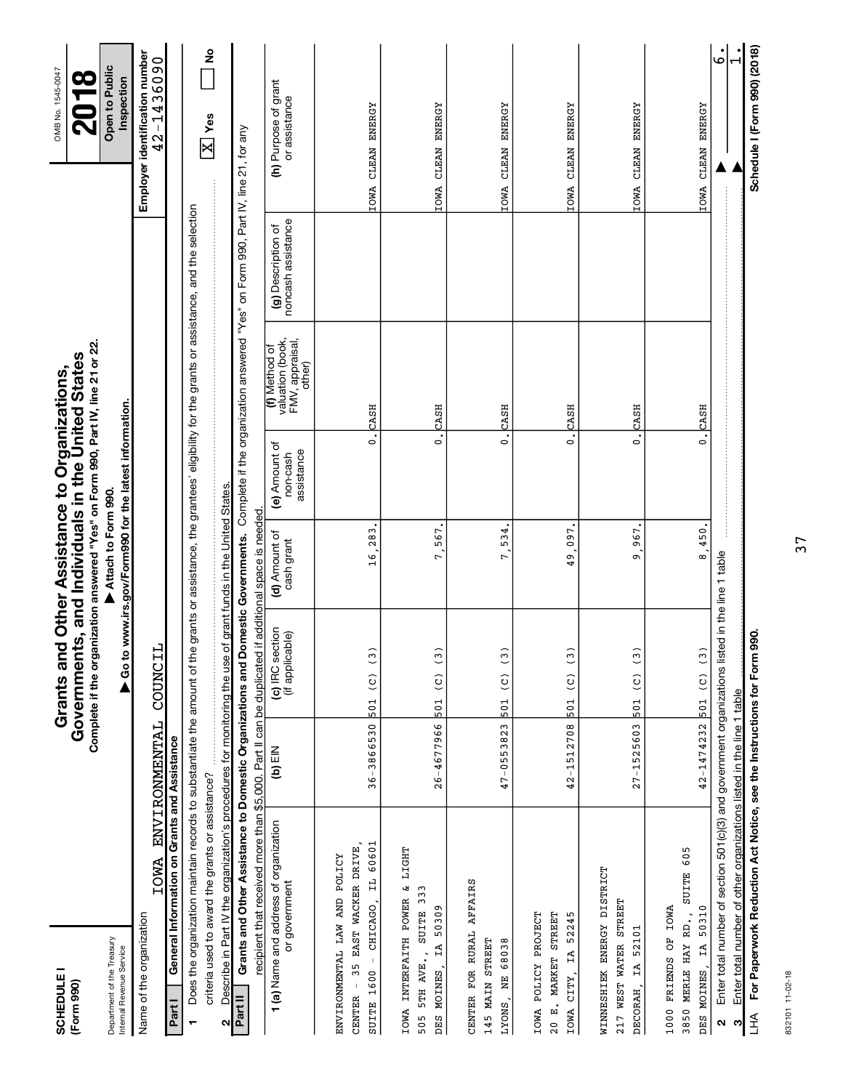| <b>SCHEDULE</b><br>(Form 990)                                                                                                                |                                                                                                                                                                          | Complete if the organization answered "Yes" on Form 990, Part IV, line 21 or 22.<br>Grants and Other Assistance to Organizations,<br>Government | ts, and Individuals in the United States                                       |                                         |                                                                |                                          | OMB No. 1545-0047<br><b>2018</b>             |  |
|----------------------------------------------------------------------------------------------------------------------------------------------|--------------------------------------------------------------------------------------------------------------------------------------------------------------------------|-------------------------------------------------------------------------------------------------------------------------------------------------|--------------------------------------------------------------------------------|-----------------------------------------|----------------------------------------------------------------|------------------------------------------|----------------------------------------------|--|
| Department of the Treasury<br>Internal Revenue Service                                                                                       |                                                                                                                                                                          |                                                                                                                                                 | ▶ Go to www.irs.gov/Form990 for the latest information.<br>Attach to Form 990. |                                         |                                                                |                                          | Open to Public<br>Inspection                 |  |
| <b>IOWA</b><br>Name of the organization                                                                                                      | <b>ENVIRONMENTAL</b>                                                                                                                                                     | COUNCIL                                                                                                                                         |                                                                                |                                         |                                                                |                                          | Employer identification number<br>42-1436090 |  |
| Part I                                                                                                                                       | General Information on Grants and Assistance                                                                                                                             |                                                                                                                                                 |                                                                                |                                         |                                                                |                                          |                                              |  |
|                                                                                                                                              | Does the organization maintain records to substantiate the amount of the grants or assistance, the grantees' eligibility for the grants or assistance, and the selection |                                                                                                                                                 |                                                                                |                                         |                                                                |                                          |                                              |  |
| criteria used to award the grants or assistance?<br>N                                                                                        | Describe in Part IV the organization's procedures for monitoring the use                                                                                                 |                                                                                                                                                 | of grant funds in the United States.                                           |                                         |                                                                |                                          | <u>ខ</u><br>$\boxed{\text{X}}$ Yes           |  |
| Part II                                                                                                                                      | Grants and Other Assistance to Domestic Organizations and Domestic Governments. Complete if the organization answered "Yes" on Form 990, Part IV, line 21, for any       |                                                                                                                                                 |                                                                                |                                         |                                                                |                                          |                                              |  |
|                                                                                                                                              | recipient that received more than \$5,000. Part II can be duplicated if additional space is needed                                                                       |                                                                                                                                                 |                                                                                |                                         |                                                                |                                          |                                              |  |
| 1 (a) Name and address of organization<br>or government                                                                                      | $(D)$ EIN                                                                                                                                                                | (c) IRC section<br>(if applicable)                                                                                                              | (d) Amount of<br>cash grant                                                    | (e) Amount of<br>assistance<br>non-cash | (f) Method of<br>valuation (book,<br>FMV, appraisal,<br>other) | noncash assistance<br>(g) Description of | (h) Purpose of grant<br>or assistance        |  |
| 35 EAST WACKER DRIVE,<br>ENVIRONMENTAL LAW AND POLICY<br>$\begin{array}{c} \begin{array}{c} 1 \\ 1 \end{array} \end{array}$<br><b>CENTER</b> |                                                                                                                                                                          |                                                                                                                                                 |                                                                                |                                         |                                                                |                                          |                                              |  |
| IL 60601<br>CHICAGO,<br>SUITE 1600                                                                                                           | 36-3866530                                                                                                                                                               | $\frac{3}{2}$<br>501 (C)                                                                                                                        | 16.283                                                                         | $\overline{\cdot}$                      | CASH                                                           |                                          | IOWA CLEAN ENERGY                            |  |
| IOWA INTERFAITH POWER &<br>333<br>50309<br>505 5TH AVE., SUITE<br>IA<br>DES MOINES,                                                          | $26 - 4677966$<br>LIGHT                                                                                                                                                  | $\tilde{\mathbf{c}}$<br>$\widehat{c}$<br>501                                                                                                    | 567<br>r.                                                                      | $\dot{\circ}$                           | CASH                                                           |                                          | CLEAN ENERGY<br><b>IOWA</b>                  |  |
| CENTER FOR RURAL AFFAIRS<br>68038<br>145 MAIN STREET<br><b>NE</b><br>LYONS,                                                                  | 47-0553823                                                                                                                                                               | $\tilde{\mathbf{C}}$<br>$\frac{1}{2}$<br>501                                                                                                    | 534.<br>7.                                                                     | $\dot{\circ}$                           | CASH                                                           |                                          | IOWA CLEAN ENERGY                            |  |
| IOWA POLICY PROJECT<br>STREET<br>52245<br>IA<br>20 E. MARKET<br>CITY,<br><b>IOWA</b>                                                         | $42 - 1512708$                                                                                                                                                           | $\tilde{c}$<br>$\frac{1}{2}$<br>501                                                                                                             | 097<br>$\overline{\mathbf{5}}$                                                 | $\dot{\circ}$                           | CASH                                                           |                                          | CLEAN ENERGY<br><b>IOWA</b>                  |  |
| WINNESHIEK ENERGY DISTRICT<br>STREET<br>IA 52101<br>WEST WATER<br>DECORAH,<br>217                                                            | $27 - 1525603$                                                                                                                                                           | $\tilde{\cdot}$<br>$\frac{1}{2}$<br>501                                                                                                         | 967<br>o                                                                       | $\dot{\circ}$                           | CASH                                                           |                                          | CLEAN ENERGY<br><b>IOWA</b>                  |  |
| SUITE 605<br><b>IA 50310</b><br>1000 FRIENDS OF IOWA<br>3850 MERLE HAY RD.,<br>DES MOINES                                                    |                                                                                                                                                                          | $42 - 1474232$ $501$ (C) (3                                                                                                                     | 8,450.                                                                         | $\ddot{\circ}$                          | CASH                                                           |                                          | IOWA CLEAN ENERGY                            |  |
| $\mathbf{\Omega}$                                                                                                                            | Enter total number of section 501(c)(3) and government organizations listed in the line 1 table                                                                          |                                                                                                                                                 |                                                                                |                                         |                                                                |                                          | .<br>م                                       |  |
| ო                                                                                                                                            | Enter total number of other organizations listed in the line 1 table                                                                                                     |                                                                                                                                                 |                                                                                |                                         |                                                                |                                          |                                              |  |
| 子<br>上                                                                                                                                       | For Paperwork Reduction Act Notice, see the Instructions for Form                                                                                                        | 990.                                                                                                                                            |                                                                                |                                         |                                                                |                                          | Schedule I (Form 990) (2018)                 |  |

832101 11-02-18 832101 11-02-18

37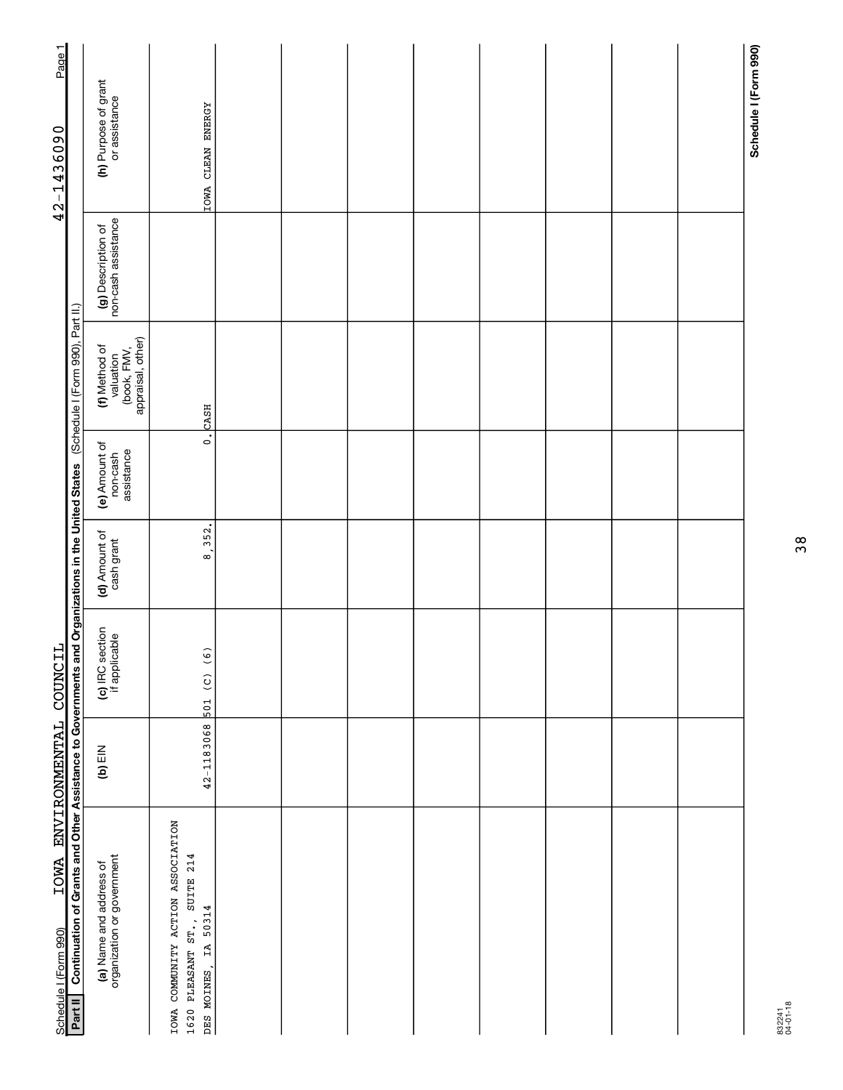| Page 1                                              |                                                                                                                                                |                                                                |                                                                                                     |  |  |  |  |                       |
|-----------------------------------------------------|------------------------------------------------------------------------------------------------------------------------------------------------|----------------------------------------------------------------|-----------------------------------------------------------------------------------------------------|--|--|--|--|-----------------------|
| 42-1436090                                          |                                                                                                                                                | (h) Purpose of grant<br>or assistance                          | IOWA CLEAN ENERGY                                                                                   |  |  |  |  | Schedule I (Form 990) |
|                                                     |                                                                                                                                                | (g) Description of<br>non-cash assistance                      |                                                                                                     |  |  |  |  |                       |
|                                                     |                                                                                                                                                | valuation<br>(book, FMV,<br>appraisal, other)<br>(f) Method of | <b>CASH</b>                                                                                         |  |  |  |  |                       |
|                                                     |                                                                                                                                                | (e) Amount of<br>assistance<br>non-cash                        | $\dot{\circ}$                                                                                       |  |  |  |  |                       |
|                                                     |                                                                                                                                                | (d) Amount of<br>cash grant                                    | 8, 352.                                                                                             |  |  |  |  |                       |
|                                                     |                                                                                                                                                | (c) IRC section<br>if applicable                               | 501 (C) (6)                                                                                         |  |  |  |  |                       |
|                                                     |                                                                                                                                                | $(b)$ EIN                                                      | 42-1183068                                                                                          |  |  |  |  |                       |
| IOWA ENVIRONMENTAL COUNCIL<br>Schedule I (Form 990) | Continuation of Grants and Other Assistance to Governments and Organizations in the United States (Schedule I (Form 990), Part II.)<br>Part II | (a) Name and address of<br>organization or government          | COMMUNITY ACTION ASSOCIATION<br>1620 PLEASANT ST., SUITE 214<br>DES MOINES, IA 50314<br><b>IOWA</b> |  |  |  |  |                       |

832241 04-01-18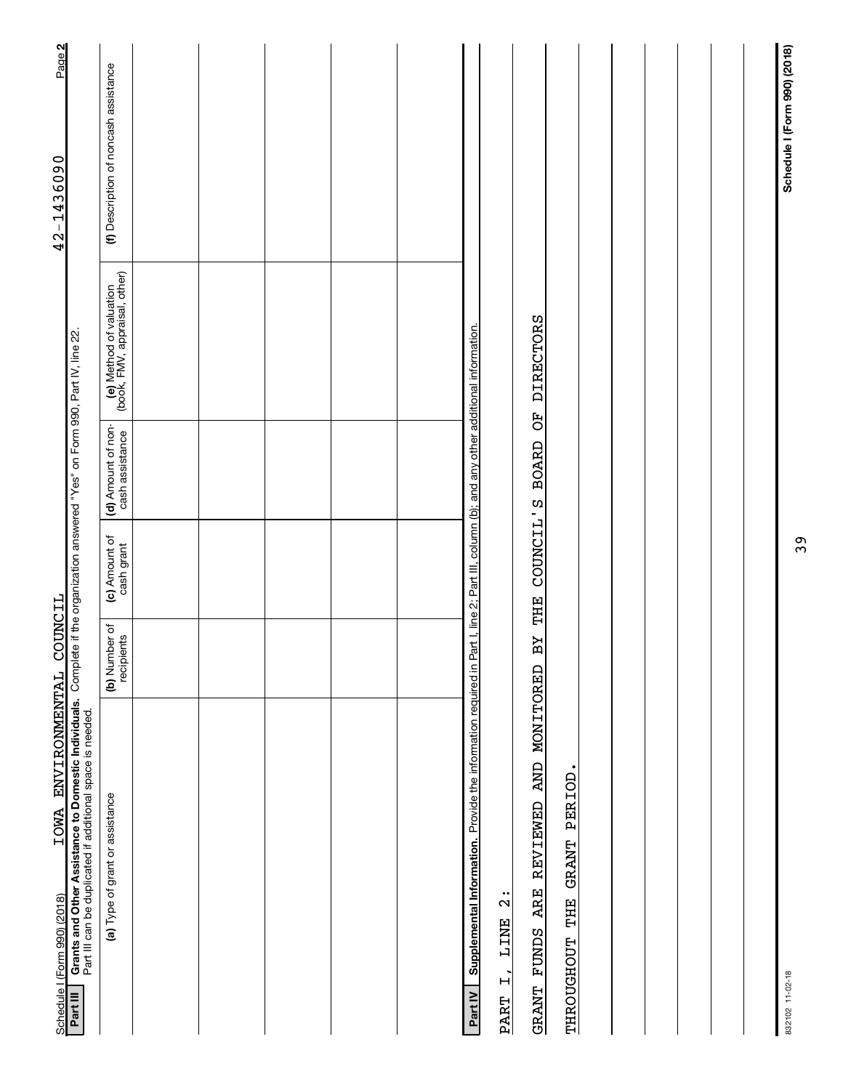| IOWA ENVIRONMENTAL<br>Schedule I (Form 990) (2018)                                                                                                                                                       | COUNCIL                     |                             |                                       |                                                          | Page 2<br>42-1436090                  |
|----------------------------------------------------------------------------------------------------------------------------------------------------------------------------------------------------------|-----------------------------|-----------------------------|---------------------------------------|----------------------------------------------------------|---------------------------------------|
| Grants and Other Assistance to Domestic Individuals. Complete if the organization answered "Yes" on Form 990, Part IV, line 22.<br>Part III can be duplicated if additional space is needed.<br>Part III |                             |                             |                                       |                                                          |                                       |
| (a) Type of grant or assistance                                                                                                                                                                          | (b) Number of<br>recipients | (c) Amount of<br>cash grant | (d) Amount of non-<br>cash assistance | (e) Method of valuation<br>(book, FMV, appraisal, other) | (f) Description of noncash assistance |
|                                                                                                                                                                                                          |                             |                             |                                       |                                                          |                                       |
|                                                                                                                                                                                                          |                             |                             |                                       |                                                          |                                       |
|                                                                                                                                                                                                          |                             |                             |                                       |                                                          |                                       |
|                                                                                                                                                                                                          |                             |                             |                                       |                                                          |                                       |
|                                                                                                                                                                                                          |                             |                             |                                       |                                                          |                                       |
| Supplemental Information. Provide the information required in Part I, line 2; Part III, column (b); and any other additional information.<br>Part IV                                                     |                             |                             |                                       |                                                          |                                       |
| $\frac{1}{2}$<br><b>LINE</b><br>$\ddot{L}$<br><b>PART</b>                                                                                                                                                |                             |                             |                                       |                                                          |                                       |
| AND MONITORED<br><b>REVIEWED</b><br><b>ARE</b><br><b>FUNDS</b><br>GRANT                                                                                                                                  | ВY                          | COUNCIL'S<br>THE            | F)<br><b>BOARD</b>                    | <b>DIRECTORS</b>                                         |                                       |
| THROUGHOUT THE GRANT PERIOD.                                                                                                                                                                             |                             |                             |                                       |                                                          |                                       |
|                                                                                                                                                                                                          |                             |                             |                                       |                                                          |                                       |
|                                                                                                                                                                                                          |                             |                             |                                       |                                                          |                                       |
|                                                                                                                                                                                                          |                             |                             |                                       |                                                          |                                       |
|                                                                                                                                                                                                          |                             |                             |                                       |                                                          |                                       |
|                                                                                                                                                                                                          |                             |                             |                                       |                                                          |                                       |
| 832102 11-02-18                                                                                                                                                                                          |                             |                             |                                       |                                                          | Schedule I (Form 990) (2018)          |

39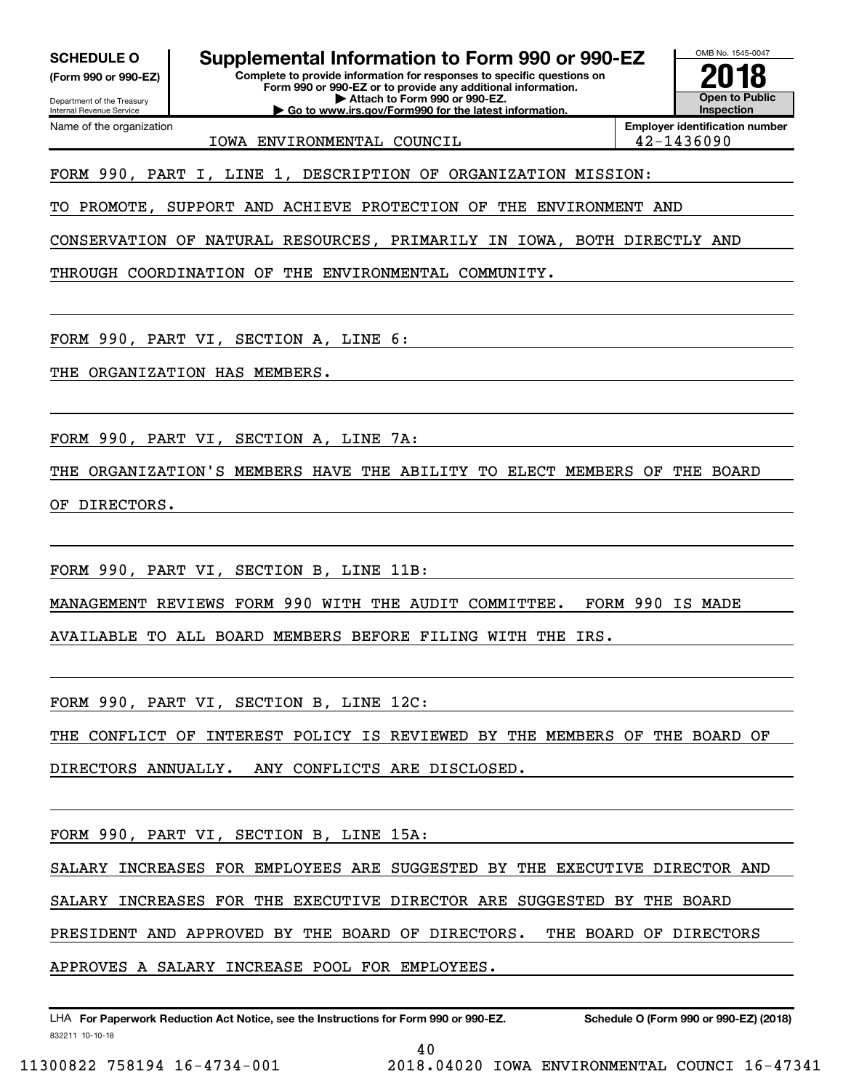**(Form 990 or 990-EZ)**

Department of the Treasury Internal Revenue Service Name of the organization

SCHEDULE O **Supplemental Information to Form 990 or 990-EZ**  $\frac{\text{OMB No. 1545-004}}{\text{Complet to provide 10 fC, 201}}$ 

**Complete to provide information for responses to specific questions on Form 990 or 990-EZ or to provide any additional information. | Attach to Form 990 or 990-EZ. | Go to www.irs.gov/Form990 for the latest information.**



**Employer identification number** IOWA ENVIRONMENTAL COUNCIL 42-1436090

FORM 990, PART I, LINE 1, DESCRIPTION OF ORGANIZATION MISSION:

TO PROMOTE, SUPPORT AND ACHIEVE PROTECTION OF THE ENVIRONMENT AND

CONSERVATION OF NATURAL RESOURCES, PRIMARILY IN IOWA, BOTH DIRECTLY AND

THROUGH COORDINATION OF THE ENVIRONMENTAL COMMUNITY.

FORM 990, PART VI, SECTION A, LINE 6:

THE ORGANIZATION HAS MEMBERS.

FORM 990, PART VI, SECTION A, LINE 7A:

THE ORGANIZATION'S MEMBERS HAVE THE ABILITY TO ELECT MEMBERS OF THE BOARD

OF DIRECTORS.

FORM 990, PART VI, SECTION B, LINE 11B:

MANAGEMENT REVIEWS FORM 990 WITH THE AUDIT COMMITTEE. FORM 990 IS MADE

AVAILABLE TO ALL BOARD MEMBERS BEFORE FILING WITH THE IRS.

FORM 990, PART VI, SECTION B, LINE 12C:

THE CONFLICT OF INTEREST POLICY IS REVIEWED BY THE MEMBERS OF THE BOARD OF

DIRECTORS ANNUALLY. ANY CONFLICTS ARE DISCLOSED.

FORM 990, PART VI, SECTION B, LINE 15A:

SALARY INCREASES FOR EMPLOYEES ARE SUGGESTED BY THE EXECUTIVE DIRECTOR AND

SALARY INCREASES FOR THE EXECUTIVE DIRECTOR ARE SUGGESTED BY THE BOARD

PRESIDENT AND APPROVED BY THE BOARD OF DIRECTORS. THE BOARD OF DIRECTORS

APPROVES A SALARY INCREASE POOL FOR EMPLOYEES.

832211 10-10-18 **For Paperwork Reduction Act Notice, see the Instructions for Form 990 or 990-EZ. Schedule O (Form 990 or 990-EZ) (2018)** LHA